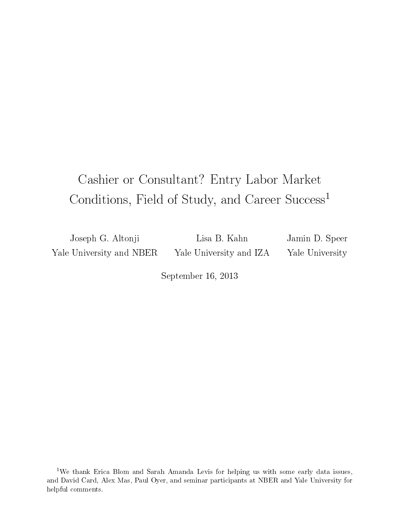# Cashier or Consultant? Entry Labor Market Conditions, Field of Study, and Career Success<sup>1</sup>

Joseph G. Altonji Yale University and NBER

Lisa B. Kahn Yale University and IZA Jamin D. Speer Yale University

September 16, 2013

<sup>1</sup>We thank Erica Blom and Sarah Amanda Levis for helping us with some early data issues, and David Card, Alex Mas, Paul Oyer, and seminar participants at NBER and Yale University for helpful comments.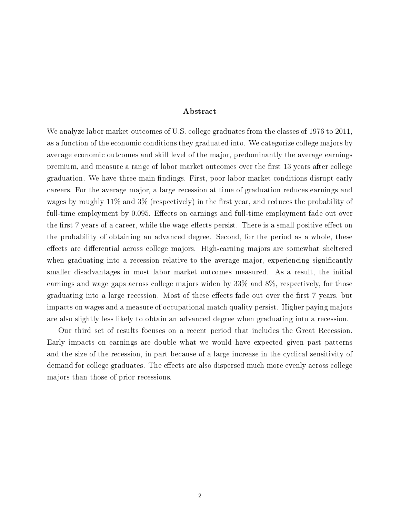#### ${\bf A}$ bstract

We analyze labor market outcomes of U.S. college graduates from the classes of 1976 to 2011, as a function of the economic conditions they graduated into. We categorize college majors by average economic outcomes and skill level of the major, predominantly the average earnings premium, and measure a range of labor market outcomes over the first 13 years after college graduation. We have three main findings. First, poor labor market conditions disrupt early careers. For the average major, a large recession at time of graduation reduces earnings and wages by roughly  $11\%$  and  $3\%$  (respectively) in the first year, and reduces the probability of full-time employment by 0.095. Effects on earnings and full-time employment fade out over the first 7 years of a career, while the wage effects persist. There is a small positive effect on the probability of obtaining an advanced degree. Second, for the period as a whole, these effects are differential across college majors. High-earning majors are somewhat sheltered when graduating into a recession relative to the average major, experiencing significantly smaller disadvantages in most labor market outcomes measured. As a result, the initial earnings and wage gaps across college majors widen by 33% and 8%, respectively, for those graduating into a large recession. Most of these effects fade out over the first 7 years, but impacts on wages and a measure of occupational match quality persist. Higher paying majors are also slightly less likely to obtain an advanced degree when graduating into a recession.

Our third set of results focuses on a recent period that includes the Great Recession. Early impacts on earnings are double what we would have expected given past patterns and the size of the recession, in part because of a large increase in the cyclical sensitivity of demand for college graduates. The effects are also dispersed much more evenly across college majors than those of prior recessions.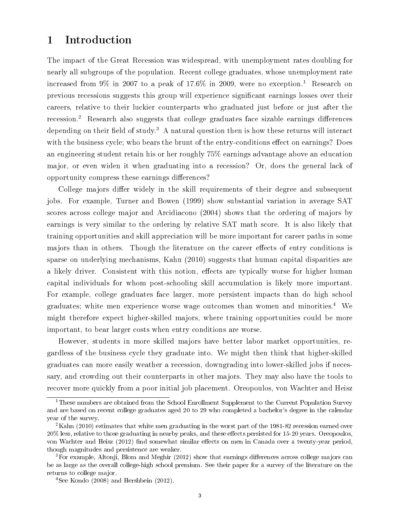### 1 Introduction

The impact of the Great Recession was widespread, with unemployment rates doubling for nearly all subgroups of the population. Recent college graduates, whose unemployment rate increased from  $9\%$  in 2007 to a peak of 17.6% in 2009, were no exception.<sup>1</sup> Research on previous recessions suggests this group will experience signicant earnings losses over their careers, relative to their luckier counterparts who graduated just before or just after the recession.<sup>2</sup> Research also suggests that college graduates face sizable earnings differences depending on their field of study.<sup>3</sup> A natural question then is how these returns will interact with the business cycle; who bears the brunt of the entry-conditions effect on earnings? Does an engineering student retain his or her roughly 75% earnings advantage above an education major, or even widen it when graduating into a recession? Or, does the general lack of opportunity compress these earnings differences?

College majors differ widely in the skill requirements of their degree and subsequent jobs. For example, Turner and Bowen (1999) show substantial variation in average SAT scores across college major and Arcidiacono (2004) shows that the ordering of majors by earnings is very similar to the ordering by relative SAT math score. It is also likely that training opportunities and skill appreciation will be more important for career paths in some majors than in others. Though the literature on the career effects of entry conditions is sparse on underlying mechanisms, Kahn (2010) suggests that human capital disparities are a likely driver. Consistent with this notion, effects are typically worse for higher human capital individuals for whom post-schooling skill accumulation is likely more important. For example, college graduates face larger, more persistent impacts than do high school graduates; white men experience worse wage outcomes than women and minorities.<sup>4</sup> We might therefore expect higher-skilled majors, where training opportunities could be more important, to bear larger costs when entry conditions are worse.

However, students in more skilled majors have better labor market opportunities, regardless of the business cycle they graduate into. We might then think that higher-skilled graduates can more easily weather a recession, downgrading into lower-skilled jobs if necessary, and crowding out their counterparts in other majors. They may also have the tools to recover more quickly from a poor initial job placement. Oreopoulos, von Wachter and Heisz

<sup>&</sup>lt;sup>1</sup>These numbers are obtained from the School Enrollment Supplement to the Current Population Survey and are based on recent college graduates aged 20 to 29 who completed a bachelor's degree in the calendar year of the survey.

<sup>&</sup>lt;sup>2</sup>Kahn (2010) estimates that white men graduating in the worst part of the 1981-82 recession earned over 20% less, relative to those graduating in nearby peaks, and these effects persisted for 15-20 years. Oreopoulos, von Wachter and Heisz (2012) find somewhat similar effects on men in Canada over a twenty-year period, though magnitudes and persistence are weaker.

 ${}^{3}$ For example, Altonji, Blom and Meghir (2012) show that earnings differences across college majors can be as large as the overall college-high school premium. See their paper for a survey of the literature on the returns to college major.

 $4$ See Kondo (2008) and Hershbein (2012).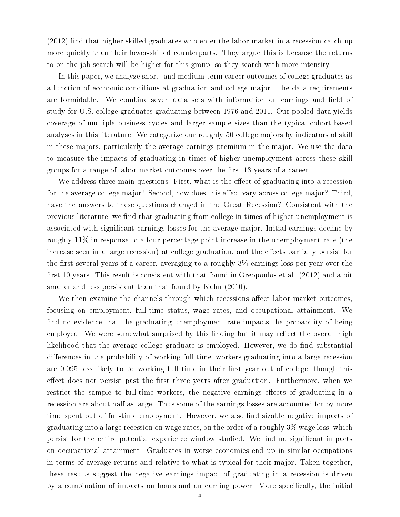$(2012)$  find that higher-skilled graduates who enter the labor market in a recession catch up more quickly than their lower-skilled counterparts. They argue this is because the returns to on-the-job search will be higher for this group, so they search with more intensity.

In this paper, we analyze short- and medium-term career outcomes of college graduates as a function of economic conditions at graduation and college major. The data requirements are formidable. We combine seven data sets with information on earnings and field of study for U.S. college graduates graduating between 1976 and 2011. Our pooled data yields coverage of multiple business cycles and larger sample sizes than the typical cohort-based analyses in this literature. We categorize our roughly 50 college majors by indicators of skill in these majors, particularly the average earnings premium in the major. We use the data to measure the impacts of graduating in times of higher unemployment across these skill groups for a range of labor market outcomes over the first 13 years of a career.

We address three main questions. First, what is the effect of graduating into a recession for the average college major? Second, how does this effect vary across college major? Third, have the answers to these questions changed in the Great Recession? Consistent with the previous literature, we find that graduating from college in times of higher unemployment is associated with significant earnings losses for the average major. Initial earnings decline by roughly 11% in response to a four percentage point increase in the unemployment rate (the increase seen in a large recession) at college graduation, and the effects partially persist for the first several years of a career, averaging to a roughly  $3\%$  earnings loss per year over the first 10 years. This result is consistent with that found in Oreopoulos et al.  $(2012)$  and a bit smaller and less persistent than that found by Kahn (2010).

We then examine the channels through which recessions affect labor market outcomes, focusing on employment, full-time status, wage rates, and occupational attainment. We find no evidence that the graduating unemployment rate impacts the probability of being employed. We were somewhat surprised by this finding but it may reflect the overall high likelihood that the average college graduate is employed. However, we do find substantial differences in the probability of working full-time; workers graduating into a large recession are  $0.095$  less likely to be working full time in their first year out of college, though this effect does not persist past the first three years after graduation. Furthermore, when we restrict the sample to full-time workers, the negative earnings effects of graduating in a recession are about half as large. Thus some of the earnings losses are accounted for by more time spent out of full-time employment. However, we also find sizable negative impacts of graduating into a large recession on wage rates, on the order of a roughly 3% wage loss, which persist for the entire potential experience window studied. We find no significant impacts on occupational attainment. Graduates in worse economies end up in similar occupations in terms of average returns and relative to what is typical for their major. Taken together, these results suggest the negative earnings impact of graduating in a recession is driven by a combination of impacts on hours and on earning power. More specifically, the initial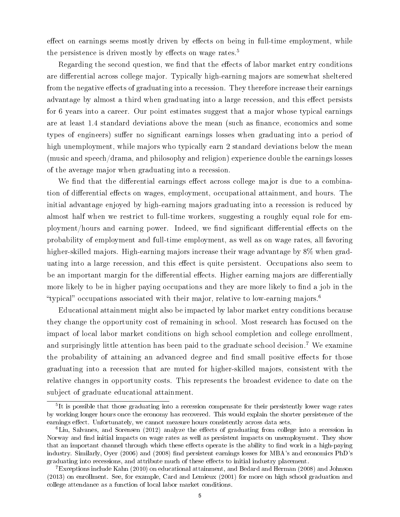effect on earnings seems mostly driven by effects on being in full-time employment, while the persistence is driven mostly by effects on wage rates.<sup>5</sup>

Regarding the second question, we find that the effects of labor market entry conditions are differential across college major. Typically high-earning majors are somewhat sheltered from the negative effects of graduating into a recession. They therefore increase their earnings advantage by almost a third when graduating into a large recession, and this effect persists for 6 years into a career. Our point estimates suggest that a major whose typical earnings are at least 1.4 standard deviations above the mean (such as finance, economics and some types of engineers) suffer no significant earnings losses when graduating into a period of high unemployment, while majors who typically earn 2 standard deviations below the mean (music and speech/drama, and philosophy and religion) experience double the earnings losses of the average major when graduating into a recession.

We find that the differential earnings effect across college major is due to a combination of differential effects on wages, employment, occupational attainment, and hours. The initial advantage enjoyed by high-earning majors graduating into a recession is reduced by almost half when we restrict to full-time workers, suggesting a roughly equal role for employment/hours and earning power. Indeed, we find significant differential effects on the probability of employment and full-time employment, as well as on wage rates, all favoring higher-skilled majors. High-earning majors increase their wage advantage by 8% when graduating into a large recession, and this effect is quite persistent. Occupations also seem to be an important margin for the differential effects. Higher earning majors are differentially more likely to be in higher paying occupations and they are more likely to find a job in the "typical" occupations associated with their major, relative to low-earning majors.<sup>6</sup>

Educational attainment might also be impacted by labor market entry conditions because they change the opportunity cost of remaining in school. Most research has focused on the impact of local labor market conditions on high school completion and college enrollment, and surprisingly little attention has been paid to the graduate school decision.<sup>7</sup> We examine the probability of attaining an advanced degree and find small positive effects for those graduating into a recession that are muted for higher-skilled majors, consistent with the relative changes in opportunity costs. This represents the broadest evidence to date on the subject of graduate educational attainment.

<sup>&</sup>lt;sup>5</sup>It is possible that those graduating into a recession compensate for their persistently lower wage rates by working longer hours once the economy has recovered. This would explain the shorter persistence of the earnings effect. Unfortunately, we cannot measure hours consistently across data sets.

 $6$ Liu, Salvanes, and Sorensen (2012) analyze the effects of graduating from college into a recession in Norway and find initial impacts on wage rates as well as persistent impacts on unemployment. They show that an important channel through which these effects operate is the ability to find work in a high-paying industry. Similarly, Over (2006) and (2008) find persistent earnings losses for MBA's and economics PhD's graduating into recessions, and attribute much of these effects to initial industry placement.

<sup>7</sup>Exceptions include Kahn (2010) on educational attainment, and Bedard and Herman (2008) and Johnson (2013) on enrollment. See, for example, Card and Lemieux (2001) for more on high school graduation and college attendance as a function of local labor market conditions.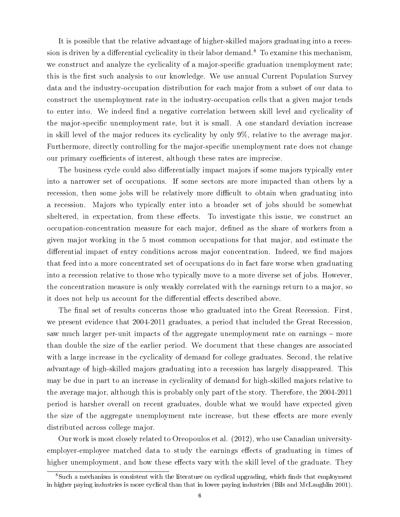It is possible that the relative advantage of higher-skilled majors graduating into a recession is driven by a differential cyclicality in their labor demand.<sup>8</sup> To examine this mechanism. we construct and analyze the cyclicality of a major-specific graduation unemployment rate; this is the first such analysis to our knowledge. We use annual Current Population Survey data and the industry-occupation distribution for each major from a subset of our data to construct the unemployment rate in the industry-occupation cells that a given major tends to enter into. We indeed find a negative correlation between skill level and cyclicality of the major-specific unemployment rate, but it is small. A one standard deviation increase in skill level of the major reduces its cyclicality by only 9%, relative to the average major. Furthermore, directly controlling for the major-specific unemployment rate does not change our primary coefficients of interest, although these rates are imprecise.

The business cycle could also differentially impact majors if some majors typically enter into a narrower set of occupations. If some sectors are more impacted than others by a recession, then some jobs will be relatively more difficult to obtain when graduating into a recession. Majors who typically enter into a broader set of jobs should be somewhat sheltered, in expectation, from these effects. To investigate this issue, we construct an occupation-concentration measure for each major, dened as the share of workers from a given major working in the 5 most common occupations for that major, and estimate the differential impact of entry conditions across major concentration. Indeed, we find majors that feed into a more concentrated set of occupations do in fact fare worse when graduating into a recession relative to those who typically move to a more diverse set of jobs. However, the concentration measure is only weakly correlated with the earnings return to a major, so it does not help us account for the differential effects described above.

The final set of results concerns those who graduated into the Great Recession. First, we present evidence that 2004-2011 graduates, a period that included the Great Recession, saw much larger per-unit impacts of the aggregate unemployment rate on earnings – more than double the size of the earlier period. We document that these changes are associated with a large increase in the cyclicality of demand for college graduates. Second, the relative advantage of high-skilled majors graduating into a recession has largely disappeared. This may be due in part to an increase in cyclicality of demand for high-skilled majors relative to the average major, although this is probably only part of the story. Therefore, the 2004-2011 period is harsher overall on recent graduates, double what we would have expected given the size of the aggregate unemployment rate increase, but these effects are more evenly distributed across college major.

Our work is most closely related to Oreopoulos et al. (2012), who use Canadian universityemployer-employee matched data to study the earnings effects of graduating in times of higher unemployment, and how these effects vary with the skill level of the graduate. They

<sup>&</sup>lt;sup>8</sup>Such a mechanism is consistent with the literature on cyclical upgrading, which finds that employment in higher paying industries is more cyclical than that in lower paying industries (Bils and McLaughlin 2001).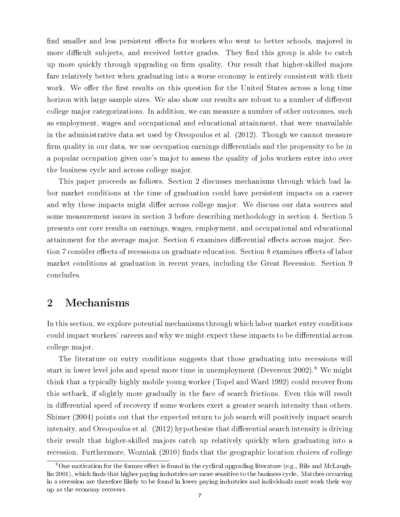find smaller and less persistent effects for workers who went to better schools, majored in more difficult subjects, and received better grades. They find this group is able to catch up more quickly through upgrading on firm quality. Our result that higher-skilled majors fare relatively better when graduating into a worse economy is entirely consistent with their work. We offer the first results on this question for the United States across a long time horizon with large sample sizes. We also show our results are robust to a number of different college major categorizations. In addition, we can measure a number of other outcomes, such as employment, wages and occupational and educational attainment, that were unavailable in the administrative data set used by Oreopoulos et al. (2012). Though we cannot measure firm quality in our data, we use occupation earnings differentials and the propensity to be in a popular occupation given one's major to assess the quality of jobs workers enter into over the business cycle and across college major.

This paper proceeds as follows. Section 2 discusses mechanisms through which bad labor market conditions at the time of graduation could have persistent impacts on a career and why these impacts might differ across college major. We discuss our data sources and some measurement issues in section 3 before describing methodology in section 4. Section 5 presents our core results on earnings, wages, employment, and occupational and educational attainment for the average major. Section 6 examines differential effects across major. Section 7 consider effects of recessions on graduate education. Section 8 examines effects of labor market conditions at graduation in recent years, including the Great Recession. Section 9 concludes.

## 2 Mechanisms

In this section, we explore potential mechanisms through which labor market entry conditions could impact workers' careers and why we might expect these impacts to be differential across college major.

The literature on entry conditions suggests that those graduating into recessions will start in lower level jobs and spend more time in unemployment (Devereux 2002).<sup>9</sup> We might think that a typically highly mobile young worker (Topel and Ward 1992) could recover from this setback, if slightly more gradually in the face of search frictions. Even this will result in differential speed of recovery if some workers exert a greater search intensity than others. Shimer (2004) points out that the expected return to job search will positively impact search intensity, and Oreopoulos et al. (2012) hypothesize that differential search intensity is driving their result that higher-skilled majors catch up relatively quickly when graduating into a recession. Furthermore, Wozniak (2010) finds that the geographic location choices of college

<sup>&</sup>lt;sup>9</sup>One motivation for the former effect is found in the cyclical upgrading literature (e.g., Bils and McLaughlin 2001), which finds that higher paying industries are more sensitive to the business cycle. Matches occurring in a recession are therefore likely to be found in lower paying industries and individuals must work their way up as the economy recovers.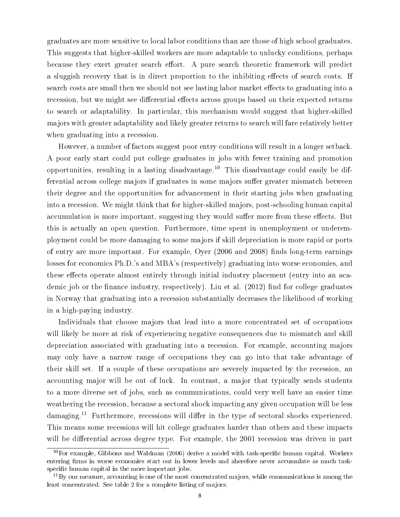graduates are more sensitive to local labor conditions than are those of high school graduates. This suggests that higher-skilled workers are more adaptable to unlucky conditions, perhaps because they exert greater search effort. A pure search theoretic framework will predict a sluggish recovery that is in direct proportion to the inhibiting effects of search costs. If search costs are small then we should not see lasting labor market effects to graduating into a recession, but we might see differential effects across groups based on their expected returns to search or adaptability. In particular, this mechanism would suggest that higher-skilled majors with greater adaptability and likely greater returns to search will fare relatively better when graduating into a recession.

However, a number of factors suggest poor entry conditions will result in a longer setback. A poor early start could put college graduates in jobs with fewer training and promotion opportunities, resulting in a lasting disadvantage.<sup>10</sup> This disadvantage could easily be differential across college majors if graduates in some majors suffer greater mismatch between their degree and the opportunities for advancement in their starting jobs when graduating into a recession. We might think that for higher-skilled majors, post-schooling human capital accumulation is more important, suggesting they would suffer more from these effects. But this is actually an open question. Furthermore, time spent in unemployment or underemployment could be more damaging to some majors if skill depreciation is more rapid or ports of entry are more important. For example, Oyer (2006 and 2008) finds long-term earnings losses for economics Ph.D.'s and MBA's (respectively) graduating into worse economies, and these effects operate almost entirely through initial industry placement (entry into an academic job or the finance industry, respectively). Liu et al.  $(2012)$  find for college graduates in Norway that graduating into a recession substantially decreases the likelihood of working in a high-paying industry.

Individuals that choose majors that lead into a more concentrated set of occupations will likely be more at risk of experiencing negative consequences due to mismatch and skill depreciation associated with graduating into a recession. For example, accounting majors may only have a narrow range of occupations they can go into that take advantage of their skill set. If a couple of these occupations are severely impacted by the recession, an accounting major will be out of luck. In contrast, a major that typically sends students to a more diverse set of jobs, such as communications, could very well have an easier time weathering the recession, because a sectoral shock impacting any given occupation will be less damaging.<sup>11</sup> Furthermore, recessions will differ in the type of sectoral shocks experienced. This means some recessions will hit college graduates harder than others and these impacts will be differential across degree type. For example, the 2001 recession was driven in part

 $10$ For example, Gibbons and Waldman (2006) derive a model with task-specific human capital. Workers entering firms in worse economies start out in lower levels and aherefore never accumulate as much taskspecific human capital in the more important jobs.

 $11\,\text{By}$  our measure, accounting is one of the most concentrated majors, while communications is among the least concentrated. See table 2 for a complete listing of majors.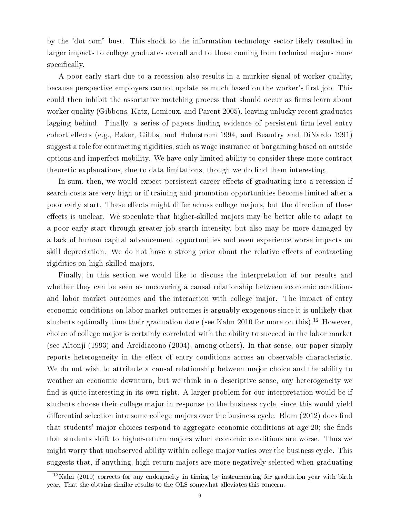by the "dot com" bust. This shock to the information technology sector likely resulted in larger impacts to college graduates overall and to those coming from technical majors more specifically.

A poor early start due to a recession also results in a murkier signal of worker quality, because perspective employers cannot update as much based on the worker's first job. This could then inhibit the assortative matching process that should occur as firms learn about worker quality (Gibbons, Katz, Lemieux, and Parent 2005), leaving unlucky recent graduates lagging behind. Finally, a series of papers finding evidence of persistent firm-level entry cohort effects (e.g., Baker, Gibbs, and Holmstrom 1994, and Beaudry and DiNardo 1991) suggest a role for contracting rigidities, such as wage insurance or bargaining based on outside options and imperfect mobility. We have only limited ability to consider these more contract theoretic explanations, due to data limitations, though we do find them interesting.

In sum, then, we would expect persistent career effects of graduating into a recession if search costs are very high or if training and promotion opportunities become limited after a poor early start. These effects might differ across college majors, but the direction of these effects is unclear. We speculate that higher-skilled majors may be better able to adapt to a poor early start through greater job search intensity, but also may be more damaged by a lack of human capital advancement opportunities and even experience worse impacts on skill depreciation. We do not have a strong prior about the relative effects of contracting rigidities on high skilled majors.

Finally, in this section we would like to discuss the interpretation of our results and whether they can be seen as uncovering a causal relationship between economic conditions and labor market outcomes and the interaction with college major. The impact of entry economic conditions on labor market outcomes is arguably exogenous since it is unlikely that students optimally time their graduation date (see Kahn 2010 for more on this).<sup>12</sup> However, choice of college major is certainly correlated with the ability to succeed in the labor market (see Altonji (1993) and Arcidiacono (2004), among others). In that sense, our paper simply reports heterogeneity in the effect of entry conditions across an observable characteristic. We do not wish to attribute a causal relationship between major choice and the ability to weather an economic downturn, but we think in a descriptive sense, any heterogeneity we find is quite interesting in its own right. A larger problem for our interpretation would be if students choose their college major in response to the business cycle, since this would yield differential selection into some college majors over the business cycle. Blom  $(2012)$  does find that students' major choices respond to aggregate economic conditions at age 20; she finds that students shift to higher-return majors when economic conditions are worse. Thus we might worry that unobserved ability within college major varies over the business cycle. This suggests that, if anything, high-return majors are more negatively selected when graduating

 $12$ Kahn (2010) corrects for any endogeneity in timing by instrumenting for graduation year with birth year. That she obtains similar results to the OLS somewhat alleviates this concern.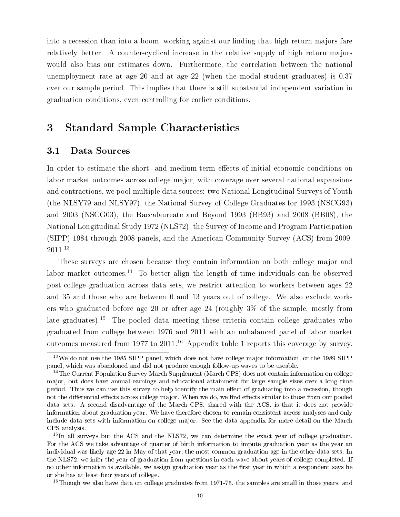into a recession than into a boom, working against our finding that high return majors fare relatively better. A counter-cyclical increase in the relative supply of high return majors would also bias our estimates down. Furthermore, the correlation between the national unemployment rate at age 20 and at age 22 (when the modal student graduates) is 0.37 over our sample period. This implies that there is still substantial independent variation in graduation conditions, even controlling for earlier conditions.

# 3 Standard Sample Characteristics

### 3.1 Data Sources

In order to estimate the short- and medium-term effects of initial economic conditions on labor market outcomes across college major, with coverage over several national expansions and contractions, we pool multiple data sources: two National Longitudinal Surveys of Youth (the NLSY79 and NLSY97), the National Survey of College Graduates for 1993 (NSCG93) and 2003 (NSCG03), the Baccalaureate and Beyond 1993 (BB93) and 2008 (BB08), the National Longitudinal Study 1972 (NLS72), the Survey of Income and Program Participation (SIPP) 1984 through 2008 panels, and the American Community Survey (ACS) from 2009- 2011.<sup>13</sup>

These surveys are chosen because they contain information on both college major and labor market outcomes.<sup>14</sup> To better align the length of time individuals can be observed post-college graduation across data sets, we restrict attention to workers between ages 22 and 35 and those who are between 0 and 13 years out of college. We also exclude workers who graduated before age 20 or after age 24 (roughly 3% of the sample, mostly from late graduates).<sup>15</sup> The pooled data meeting these criteria contain college graduates who graduated from college between 1976 and 2011 with an unbalanced panel of labor market outcomes measured from 1977 to  $2011<sup>16</sup>$  Appendix table 1 reports this coverage by survey.

 $16$ Though we also have data on college graduates from 1971-75, the samples are small in those years, and

<sup>&</sup>lt;sup>13</sup>We do not use the 1985 SIPP panel, which does not have college major information, or the 1989 SIPP panel, which was abandoned and did not produce enough follow-up waves to be useable.

<sup>&</sup>lt;sup>14</sup>The Current Population Survey March Supplement (March CPS) does not contain information on college major, but does have annual earnings and educational attainment for large sample sizes over a long time period. Thus we can use this survey to help identify the main effect of graduating into a recession, though not the differential effects across college major. When we do, we find effects similar to those from our pooled data sets. A second disadvantage of the March CPS, shared with the ACS, is that it does not provide information about graduation year. We have therefore chosen to remain consistent across analyses and only include data sets with information on college major. See the data appendix for more detail on the March CPS analysis.

<sup>&</sup>lt;sup>15</sup>In all surveys but the ACS and the NLS72, we can determine the exact year of college graduation. For the ACS we take advantage of quarter of birth information to impute graduation year as the year an individual was likely age 22 in May of that year, the most common graduation age in the other data sets. In the NLS72, we infer the year of graduation from questions in each wave about years of college completed. If no other information is available, we assign graduation year as the first year in which a respondent says he or she has at least four years of college.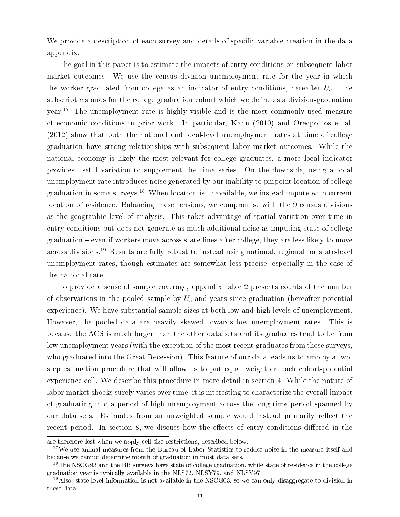We provide a description of each survey and details of specific variable creation in the data appendix.

The goal in this paper is to estimate the impacts of entry conditions on subsequent labor market outcomes. We use the census division unemployment rate for the year in which the worker graduated from college as an indicator of entry conditions, hereafter  $U_c$ . The subscript c stands for the college graduation cohort which we define as a division-graduation year.<sup>17</sup> The unemployment rate is highly visible and is the most commonly-used measure of economic conditions in prior work. In particular, Kahn (2010) and Oreopoulos et al. (2012) show that both the national and local-level unemployment rates at time of college graduation have strong relationships with subsequent labor market outcomes. While the national economy is likely the most relevant for college graduates, a more local indicator provides useful variation to supplement the time series. On the downside, using a local unemployment rate introduces noise generated by our inability to pinpoint location of college graduation in some surveys.<sup>18</sup> When location is unavailable, we instead impute with current location of residence. Balancing these tensions, we compromise with the 9 census divisions as the geographic level of analysis. This takes advantage of spatial variation over time in entry conditions but does not generate as much additional noise as imputing state of college graduation even if workers move across state lines after college, they are less likely to move across divisions.<sup>19</sup> Results are fully robust to instead using national, regional, or state-level unemployment rates, though estimates are somewhat less precise, especially in the case of the national rate.

To provide a sense of sample coverage, appendix table 2 presents counts of the number of observations in the pooled sample by  $U_c$  and years since graduation (hereafter potential experience). We have substantial sample sizes at both low and high levels of unemployment. However, the pooled data are heavily skewed towards low unemployment rates. This is because the ACS is much larger than the other data sets and its graduates tend to be from low unemployment years (with the exception of the most recent graduates from these surveys, who graduated into the Great Recession). This feature of our data leads us to employ a twostep estimation procedure that will allow us to put equal weight on each cohort-potential experience cell. We describe this procedure in more detail in section 4. While the nature of labor market shocks surely varies over time, it is interesting to characterize the overall impact of graduating into a period of high unemployment across the long time period spanned by our data sets. Estimates from an unweighted sample would instead primarily reflect the recent period. In section 8, we discuss how the effects of entry conditions differed in the

are therefore lost when we apply cell-size restrictions, described below.

<sup>&</sup>lt;sup>17</sup>We use annual measures from the Bureau of Labor Statistics to reduce noise in the measure itself and because we cannot determine month of graduation in most data sets.

<sup>&</sup>lt;sup>18</sup>The NSCG93 and the BB surveys have state of college graduation, while state of residence in the college graduation year is typically available in the NLS72, NLSY79, and NLSY97.

<sup>&</sup>lt;sup>19</sup>Also, state-level information is not available in the NSCG03, so we can only disaggregate to division in these data.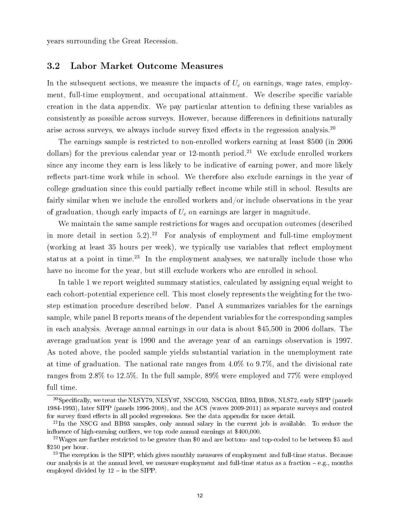years surrounding the Great Recession.

#### 3.2 Labor Market Outcome Measures

In the subsequent sections, we measure the impacts of  $U_c$  on earnings, wage rates, employment, full-time employment, and occupational attainment. We describe specific variable creation in the data appendix. We pay particular attention to dening these variables as consistently as possible across surveys. However, because differences in definitions naturally arise across surveys, we always include survey fixed effects in the regression analysis.<sup>20</sup>

The earnings sample is restricted to non-enrolled workers earning at least \$500 (in 2006 dollars) for the previous calendar year or 12-month period.<sup>21</sup> We exclude enrolled workers since any income they earn is less likely to be indicative of earning power, and more likely reflects part-time work while in school. We therefore also exclude earnings in the year of college graduation since this could partially reflect income while still in school. Results are fairly similar when we include the enrolled workers and/or include observations in the year of graduation, though early impacts of  $U_c$  on earnings are larger in magnitude.

We maintain the same sample restrictions for wages and occupation outcomes (described in more detail in section  $5.2$ ).<sup>22</sup> For analysis of employment and full-time employment (working at least  $35$  hours per week), we typically use variables that reflect employment status at a point in time.<sup>23</sup> In the employment analyses, we naturally include those who have no income for the year, but still exclude workers who are enrolled in school.

In table 1 we report weighted summary statistics, calculated by assigning equal weight to each cohort-potential experience cell. This most closely represents the weighting for the twostep estimation procedure described below. Panel A summarizes variables for the earnings sample, while panel B reports means of the dependent variables for the corresponding samples in each analysis. Average annual earnings in our data is about \$45,500 in 2006 dollars. The average graduation year is 1990 and the average year of an earnings observation is 1997. As noted above, the pooled sample yields substantial variation in the unemployment rate at time of graduation. The national rate ranges from 4.0% to 9.7%, and the divisional rate ranges from 2.8% to 12.5%. In the full sample, 89% were employed and 77% were employed full time.

<sup>&</sup>lt;sup>20</sup>Specifically, we treat the NLSY79, NLSY97, NSCG93, NSCG03, BB93, BB08, NLS72, early SIPP (panels 1984-1993), later SIPP (panels 1996-2008), and the ACS (waves 2009-2011) as separate surveys and control for survey fixed effects in all pooled regressions. See the data appendix for more detail.

<sup>&</sup>lt;sup>21</sup>In the NSCG and BB93 samples, only annual salary in the current job is available. To reduce the influence of high-earning outliers, we top code annual earnings at \$400,000.

<sup>&</sup>lt;sup>22</sup>Wages are further restricted to be greater than \$0 and are bottom- and top-coded to be between \$5 and \$250 per hour.

<sup>&</sup>lt;sup>23</sup>The exception is the SIPP, which gives monthly measures of employment and full-time status. Because our analysis is at the annual level, we measure employment and full-time status as a fraction  $-e.g.,$  months employed divided by  $12 - in$  the SIPP.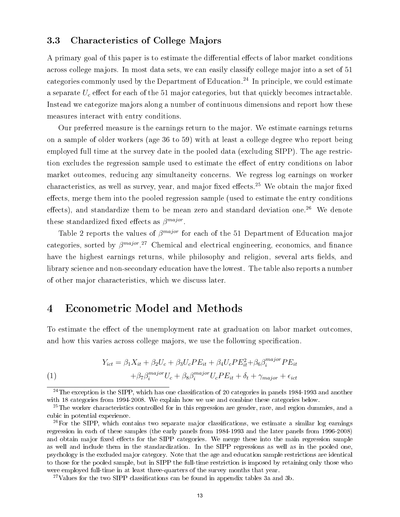### 3.3 Characteristics of College Majors

A primary goal of this paper is to estimate the differential effects of labor market conditions across college majors. In most data sets, we can easily classify college major into a set of 51 categories commonly used by the Department of Education.<sup>24</sup> In principle, we could estimate a separate  $U_c$  effect for each of the 51 major categories, but that quickly becomes intractable. Instead we categorize majors along a number of continuous dimensions and report how these measures interact with entry conditions.

Our preferred measure is the earnings return to the major. We estimate earnings returns on a sample of older workers (age 36 to 59) with at least a college degree who report being employed full time at the survey date in the pooled data (excluding SIPP). The age restriction excludes the regression sample used to estimate the effect of entry conditions on labor market outcomes, reducing any simultaneity concerns. We regress log earnings on worker characteristics, as well as survey, year, and major fixed effects.<sup>25</sup> We obtain the major fixed effects, merge them into the pooled regression sample (used to estimate the entry conditions effects), and standardize them to be mean zero and standard deviation one.<sup>26</sup> We denote these standardized fixed effects as  $\beta^{major}$ .

Table 2 reports the values of  $\beta^{major}$  for each of the 51 Department of Education major categories, sorted by  $\beta^{major}$ .<sup>27</sup> Chemical and electrical engineering, economics, and finance have the highest earnings returns, while philosophy and religion, several arts fields, and library science and non-secondary education have the lowest. The table also reports a number of other major characteristics, which we discuss later.

# 4 Econometric Model and Methods

To estimate the effect of the unemployment rate at graduation on labor market outcomes, and how this varies across college majors, we use the following specification.

(1)  
\n
$$
Y_{ict} = \beta_1 X_{it} + \beta_2 U_c + \beta_3 U_c P E_{it} + \beta_4 U_c P E_{it}^2 + \beta_6 \beta_i^{major} P E_{it}
$$
\n
$$
+ \beta_7 \beta_i^{major} U_c + \beta_8 \beta_i^{major} U_c P E_{it} + \delta_t + \gamma_{major} + \epsilon_{ict}
$$

 $^{24}$ The exception is the SIPP, which has one classification of 20 categories in panels 1984-1993 and another with 18 categories from 1994-2008. We explain how we use and combine these categories below.

<sup>&</sup>lt;sup>25</sup>The worker characteristics controlled for in this regression are gender, race, and region dummies, and a cubic in potential experience.

 $^{26}$ For the SIPP, which contains two separate major classifications, we estimate a similar log earnings regression in each of these samples (the early panels from 1984-1993 and the later panels from 1996-2008) and obtain major fixed effects for the SIPP categories. We merge these into the main regression sample as well and include them in the standardization. In the SIPP regressions as well as in the pooled one, psychology is the excluded major category. Note that the age and education sample restrictions are identical to those for the pooled sample, but in SIPP the full-time restriction is imposed by retaining only those who were employed full-time in at least three-quarters of the survey months that year.

<sup>&</sup>lt;sup>27</sup>Values for the two SIPP classifications can be found in appendix tables  $3a$  and  $3b$ .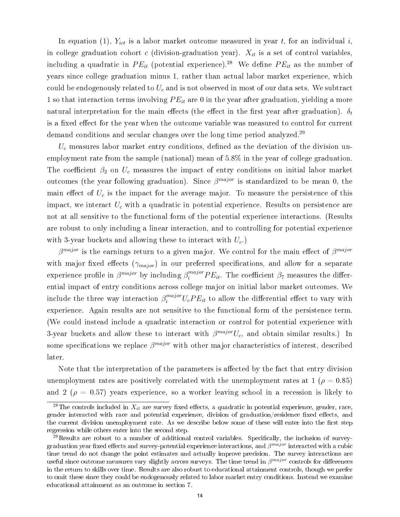In equation (1),  $Y_{ict}$  is a labor market outcome measured in year t, for an individual i, in college graduation cohort c (division-graduation year).  $X_{it}$  is a set of control variables, including a quadratic in  $PE_{it}$  (potential experience).<sup>28</sup> We define  $PE_{it}$  as the number of years since college graduation minus 1, rather than actual labor market experience, which could be endogenously related to  $U_c$  and is not observed in most of our data sets. We subtract 1 so that interaction terms involving  $PE_{it}$  are 0 in the year after graduation, yielding a more natural interpretation for the main effects (the effect in the first year after graduation).  $\delta_t$ is a fixed effect for the year when the outcome variable was measured to control for current demand conditions and secular changes over the long time period analyzed.<sup>29</sup>

 $U_c$  measures labor market entry conditions, defined as the deviation of the division unemployment rate from the sample (national) mean of 5.8% in the year of college graduation. The coefficient  $\beta_2$  on  $U_c$  measures the impact of entry conditions on initial labor market outcomes (the year following graduation). Since  $\beta^{major}$  is standardized to be mean 0, the main effect of  $U_c$  is the impact for the average major. To measure the persistence of this impact, we interact  $U_c$  with a quadratic in potential experience. Results on persistence are not at all sensitive to the functional form of the potential experience interactions. (Results are robust to only including a linear interaction, and to controlling for potential experience with 3-year buckets and allowing these to interact with  $U_c$ .

 $\beta^{major}$  is the earnings return to a given major. We control for the main effect of  $\beta^{major}$ with major fixed effects  $(\gamma_{major})$  in our preferred specifications, and allow for a separate experience profile in  $\beta^{major}$  by including  $\beta^{major}_i PE_{it}$ . The coefficient  $\beta_7$  measures the differential impact of entry conditions across college major on initial labor market outcomes. We include the three way interaction  $\beta_i^{major} U_cPE_{it}$  to allow the differential effect to vary with experience. Again results are not sensitive to the functional form of the persistence term. (We could instead include a quadratic interaction or control for potential experience with 3-year buckets and allow these to interact with  $\beta^{major}U_c$ , and obtain similar results.) In some specifications we replace  $\beta^{major}$  with other major characteristics of interest, described later.

Note that the interpretation of the parameters is affected by the fact that entry division unemployment rates are positively correlated with the unemployment rates at 1 ( $\rho = 0.85$ ) and 2 ( $\rho = 0.57$ ) years experience, so a worker leaving school in a recession is likely to

<sup>&</sup>lt;sup>28</sup>The controls included in  $X_{it}$  are survey fixed effects, a quadratic in potential experience, gender, race, gender interacted with race and potential experience, division of graduation/residence fixed effects, and the current division unemployment rate. As we describe below some of these will enter into the first step regression while others enter into the second step.

<sup>&</sup>lt;sup>29</sup>Results are robust to a number of additional control variables. Specifically, the inclusion of surveygraduation year fixed effects and survey-potential experience interactions, and  $\beta^{major}$  interacted with a cubic time trend do not change the point estimates and actually improve precision. The survey interactions are useful since outcome measures vary slightly across surveys. The time trend in  $\beta^{major}$  controls for differences in the return to skills over time. Results are also robust to educational attainment controls, though we prefer to omit these since they could be endogenously related to labor market entry conditions. Instead we examine educational attainment as an outcome in section 7.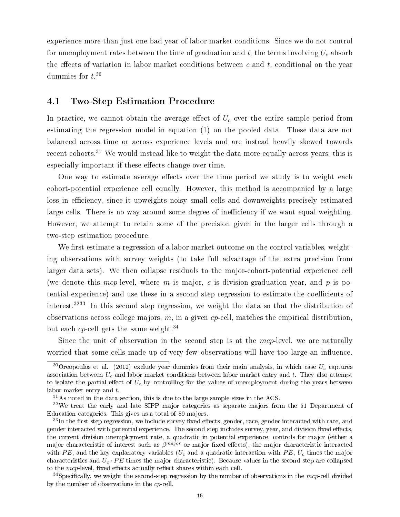experience more than just one bad year of labor market conditions. Since we do not control for unemployment rates between the time of graduation and t, the terms involving  $U_c$  absorb the effects of variation in labor market conditions between  $c$  and  $t$ , conditional on the year dummies for  $t.^{30}$ 

### 4.1 Two-Step Estimation Procedure

In practice, we cannot obtain the average effect of  $U_c$  over the entire sample period from estimating the regression model in equation (1) on the pooled data. These data are not balanced across time or across experience levels and are instead heavily skewed towards recent cohorts.<sup>31</sup> We would instead like to weight the data more equally across years; this is especially important if these effects change over time.

One way to estimate average effects over the time period we study is to weight each cohort-potential experience cell equally. However, this method is accompanied by a large loss in efficiency, since it upweights noisy small cells and downweights precisely estimated large cells. There is no way around some degree of inefficiency if we want equal weighting. However, we attempt to retain some of the precision given in the larger cells through a two-step estimation procedure.

We first estimate a regression of a labor market outcome on the control variables, weighting observations with survey weights (to take full advantage of the extra precision from larger data sets). We then collapse residuals to the major-cohort-potential experience cell (we denote this mcp-level, where m is major, c is division-graduation year, and p is potential experience) and use these in a second step regression to estimate the coefficients of interest.<sup>3233</sup> In this second step regression, we weight the data so that the distribution of observations across college majors,  $m$ , in a given  $cp$ -cell, matches the empirical distribution, but each cp-cell gets the same weight.<sup>34</sup>

Since the unit of observation in the second step is at the  $mcp$ -level, we are naturally worried that some cells made up of very few observations will have too large an influence.

<sup>&</sup>lt;sup>30</sup>Oreopoulos et al. (2012) exclude year dummies from their main analysis, in which case  $U_c$  captures association between  $U_c$  and labor market conditions between labor market entry and t. They also attempt to isolate the partial effect of  $U_c$  by controlling for the values of unemployment during the years between labor market entry and  $t$ .

 $31\text{As}$  noted in the data section, this is due to the large sample sizes in the ACS.

<sup>&</sup>lt;sup>32</sup>We treat the early and late SIPP major categories as separate majors from the 51 Department of Education categories. This gives us a total of 89 majors.

 $33$ In the first step regression, we include survey fixed effects, gender, race, gender interacted with race, and gender interacted with potential experience. The second step includes survey, year, and division fixed effects, the current division unemployment rate, a quadratic in potential experience, controls for major (either a major characteristic of interest such as  $\beta^{major}$  or major fixed effects), the major characteristic interacted with PE, and the key explanatory variables  $(U_c$  and a quadratic interaction with PE,  $U_c$  times the major characteristics and  $U_c \cdot PE$  times the major characteristic). Because values in the second step are collapsed to the  $mcp$ -level, fixed effects actually reflect shares within each cell.

<sup>&</sup>lt;sup>34</sup>Specifically, we weight the second-step regression by the number of observations in the mcp-cell divided by the number of observations in the cp-cell.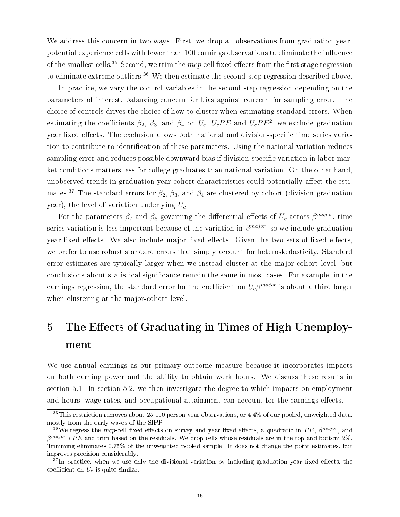We address this concern in two ways. First, we drop all observations from graduation yearpotential experience cells with fewer than 100 earnings observations to eliminate the influence of the smallest cells.<sup>35</sup> Second, we trim the mcp-cell fixed effects from the first stage regression to eliminate extreme outliers.<sup>36</sup> We then estimate the second-step regression described above.

In practice, we vary the control variables in the second-step regression depending on the parameters of interest, balancing concern for bias against concern for sampling error. The choice of controls drives the choice of how to cluster when estimating standard errors. When estimating the coefficients  $\beta_2$ ,  $\beta_3$ , and  $\beta_4$  on  $U_c$ ,  $U_cPE$  and  $U_cPE^2$ , we exclude graduation year fixed effects. The exclusion allows both national and division-specific time series variation to contribute to identification of these parameters. Using the national variation reduces sampling error and reduces possible downward bias if division-specific variation in labor market conditions matters less for college graduates than national variation. On the other hand, unobserved trends in graduation year cohort characteristics could potentially affect the estimates.<sup>37</sup> The standard errors for  $\beta_2$ ,  $\beta_3$ , and  $\beta_4$  are clustered by cohort (division-graduation year), the level of variation underlying  $U_c$ .

For the parameters  $\beta_7$  and  $\beta_8$  governing the differential effects of  $U_c$  across  $\beta^{major}$ , time series variation is less important because of the variation in  $\beta^{major}$ , so we include graduation year fixed effects. We also include major fixed effects. Given the two sets of fixed effects, we prefer to use robust standard errors that simply account for heteroskedasticity. Standard error estimates are typically larger when we instead cluster at the major-cohort level, but conclusions about statistical signicance remain the same in most cases. For example, in the earnings regression, the standard error for the coefficient on  $U_c\beta^{major}$  is about a third larger when clustering at the major-cohort level.

# 5 The Effects of Graduating in Times of High Unemployment

We use annual earnings as our primary outcome measure because it incorporates impacts on both earning power and the ability to obtain work hours. We discuss these results in section 5.1. In section 5.2, we then investigate the degree to which impacts on employment and hours, wage rates, and occupational attainment can account for the earnings effects.

 $35$ This restriction removes about 25,000 person-year observations, or 4.4% of our pooled, unweighted data, mostly from the early waves of the SIPP.

<sup>&</sup>lt;sup>36</sup>We regress the mcp-cell fixed effects on survey and year fixed effects, a quadratic in PE,  $\beta^{major}$ , and  $\beta^{major} * PE$  and trim based on the residuals. We drop cells whose residuals are in the top and bottom 2%. Trimming eliminates 0.75% of the unweighted pooled sample. It does not change the point estimates, but improves precision considerably.

 $37$ In practice, when we use only the divisional variation by including graduation year fixed effects, the coefficient on  $U_c$  is quite similar.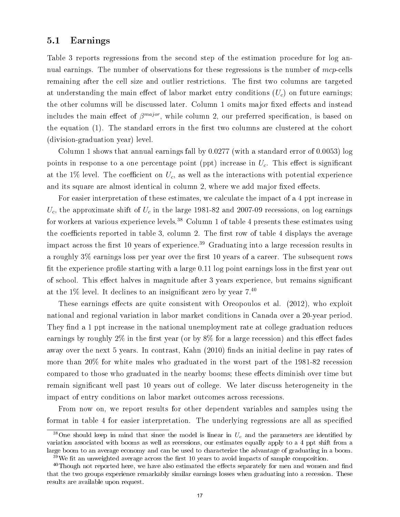### 5.1 Earnings

Table 3 reports regressions from the second step of the estimation procedure for log annual earnings. The number of observations for these regressions is the number of mcp-cells remaining after the cell size and outlier restrictions. The first two columns are targeted at understanding the main effect of labor market entry conditions  $(U_c)$  on future earnings; the other columns will be discussed later. Column 1 omits major fixed effects and instead includes the main effect of  $\beta^{major}$ , while column 2, our preferred specification, is based on the equation  $(1)$ . The standard errors in the first two columns are clustered at the cohort (division-graduation year) level.

Column 1 shows that annual earnings fall by  $0.0277$  (with a standard error of  $0.0053$ ) log points in response to a one percentage point (ppt) increase in  $U_c$ . This effect is significant at the 1% level. The coefficient on  $U_c$ , as well as the interactions with potential experience and its square are almost identical in column 2, where we add major fixed effects.

For easier interpretation of these estimates, we calculate the impact of a 4 ppt increase in  $U_c$ , the approximate shift of  $U_c$  in the large 1981-82 and 2007-09 recessions, on log earnings for workers at various experience levels.<sup>38</sup> Column 1 of table 4 presents these estimates using the coefficients reported in table 3, column 2. The first row of table 4 displays the average impact across the first 10 years of experience.<sup>39</sup> Graduating into a large recession results in a roughly  $3\%$  earnings loss per year over the first 10 years of a career. The subsequent rows fit the experience profile starting with a large  $0.11$  log point earnings loss in the first year out of school. This effect halves in magnitude after 3 years experience, but remains significant at the  $1\%$  level. It declines to an insignificant zero by year  $7.40$ 

These earnings effects are quite consistent with Oreopoulos et al.  $(2012)$ , who exploit national and regional variation in labor market conditions in Canada over a 20-year period. They find a 1 ppt increase in the national unemployment rate at college graduation reduces earnings by roughly  $2\%$  in the first year (or by  $8\%$  for a large recession) and this effect fades away over the next 5 years. In contrast, Kahn (2010) finds an initial decline in pay rates of more than 20% for white males who graduated in the worst part of the 1981-82 recession compared to those who graduated in the nearby booms; these effects diminish over time but remain significant well past 10 years out of college. We later discuss heterogeneity in the impact of entry conditions on labor market outcomes across recessions.

From now on, we report results for other dependent variables and samples using the format in table 4 for easier interpretation. The underlying regressions are all as specified

<sup>&</sup>lt;sup>38</sup>One should keep in mind that since the model is linear in  $U_c$  and the parameters are identified by variation associated with booms as well as recessions, our estimates equally apply to a 4 ppt shift from a large boom to an average economy and can be used to characterize the advantage of graduating in a boom.  $39\,\text{We fit an unweighted average across the first 10 years to avoid impacts of sample composition.}$ 

 $40$ Though not reported here, we have also estimated the effects separately for men and women and find that the two groups experience remarkably similar earnings losses when graduating into a recession. These results are available upon request.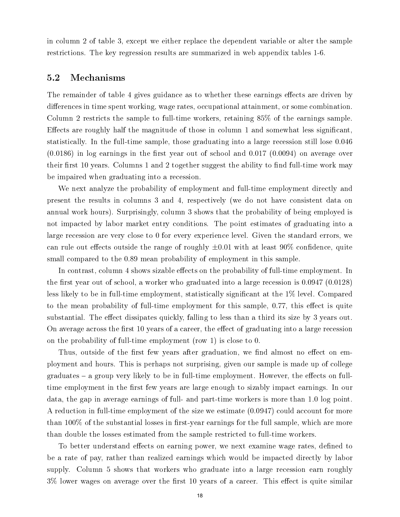in column 2 of table 3, except we either replace the dependent variable or alter the sample restrictions. The key regression results are summarized in web appendix tables 1-6.

#### 5.2 Mechanisms

The remainder of table 4 gives guidance as to whether these earnings effects are driven by differences in time spent working, wage rates, occupational attainment, or some combination. Column 2 restricts the sample to full-time workers, retaining 85% of the earnings sample. Effects are roughly half the magnitude of those in column 1 and somewhat less significant. statistically. In the full-time sample, those graduating into a large recession still lose 0.046  $(0.0186)$  in log earnings in the first year out of school and  $(0.017)(0.0094)$  on average over their first 10 years. Columns 1 and 2 together suggest the ability to find full-time work may be impaired when graduating into a recession.

We next analyze the probability of employment and full-time employment directly and present the results in columns 3 and 4, respectively (we do not have consistent data on annual work hours). Surprisingly, column 3 shows that the probability of being employed is not impacted by labor market entry conditions. The point estimates of graduating into a large recession are very close to 0 for every experience level. Given the standard errors, we can rule out effects outside the range of roughly  $\pm 0.01$  with at least 90% confidence, quite small compared to the 0.89 mean probability of employment in this sample.

In contrast, column 4 shows sizable effects on the probability of full-time employment. In the first year out of school, a worker who graduated into a large recession is  $0.0947 (0.0128)$ less likely to be in full-time employment, statistically significant at the 1% level. Compared to the mean probability of full-time employment for this sample,  $0.77$ , this effect is quite substantial. The effect dissipates quickly, falling to less than a third its size by 3 years out. On average across the first 10 years of a career, the effect of graduating into a large recession on the probability of full-time employment (row 1) is close to 0.

Thus, outside of the first few years after graduation, we find almost no effect on employment and hours. This is perhaps not surprising, given our sample is made up of college  $graduates - a group very likely to be in full-time employment. However, the effects on full$ time employment in the first few years are large enough to sizably impact earnings. In our data, the gap in average earnings of full- and part-time workers is more than 1.0 log point. A reduction in full-time employment of the size we estimate (0.0947) could account for more than  $100\%$  of the substantial losses in first-year earnings for the full sample, which are more than double the losses estimated from the sample restricted to full-time workers.

To better understand effects on earning power, we next examine wage rates, defined to be a rate of pay, rather than realized earnings which would be impacted directly by labor supply. Column 5 shows that workers who graduate into a large recession earn roughly  $3\%$  lower wages on average over the first 10 years of a career. This effect is quite similar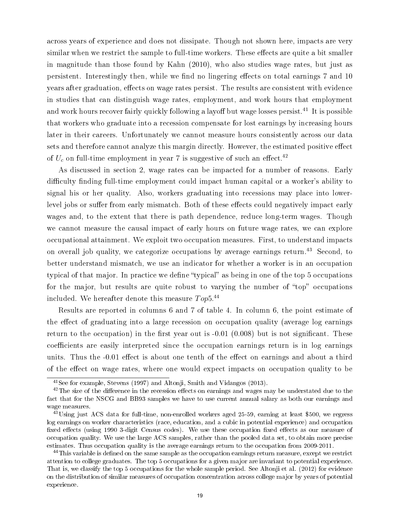across years of experience and does not dissipate. Though not shown here, impacts are very similar when we restrict the sample to full-time workers. These effects are quite a bit smaller in magnitude than those found by Kahn (2010), who also studies wage rates, but just as persistent. Interestingly then, while we find no lingering effects on total earnings 7 and 10 years after graduation, effects on wage rates persist. The results are consistent with evidence in studies that can distinguish wage rates, employment, and work hours that employment and work hours recover fairly quickly following a layoff but wage losses persist.<sup>41</sup> It is possible that workers who graduate into a recession compensate for lost earnings by increasing hours later in their careers. Unfortunately we cannot measure hours consistently across our data sets and therefore cannot analyze this margin directly. However, the estimated positive effect of  $U_c$  on full-time employment in year 7 is suggestive of such an effect.<sup>42</sup>

As discussed in section 2, wage rates can be impacted for a number of reasons. Early difficulty finding full-time employment could impact human capital or a worker's ability to signal his or her quality. Also, workers graduating into recessions may place into lowerlevel jobs or suffer from early mismatch. Both of these effects could negatively impact early wages and, to the extent that there is path dependence, reduce long-term wages. Though we cannot measure the causal impact of early hours on future wage rates, we can explore occupational attainment. We exploit two occupation measures. First, to understand impacts on overall job quality, we categorize occupations by average earnings return.<sup>43</sup> Second, to better understand mismatch, we use an indicator for whether a worker is in an occupation typical of that major. In practice we define "typical" as being in one of the top 5 occupations for the major, but results are quite robust to varying the number of "top" occupations included. We hereafter denote this measure  $Top 5.^{\tiny 44}$ 

Results are reported in columns 6 and 7 of table 4. In column 6, the point estimate of the effect of graduating into a large recession on occupation quality (average log earnings return to the occupation) in the first year out is  $-0.01$   $(0.008)$  but is not significant. These coefficients are easily interpreted since the occupation earnings return is in log earnings units. Thus the -0.01 effect is about one tenth of the effect on earnings and about a third of the effect on wage rates, where one would expect impacts on occupation quality to be

 $41$ See for example, Stevens (1997) and Altonii, Smith and Vidangos (2013).

 $^{42}$ The size of the difference in the recession effects on earnings and wages may be understated due to the fact that for the NSCG and BB93 samples we have to use current annual salary as both our earnings and wage measures.

<sup>&</sup>lt;sup>43</sup>Using just ACS data for full-time, non-enrolled workers aged 25-59, earning at least \$500, we regress log earnings on worker characteristics (race, education, and a cubic in potential experience) and occupation fixed effects (using 1990 3-digit Census codes). We use these occupation fixed effects as our measure of occupation quality. We use the large ACS samples, rather than the pooled data set, to obtain more precise estimates. Thus occupation quality is the average earnings return to the occupation from 2009-2011.

 $^{44}$ This variable is defined on the same sample as the occupation earnings return measure, except we restrict attention to college graduates. The top 5 occupations for a given major are invariant to potential experience. That is, we classify the top 5 occupations for the whole sample period. See Altonji et al. (2012) for evidence on the distribution of similar measures of occupation concentration across college major by years of potential experience.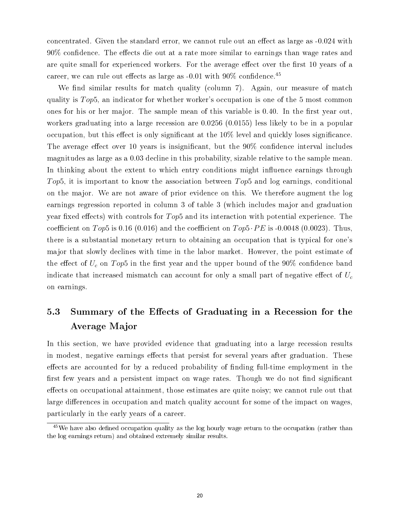concentrated. Given the standard error, we cannot rule out an effect as large as  $-0.024$  with  $90\%$  confidence. The effects die out at a rate more similar to earnings than wage rates and are quite small for experienced workers. For the average effect over the first 10 years of a career, we can rule out effects as large as  $-0.01$  with  $90\%$  confidence.<sup>45</sup>

We find similar results for match quality (column 7). Again, our measure of match quality is  $Top5$ , an indicator for whether worker's occupation is one of the 5 most common ones for his or her major. The sample mean of this variable is  $0.40$ . In the first year out, workers graduating into a large recession are 0.0256 (0.0155) less likely to be in a popular occupation, but this effect is only significant at the  $10\%$  level and quickly loses significance. The average effect over 10 years is insignificant, but the  $90\%$  confidence interval includes magnitudes as large as a 0.03 decline in this probability, sizable relative to the sample mean. In thinking about the extent to which entry conditions might influence earnings through Top5, it is important to know the association between Top5 and log earnings, conditional on the major. We are not aware of prior evidence on this. We therefore augment the log earnings regression reported in column 3 of table 3 (which includes major and graduation year fixed effects) with controls for  $Top5$  and its interaction with potential experience. The coefficient on Top5 is 0.16 (0.016) and the coefficient on  $Top5 \cdot PE$  is -0.0048 (0.0023). Thus, there is a substantial monetary return to obtaining an occupation that is typical for one's major that slowly declines with time in the labor market. However, the point estimate of the effect of  $U_c$  on  $Top5$  in the first year and the upper bound of the 90% confidence band indicate that increased mismatch can account for only a small part of negative effect of  $U_c$ on earnings.

# 5.3 Summary of the Effects of Graduating in a Recession for the Average Major

In this section, we have provided evidence that graduating into a large recession results in modest, negative earnings effects that persist for several years after graduation. These effects are accounted for by a reduced probability of finding full-time employment in the first few years and a persistent impact on wage rates. Though we do not find significant effects on occupational attainment, those estimates are quite noisy; we cannot rule out that large differences in occupation and match quality account for some of the impact on wages, particularly in the early years of a career.

 $45$ We have also defined occupation quality as the log hourly wage return to the occupation (rather than the log earnings return) and obtained extremely similar results.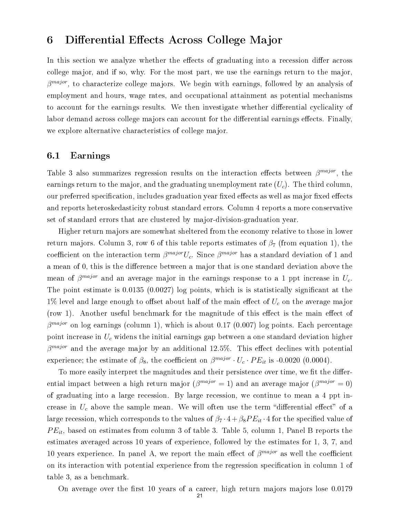## 6 Differential Effects Across College Major

In this section we analyze whether the effects of graduating into a recession differ across college major, and if so, why. For the most part, we use the earnings return to the major,  $\beta^{major}$ , to characterize college majors. We begin with earnings, followed by an analysis of employment and hours, wage rates, and occupational attainment as potential mechanisms to account for the earnings results. We then investigate whether differential cyclicality of labor demand across college majors can account for the differential earnings effects. Finally, we explore alternative characteristics of college major.

### 6.1 Earnings

Table 3 also summarizes regression results on the interaction effects between  $\beta^{major}$ , the earnings return to the major, and the graduating unemployment rate  $(U<sub>c</sub>)$ . The third column, our preferred specification, includes graduation year fixed effects as well as major fixed effects and reports heteroskedasticity robust standard errors. Column 4 reports a more conservative set of standard errors that are clustered by major-division-graduation year.

Higher return majors are somewhat sheltered from the economy relative to those in lower return majors. Column 3, row 6 of this table reports estimates of  $\beta_7$  (from equation 1), the coefficient on the interaction term  $\beta^{major}U_c$ . Since  $\beta^{major}$  has a standard deviation of 1 and a mean of 0, this is the difference between a major that is one standard deviation above the mean of  $\beta^{major}$  and an average major in the earnings response to a 1 ppt increase in  $U_c$ . The point estimate is 0.0135 (0.0027) log points, which is is statistically significant at the  $1\%$  level and large enough to offset about half of the main effect of  $U_c$  on the average major (row 1). Another useful benchmark for the magnitude of this effect is the main effect of  $\beta^{major}$  on log earnings (column 1), which is about 0.17 (0.007) log points. Each percentage point increase in  $U_c$  widens the initial earnings gap between a one standard deviation higher  $\beta^{major}$  and the average major by an additional 12.5%. This effect declines with potential experience; the estimate of  $\beta_8$ , the coefficient on  $\beta^{major} \cdot U_c \cdot PE_{it}$  is -0.0020 (0.0004).

To more easily interpret the magnitudes and their persistence over time, we fit the differential impact between a high return major  $(\beta^{major} = 1)$  and an average major  $(\beta^{major} = 0)$ of graduating into a large recession. By large recession, we continue to mean a 4 ppt increase in  $U_c$  above the sample mean. We will often use the term "differential effect" of a large recession, which corresponds to the values of  $\beta_7 \cdot 4 + \beta_8 P E_{it} \cdot 4$  for the specified value of  $PE_{it}$ , based on estimates from column 3 of table 3. Table 5, column 1, Panel B reports the estimates averaged across 10 years of experience, followed by the estimates for 1, 3, 7, and 10 years experience. In panel A, we report the main effect of  $\beta^{major}$  as well the coefficient on its interaction with potential experience from the regression specification in column 1 of table 3, as a benchmark.

On average over the first 10 years of a career, high return majors majors lose 0.0179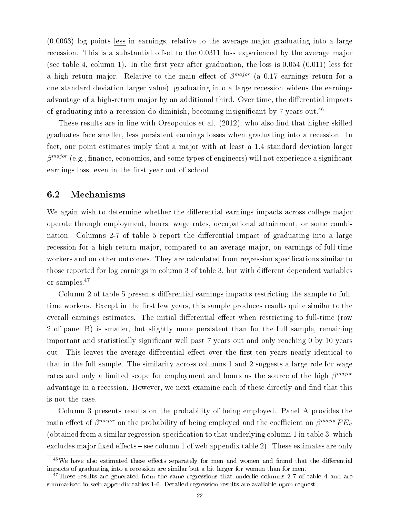(0.0063) log points less in earnings, relative to the average major graduating into a large recession. This is a substantial offset to the 0.0311 loss experienced by the average major (see table 4, column 1). In the first year after graduation, the loss is  $0.054$  (0.011) less for a high return major. Relative to the main effect of  $\beta^{major}$  (a 0.17 earnings return for a one standard deviation larger value), graduating into a large recession widens the earnings advantage of a high-return major by an additional third. Over time, the differential impacts of graduating into a recession do diminish, becoming insignificant by 7 years out.<sup>46</sup>

These results are in line with Oreopoulos et al.  $(2012)$ , who also find that higher-skilled graduates face smaller, less persistent earnings losses when graduating into a recession. In fact, our point estimates imply that a major with at least a 1.4 standard deviation larger  $\beta^{major}$  (e.g., finance, economics, and some types of engineers) will not experience a significant earnings loss, even in the first year out of school.

#### 6.2 Mechanisms

We again wish to determine whether the differential earnings impacts across college major operate through employment, hours, wage rates, occupational attainment, or some combination. Columns 2-7 of table 5 report the differential impact of graduating into a large recession for a high return major, compared to an average major, on earnings of full-time workers and on other outcomes. They are calculated from regression specifications similar to those reported for log earnings in column 3 of table 3, but with different dependent variables or samples.<sup>47</sup>

Column 2 of table 5 presents differential earnings impacts restricting the sample to fulltime workers. Except in the first few years, this sample produces results quite similar to the overall earnings estimates. The initial differential effect when restricting to full-time (row 2 of panel B) is smaller, but slightly more persistent than for the full sample, remaining important and statistically significant well past 7 years out and only reaching 0 by 10 years out. This leaves the average differential effect over the first ten years nearly identical to that in the full sample. The similarity across columns 1 and 2 suggests a large role for wage rates and only a limited scope for employment and hours as the source of the high  $\beta^{major}$ advantage in a recession. However, we next examine each of these directly and find that this is not the case.

Column 3 presents results on the probability of being employed. Panel A provides the main effect of  $\beta^{major}$  on the probability of being employed and the coefficient on  $\beta^{major}PE_{it}$ (obtained from a similar regression specification to that underlying column 1 in table 3, which excludes major fixed effects  $-$  see column 1 of web appendix table 2). These estimates are only

 $46$ We have also estimated these effects separately for men and women and found that the differential impacts of graduating into a recession are similar but a bit larger for women than for men.

<sup>&</sup>lt;sup>47</sup>These results are generated from the same regressions that underlie columns 2-7 of table 4 and are summarized in web appendix tables 1-6. Detailed regression results are available upon request.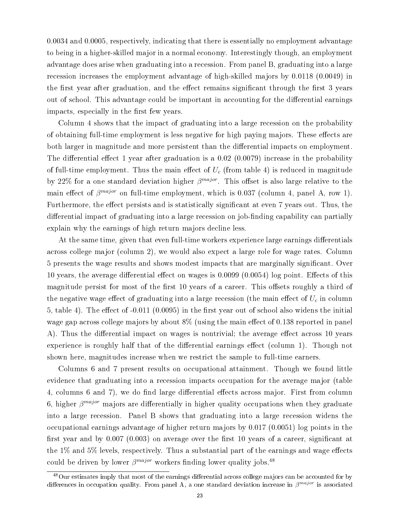0.0034 and 0.0005, respectively, indicating that there is essentially no employment advantage to being in a higher-skilled major in a normal economy. Interestingly though, an employment advantage does arise when graduating into a recession. From panel B, graduating into a large recession increases the employment advantage of high-skilled majors by 0.0118 (0.0049) in the first year after graduation, and the effect remains significant through the first 3 years out of school. This advantage could be important in accounting for the differential earnings impacts, especially in the first few years.

Column 4 shows that the impact of graduating into a large recession on the probability of obtaining full-time employment is less negative for high paying majors. These effects are both larger in magnitude and more persistent than the differential impacts on employment. The differential effect 1 year after graduation is a  $0.02$  (0.0079) increase in the probability of full-time employment. Thus the main effect of  $U_c$  (from table 4) is reduced in magnitude by 22% for a one standard deviation higher  $\beta^{major}$ . This offset is also large relative to the main effect of  $\beta^{major}$  on full-time employment, which is 0.037 (column 4, panel A, row 1). Furthermore, the effect persists and is statistically significant at even 7 years out. Thus, the differential impact of graduating into a large recession on job-finding capability can partially explain why the earnings of high return majors decline less.

At the same time, given that even full-time workers experience large earnings differentials across college major (column 2), we would also expect a large role for wage rates. Column 5 presents the wage results and shows modest impacts that are marginally signicant. Over 10 years, the average differential effect on wages is  $0.0099$  (0.0054) log point. Effects of this magnitude persist for most of the first 10 years of a career. This offsets roughly a third of the negative wage effect of graduating into a large recession (the main effect of  $U_c$  in column 5, table 4). The effect of  $-0.011$   $(0.0095)$  in the first year out of school also widens the initial wage gap across college majors by about  $8\%$  (using the main effect of 0.138 reported in panel A). Thus the differential impact on wages is nontrivial; the average effect across 10 years experience is roughly half that of the differential earnings effect (column 1). Though not shown here, magnitudes increase when we restrict the sample to full-time earners.

Columns 6 and 7 present results on occupational attainment. Though we found little evidence that graduating into a recession impacts occupation for the average major (table 4, columns 6 and 7), we do find large differential effects across major. First from column 6, higher  $\beta^{major}$  majors are differentially in higher quality occupations when they graduate into a large recession. Panel B shows that graduating into a large recession widens the occupational earnings advantage of higher return majors by 0.017 (0.0051) log points in the first year and by  $0.007$  (0.003) on average over the first 10 years of a career, significant at the  $1\%$  and  $5\%$  levels, respectively. Thus a substantial part of the earnings and wage effects could be driven by lower  $\beta^{major}$  workers finding lower quality jobs.<sup>48</sup>

<sup>&</sup>lt;sup>48</sup>Our estimates imply that most of the earnings differential across college majors can be accounted for by differences in occupation quality. From panel A, a one standard deviation increase in  $\beta^{major}$  is associated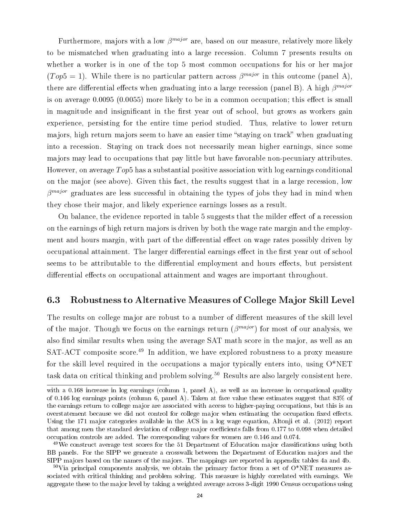Furthermore, majors with a low  $\beta^{major}$  are, based on our measure, relatively more likely to be mismatched when graduating into a large recession. Column 7 presents results on whether a worker is in one of the top 5 most common occupations for his or her major  $(Top5 = 1)$ . While there is no particular pattern across  $\beta^{major}$  in this outcome (panel A), there are differential effects when graduating into a large recession (panel B). A high  $\beta^{major}$ is on average  $0.0095(0.0055)$  more likely to be in a common occupation; this effect is small in magnitude and insignificant in the first year out of school, but grows as workers gain experience, persisting for the entire time period studied. Thus, relative to lower return majors, high return majors seem to have an easier time "staying on track" when graduating into a recession. Staying on track does not necessarily mean higher earnings, since some majors may lead to occupations that pay little but have favorable non-pecuniary attributes. However, on average  $Top5$  has a substantial positive association with log earnings conditional on the major (see above). Given this fact, the results suggest that in a large recession, low  $\beta^{major}$  graduates are less successful in obtaining the types of jobs they had in mind when they chose their major, and likely experience earnings losses as a result.

On balance, the evidence reported in table 5 suggests that the milder effect of a recession on the earnings of high return majors is driven by both the wage rate margin and the employment and hours margin, with part of the differential effect on wage rates possibly driven by occupational attainment. The larger differential earnings effect in the first year out of school seems to be attributable to the differential employment and hours effects, but persistent differential effects on occupational attainment and wages are important throughout.

#### 6.3 Robustness to Alternative Measures of College Major Skill Level

The results on college major are robust to a number of different measures of the skill level of the major. Though we focus on the earnings return  $(\beta^{major})$  for most of our analysis, we also find similar results when using the average SAT math score in the major, as well as an SAT-ACT composite score.<sup>49</sup> In addition, we have explored robustness to a proxy measure for the skill level required in the occupations a major typically enters into, using  $O^*NET$ task data on critical thinking and problem solving.<sup>50</sup> Results are also largely consistent here.

with a 0.168 increase in log earnings (column 1, panel A), as well as an increase in occupational quality of 0.146 log earnings points (column 6, panel A). Taken at face value these estimates suggest that 83% of the earnings return to college major are associated with access to higher-paying occupations, but this is an overstatement because we did not control for college major when estimating the occupation fixed effects. Using the 171 major categories available in the ACS in a log wage equation, Altonji et al. (2012) report that among men the standard deviation of college major coefficients falls from 0.177 to 0.098 when detailed occupation controls are added. The corresponding values for women are 0.146 and 0.074.

<sup>&</sup>lt;sup>49</sup>We construct average test scores for the 51 Department of Education major classifications using both BB panels. For the SIPP we generate a crosswalk between the Department of Education majors and the SIPP majors based on the names of the majors. The mappings are reported in appendix tables 4a and 4b.

 $50\,\text{Vi}$ ia principal components analysis, we obtain the primary factor from a set of  $O^*NET$  measures associated with critical thinking and problem solving. This measure is highly correlated with earnings. We aggregate these to the major level by taking a weighted average across 3-digit 1990 Census occupations using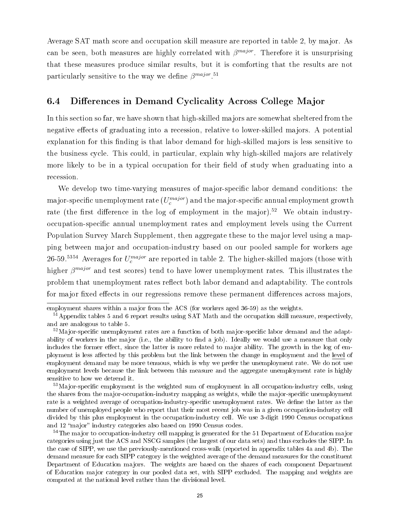Average SAT math score and occupation skill measure are reported in table 2, by major. As can be seen, both measures are highly correlated with  $\beta^{major}$ . Therefore it is unsurprising that these measures produce similar results, but it is comforting that the results are not particularly sensitive to the way we define  $\beta^{major. 51}$ 

### 6.4 Differences in Demand Cyclicality Across College Major

In this section so far, we have shown that high-skilled majors are somewhat sheltered from the negative effects of graduating into a recession, relative to lower-skilled majors. A potential explanation for this finding is that labor demand for high-skilled majors is less sensitive to the business cycle. This could, in particular, explain why high-skilled majors are relatively more likely to be in a typical occupation for their field of study when graduating into a recession.

We develop two time-varying measures of major-specific labor demand conditions: the major-specific unemployment rate  $(U_c^{major})$  and the major-specific annual employment growth rate (the first difference in the log of employment in the major).<sup>52</sup> We obtain industryoccupation-specific annual unemployment rates and employment levels using the Current Population Survey March Supplement, then aggregate these to the major level using a mapping between major and occupation-industry based on our pooled sample for workers age 26-59.<sup>5354</sup> Averages for  $U_c^{major}$  are reported in table 2. The higher-skilled majors (those with higher  $\beta^{major}$  and test scores) tend to have lower unemployment rates. This illustrates the problem that unemployment rates reflect both labor demand and adaptability. The controls for major fixed effects in our regressions remove these permanent differences across majors.

employment shares within a major from the ACS (for workers aged 36-59) as the weights.

<sup>&</sup>lt;sup>51</sup>Appendix tables 5 and 6 report results using SAT Math and the occupation skill measure, respectively, and are analogous to table 5.

 $52\,\text{Major-specific}$  unemployment rates are a function of both major-specific labor demand and the adaptability of workers in the major (i.e., the ability to find a job). Ideally we would use a measure that only includes the former effect, since the latter is more related to major ability. The growth in the log of employment is less affected by this problem but the link between the change in employment and the level of employment demand may be more tenuous, which is why we prefer the unemployment rate. We do not use employment levels because the link between this measure and the aggregate unemployment rate is highly sensitive to how we detrend it.

 $53$ Major-specific employment is the weighted sum of employment in all occupation-industry cells, using the shares from the major-occupation-industry mapping as weights, while the major-specific unemployment rate is a weighted average of occupation-industry-specific unemployment rates. We define the latter as the number of unemployed people who report that their most recent job was in a given occupation-industry cell divided by this plus employment in the occupation-industry cell. We use 3-digit 1990 Census occupations and 12 "major" industry categories also based on 1990 Census codes.

<sup>&</sup>lt;sup>54</sup>The major to occupation-industry cell mapping is generated for the 51 Department of Education major categories using just the ACS and NSCG samples (the largest of our data sets) and thus excludes the SIPP. In the case of SIPP, we use the previously-mentioned cross-walk (reported in appendix tables 4a and 4b). The demand measure for each SIPP category is the weighted average of the demand measures for the constituent Department of Education majors. The weights are based on the shares of each component Department of Education major category in our pooled data set, with SIPP excluded. The mapping and weights are computed at the national level rather than the divisional level.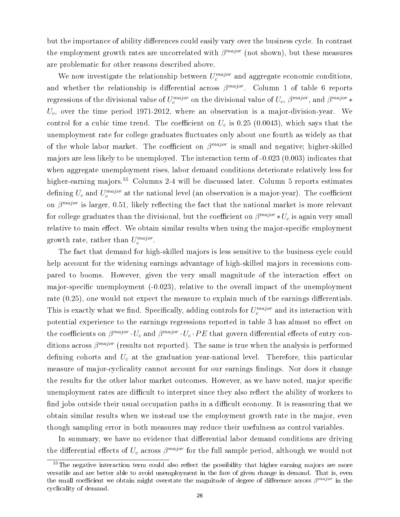but the importance of ability differences could easily vary over the business cycle. In contrast the employment growth rates are uncorrelated with  $\beta^{major}$  (not shown), but these measures are problematic for other reasons described above.

We now investigate the relationship between  $U_c^{major}$  and aggregate economic conditions, and whether the relationship is differential across  $\beta^{major}$ . Column 1 of table 6 reports regressions of the divisional value of  $U_c^{major}$  on the divisional value of  $U_c, \, \beta^{major},$  and  $\beta^{major} *$  $U_c$ , over the time period 1971-2012, where an observation is a major-division-year. We control for a cubic time trend. The coefficient on  $U_c$  is 0.25 (0.0043), which says that the unemployment rate for college graduates fluctuates only about one fourth as widely as that of the whole labor market. The coefficient on  $\beta^{major}$  is small and negative; higher-skilled majors are less likely to be unemployed. The interaction term of -0.023 (0.003) indicates that when aggregate unemployment rises, labor demand conditions deteriorate relatively less for higher-earning majors.<sup>55</sup> Columns 2-4 will be discussed later. Column 5 reports estimates defining  $U_c$  and  $U_c^{major}$  at the national level (an observation is a major-year). The coefficient on  $\beta^{major}$  is larger, 0.51, likely reflecting the fact that the national market is more relevant for college graduates than the divisional, but the coefficient on  $\beta^{major} * U_c$  is again very small relative to main effect. We obtain similar results when using the major-specific employment growth rate, rather than  $U_c^{major}$ .

The fact that demand for high-skilled majors is less sensitive to the business cycle could help account for the widening earnings advantage of high-skilled majors in recessions compared to booms. However, given the very small magnitude of the interaction effect on major-specific unemployment  $(-0.023)$ , relative to the overall impact of the unemployment rate  $(0.25)$ , one would not expect the measure to explain much of the earnings differentials. This is exactly what we find. Specifically, adding controls for  $U_c^{major}$  and its interaction with potential experience to the earnings regressions reported in table 3 has almost no effect on the coefficients on  $\beta^{major} \cdot U_c$  and  $\beta^{major} \cdot U_c \cdot PE$  that govern differential effects of entry conditions across  $\beta^{major}$  (results not reported). The same is true when the analysis is performed defining cohorts and  $U_c$  at the graduation year-national level. Therefore, this particular measure of major-cyclicality cannot account for our earnings findings. Nor does it change the results for the other labor market outcomes. However, as we have noted, major specific unemployment rates are difficult to interpret since they also reflect the ability of workers to find jobs outside their usual occupation paths in a difficult economy. It is reassuring that we obtain similar results when we instead use the employment growth rate in the major, even though sampling error in both measures may reduce their usefulness as control variables.

In summary, we have no evidence that differential labor demand conditions are driving the differential effects of  $U_c$  across  $\beta^{major}$  for the full sample period, although we would not

 $55$ The negative interaction term could also reflect the possibility that higher earning majors are more versatile and are better able to avoid unemployment in the face of given change in demand. That is, even the small coefficient we obtain might overstate the magnitude of degree of difference across  $\beta^{major}$  in the cyclicality of demand.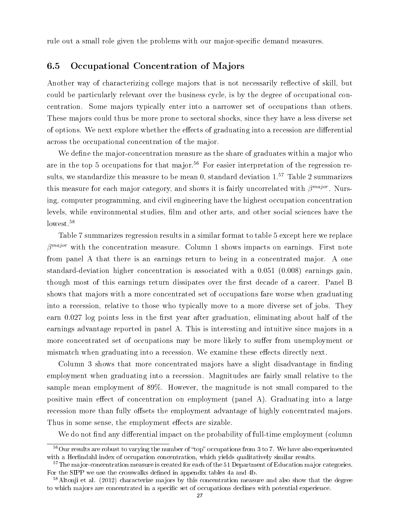rule out a small role given the problems with our major-specific demand measures.

### 6.5 Occupational Concentration of Majors

Another way of characterizing college majors that is not necessarily reflective of skill, but could be particularly relevant over the business cycle, is by the degree of occupational concentration. Some majors typically enter into a narrower set of occupations than others. These majors could thus be more prone to sectoral shocks, since they have a less diverse set of options. We next explore whether the effects of graduating into a recession are differential across the occupational concentration of the major.

We define the major-concentration measure as the share of graduates within a major who are in the top 5 occupations for that major.<sup>56</sup> For easier interpretation of the regression results, we standardize this measure to be mean 0, standard deviation  $1<sup>57</sup>$  Table 2 summarizes this measure for each major category, and shows it is fairly uncorrelated with  $\beta^{major}$ . Nursing, computer programming, and civil engineering have the highest occupation concentration levels, while environmental studies, film and other arts, and other social sciences have the lowest.<sup>58</sup>

Table 7 summarizes regression results in a similar format to table 5 except here we replace  $\beta^{major}$  with the concentration measure. Column 1 shows impacts on earnings. First note from panel A that there is an earnings return to being in a concentrated major. A one standard-deviation higher concentration is associated with a 0.051 (0.008) earnings gain, though most of this earnings return dissipates over the first decade of a career. Panel B shows that majors with a more concentrated set of occupations fare worse when graduating into a recession, relative to those who typically move to a more diverse set of jobs. They earn  $0.027$  log points less in the first year after graduation, eliminating about half of the earnings advantage reported in panel A. This is interesting and intuitive since majors in a more concentrated set of occupations may be more likely to suffer from unemployment or mismatch when graduating into a recession. We examine these effects directly next.

Column 3 shows that more concentrated majors have a slight disadvantage in finding employment when graduating into a recession. Magnitudes are fairly small relative to the sample mean employment of 89%. However, the magnitude is not small compared to the positive main effect of concentration on employment (panel A). Graduating into a large recession more than fully offsets the employment advantage of highly concentrated majors. Thus in some sense, the employment effects are sizable.

We do not find any differential impact on the probability of full-time employment (column

 $56$ Our results are robust to varying the number of "top" occupations from 3 to 7. We have also experimented with a Herfindahl index of occupation concentration, which yields qualitatively similar results.

 $57$ The major-concentration measure is created for each of the 51 Department of Education major categories. For the SIPP we use the crosswalks defined in appendix tables 4a and 4b.

<sup>&</sup>lt;sup>58</sup>Altonji et al. (2012) characterize majors by this concentration measure and also show that the degree to which majors are concentrated in a specific set of occupations declines with potential experience.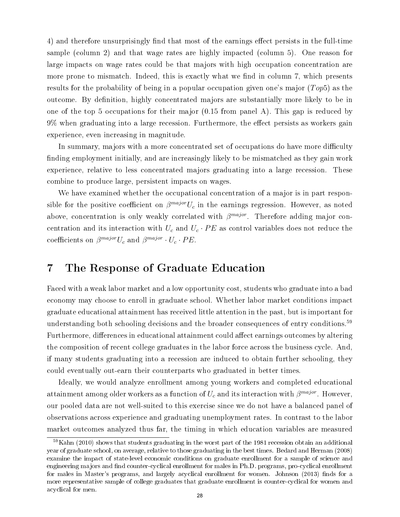4) and therefore unsurprisingly find that most of the earnings effect persists in the full-time sample (column 2) and that wage rates are highly impacted (column 5). One reason for large impacts on wage rates could be that majors with high occupation concentration are more prone to mismatch. Indeed, this is exactly what we find in column 7, which presents results for the probability of being in a popular occupation given one's major  $(Top5)$  as the outcome. By definition, highly concentrated majors are substantially more likely to be in one of the top 5 occupations for their major  $(0.15$  from panel A). This gap is reduced by  $9\%$  when graduating into a large recession. Furthermore, the effect persists as workers gain experience, even increasing in magnitude.

In summary, majors with a more concentrated set of occupations do have more difficulty finding employment initially, and are increasingly likely to be mismatched as they gain work experience, relative to less concentrated majors graduating into a large recession. These combine to produce large, persistent impacts on wages.

We have examined whether the occupational concentration of a major is in part responsible for the positive coefficient on  $\beta^{major}U_c$  in the earnings regression. However, as noted above, concentration is only weakly correlated with  $\beta^{major}$ . Therefore adding major concentration and its interaction with  $U_c$  and  $U_c \cdot PE$  as control variables does not reduce the coefficients on  $\beta^{major} U_c$  and  $\beta^{major} \cdot U_c \cdot PE$ .

# 7 The Response of Graduate Education

Faced with a weak labor market and a low opportunity cost, students who graduate into a bad economy may choose to enroll in graduate school. Whether labor market conditions impact graduate educational attainment has received little attention in the past, but is important for understanding both schooling decisions and the broader consequences of entry conditions.<sup>59</sup> Furthermore, differences in educational attainment could affect earnings outcomes by altering the composition of recent college graduates in the labor force across the business cycle. And, if many students graduating into a recession are induced to obtain further schooling, they could eventually out-earn their counterparts who graduated in better times.

Ideally, we would analyze enrollment among young workers and completed educational attainment among older workers as a function of  $U_c$  and its interaction with  $\beta^{major}$ . However, our pooled data are not well-suited to this exercise since we do not have a balanced panel of observations across experience and graduating unemployment rates. In contrast to the labor market outcomes analyzed thus far, the timing in which education variables are measured

<sup>59</sup>Kahn (2010) shows that students graduating in the worst part of the 1981 recession obtain an additional year of graduate school, on average, relative to those graduating in the best times. Bedard and Herman (2008) examine the impact of state-level economic conditions on graduate enrollment for a sample of science and engineering majors and find counter-cyclical enrollment for males in Ph.D. programs, pro-cyclical enrollment for males in Master's programs, and largely acyclical enrollment for women. Johnson (2013) finds for a more representative sample of college graduates that graduate enrollment is counter-cyclical for women and acyclical for men.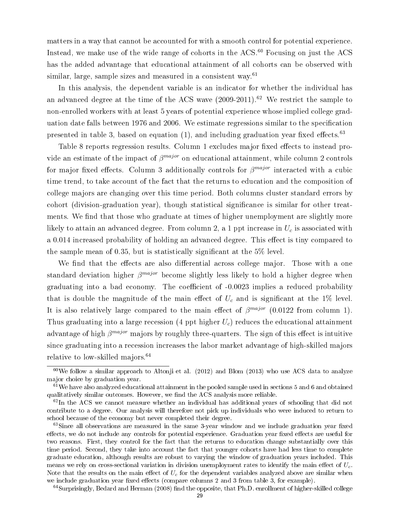matters in a way that cannot be accounted for with a smooth control for potential experience. Instead, we make use of the wide range of cohorts in the  $ACS$ .<sup>60</sup> Focusing on just the  $ACS$ has the added advantage that educational attainment of all cohorts can be observed with similar, large, sample sizes and measured in a consistent way. $61$ 

In this analysis, the dependent variable is an indicator for whether the individual has an advanced degree at the time of the ACS wave  $(2009-2011).<sup>62</sup>$  We restrict the sample to non-enrolled workers with at least 5 years of potential experience whose implied college graduation date falls between 1976 and 2006. We estimate regressions similar to the specification presented in table 3, based on equation  $(1)$ , and including graduation year fixed effects.<sup>63</sup>

Table 8 reports regression results. Column 1 excludes major fixed effects to instead provide an estimate of the impact of  $\beta^{major}$  on educational attainment, while column 2 controls for major fixed effects. Column 3 additionally controls for  $\beta^{major}$  interacted with a cubic time trend, to take account of the fact that the returns to education and the composition of college majors are changing over this time period. Both columns cluster standard errors by cohort (division-graduation year), though statistical signicance is similar for other treatments. We find that those who graduate at times of higher unemployment are slightly more likely to attain an advanced degree. From column 2, a 1 ppt increase in  $U_c$  is associated with a 0.014 increased probability of holding an advanced degree. This effect is tiny compared to the sample mean of 0.35, but is statistically significant at the  $5\%$  level.

We find that the effects are also differential across college major. Those with a one standard deviation higher  $\beta^{major}$  become slightly less likely to hold a higher degree when graduating into a bad economy. The coefficient of -0.0023 implies a reduced probability that is double the magnitude of the main effect of  $U_c$  and is significant at the 1% level. It is also relatively large compared to the main effect of  $\beta^{major}$  (0.0122 from column 1). Thus graduating into a large recession (4 ppt higher  $U_c$ ) reduces the educational attainment advantage of high  $\beta^{major}$  majors by roughly three-quarters. The sign of this effect is intuitive since graduating into a recession increases the labor market advantage of high-skilled majors relative to low-skilled majors.<sup>64</sup>

 $64$ Surprisingly, Bedard and Herman (2008) find the opposite, that Ph.D. enrollment of higher-skilled college

 $60$ We follow a similar approach to Altonji et al. (2012) and Blom (2013) who use ACS data to analyze major choice by graduation year.

 $61$  We have also analyzed educational attainment in the pooled sample used in sections 5 and 6 and obtained qualitatively similar outcomes. However, we find the ACS analysis more reliable.

 $62$ In the ACS we cannot measure whether an individual has additional years of schooling that did not contribute to a degree. Our analysis will therefore not pick up individuals who were induced to return to school because of the economy but never completed their degree.

 $63\,$ Since all observations are measured in the same 3-year window and we include graduation year fixed effects, we do not include any controls for potential experience. Graduation year fixed effects are useful for two reasons. First, they control for the fact that the returns to education change substantially over this time period. Second, they take into account the fact that younger cohorts have had less time to complete graduate education, although results are robust to varying the window of graduation years included. This means we rely on cross-sectional variation in division unemployment rates to identify the main effect of  $U_c$ . Note that the results on the main effect of  $U_c$  for the dependent variables analyzed above are similar when we include graduation year fixed effects (compare columns 2 and 3 from table 3, for example).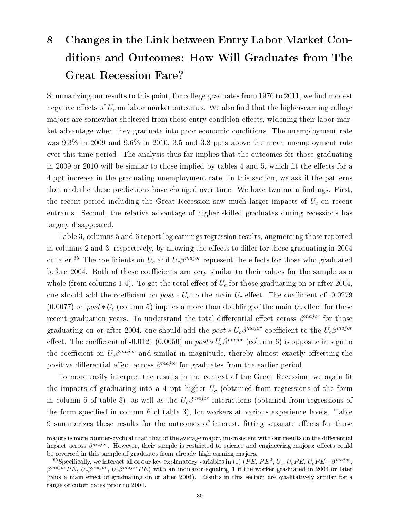# 8 Changes in the Link between Entry Labor Market Conditions and Outcomes: How Will Graduates from The Great Recession Fare?

Summarizing our results to this point, for college graduates from  $1976$  to  $2011$ , we find modest negative effects of  $U_c$  on labor market outcomes. We also find that the higher-earning college majors are somewhat sheltered from these entry-condition effects, widening their labor market advantage when they graduate into poor economic conditions. The unemployment rate was 9.3% in 2009 and 9.6% in 2010, 3.5 and 3.8 ppts above the mean unemployment rate over this time period. The analysis thus far implies that the outcomes for those graduating in 2009 or 2010 will be similar to those implied by tables  $4$  and  $5$ , which fit the effects for a 4 ppt increase in the graduating unemployment rate. In this section, we ask if the patterns that underlie these predictions have changed over time. We have two main findings. First, the recent period including the Great Recession saw much larger impacts of  $U_c$  on recent entrants. Second, the relative advantage of higher-skilled graduates during recessions has largely disappeared.

Table 3, columns 5 and 6 report log earnings regression results, augmenting those reported in columns 2 and 3, respectively, by allowing the effects to differ for those graduating in 2004 or later.<sup>65</sup> The coefficients on  $U_c$  and  $U_c\beta^{major}$  represent the effects for those who graduated before 2004. Both of these coefficients are very similar to their values for the sample as a whole (from columns 1-4). To get the total effect of  $U_c$  for those graduating on or after 2004, one should add the coefficient on  $post * U_c$  to the main  $U_c$  effect. The coefficient of -0.0279 (0.0077) on  $post*U_c$  (column 5) implies a more than doubling of the main  $U_c$  effect for these recent graduation years. To understand the total differential effect across  $\beta^{major}$  for those graduating on or after 2004, one should add the  $post*U_{c}\beta^{major}$  coefficient to the  $U_{c}\beta^{major}$ effect. The coefficient of -0.0121 (0.0050) on  $post*U_c\beta^{major}$  (column 6) is opposite in sign to the coefficient on  $U_c\beta^{major}$  and similar in magnitude, thereby almost exactly offsetting the positive differential effect across  $\beta^{major}$  for graduates from the earlier period.

To more easily interpret the results in the context of the Great Recession, we again fit the impacts of graduating into a 4 ppt higher  $U_c$  (obtained from regressions of the form in column 5 of table 3), as well as the  $U_c\beta^{major}$  interactions (obtained from regressions of the form specified in column 6 of table 3), for workers at various experience levels. Table 9 summarizes these results for the outcomes of interest, fitting separate effects for those

majors is more counter-cyclical than that of the average major, inconsistent with our results on the differential impact across  $\beta^{major}$ . However, their sample is restricted to science and engineering majors; effects could be reversed in this sample of graduates from already high-earning majors.

<sup>&</sup>lt;sup>65</sup>Specifically, we interact all of our key explanatory variables in (1) (PE, PE<sup>2</sup>, U<sub>c</sub>, U<sub>c</sub>PE, U<sub>c</sub>PE<sup>2</sup>,  $\beta^{major}$ ,  $\beta^{major}PE, U_c \beta^{major}$ ,  $U_c \beta^{major} PE$ ) with an indicator equaling 1 if the worker graduated in 2004 or later (plus a main effect of graduating on or after 2004). Results in this section are qualitatively similar for a range of cutoff dates prior to 2004.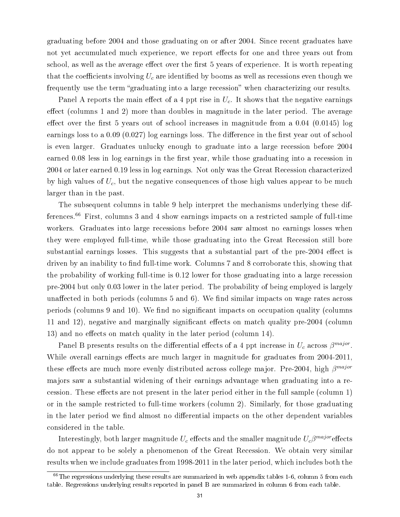graduating before 2004 and those graduating on or after 2004. Since recent graduates have not yet accumulated much experience, we report effects for one and three years out from school, as well as the average effect over the first 5 years of experience. It is worth repeating that the coefficients involving  $U_c$  are identified by booms as well as recessions even though we frequently use the term "graduating into a large recession" when characterizing our results.

Panel A reports the main effect of a 4 ppt rise in  $U_c$ . It shows that the negative earnings effect (columns 1 and 2) more than doubles in magnitude in the later period. The average effect over the first 5 years out of school increases in magnitude from a  $0.04$  ( $0.0145$ ) log earnings loss to a  $0.09$  ( $0.027$ ) log earnings loss. The difference in the first year out of school is even larger. Graduates unlucky enough to graduate into a large recession before 2004 earned 0.08 less in log earnings in the first year, while those graduating into a recession in 2004 or later earned 0.19 less in log earnings. Not only was the Great Recession characterized by high values of  $U_c$ , but the negative consequences of those high values appear to be much larger than in the past.

The subsequent columns in table 9 help interpret the mechanisms underlying these differences.<sup>66</sup> First, columns 3 and 4 show earnings impacts on a restricted sample of full-time workers. Graduates into large recessions before 2004 saw almost no earnings losses when they were employed full-time, while those graduating into the Great Recession still bore substantial earnings losses. This suggests that a substantial part of the pre-2004 effect is driven by an inability to find full-time work. Columns 7 and 8 corroborate this, showing that the probability of working full-time is 0.12 lower for those graduating into a large recession pre-2004 but only 0.03 lower in the later period. The probability of being employed is largely unaffected in both periods (columns  $5$  and  $6$ ). We find similar impacts on wage rates across periods (columns 9 and 10). We find no significant impacts on occupation quality (columns 11 and 12), negative and marginally significant effects on match quality pre-2004 (column 13) and no effects on match quality in the later period (column 14).

Panel B presents results on the differential effects of a 4 ppt increase in  $U_c$  across  $\beta^{major}$ . While overall earnings effects are much larger in magnitude for graduates from 2004-2011, these effects are much more evenly distributed across college major. Pre-2004, high  $\beta^{major}$ majors saw a substantial widening of their earnings advantage when graduating into a recession. These effects are not present in the later period either in the full sample (column 1) or in the sample restricted to full-time workers (column 2). Similarly, for those graduating in the later period we find almost no differential impacts on the other dependent variables considered in the table.

Interestingly, both larger magnitude  $U_c$  effects and the smaller magnitude  $U_c\beta^{major}$ effects do not appear to be solely a phenomenon of the Great Recession. We obtain very similar results when we include graduates from 1998-2011 in the later period, which includes both the

 $66$ The regressions underlying these results are summarized in web appendix tables 1-6, column 5 from each table. Regressions underlying results reported in panel B are summarized in column 6 from each table.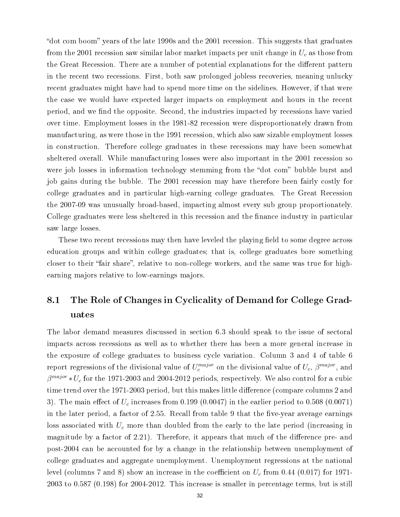"dot com boom" years of the late 1990s and the 2001 recession. This suggests that graduates from the 2001 recession saw similar labor market impacts per unit change in  $U_c$  as those from the Great Recession. There are a number of potential explanations for the different pattern in the recent two recessions. First, both saw prolonged jobless recoveries, meaning unlucky recent graduates might have had to spend more time on the sidelines. However, if that were the case we would have expected larger impacts on employment and hours in the recent period, and we find the opposite. Second, the industries impacted by recessions have varied over time. Employment losses in the 1981-82 recession were disproportionately drawn from manufacturing, as were those in the 1991 recession, which also saw sizable employment losses in construction. Therefore college graduates in these recessions may have been somewhat sheltered overall. While manufacturing losses were also important in the 2001 recession so were job losses in information technology stemming from the "dot com" bubble burst and job gains during the bubble. The 2001 recession may have therefore been fairly costly for college graduates and in particular high-earning college graduates. The Great Recession the 2007-09 was unusually broad-based, impacting almost every sub group proportionately. College graduates were less sheltered in this recession and the finance industry in particular saw large losses.

These two recent recessions may then have leveled the playing field to some degree across education groups and within college graduates; that is, college graduates bore something closer to their "fair share", relative to non-college workers, and the same was true for highearning majors relative to low-earnings majors.

# 8.1 The Role of Changes in Cyclicality of Demand for College Graduates

The labor demand measures discussed in section 6.3 should speak to the issue of sectoral impacts across recessions as well as to whether there has been a more general increase in the exposure of college graduates to business cycle variation. Column 3 and 4 of table 6 report regressions of the divisional value of  $U_c^{major}$  on the divisional value of  $U_c, \, \beta^{major},$  and  $\beta^{major} * U_c$  for the 1971-2003 and 2004-2012 periods, respectively. We also control for a cubic time trend over the 1971-2003 period, but this makes little difference (compare columns 2 and 3). The main effect of  $U_c$  increases from 0.199 (0.0047) in the earlier period to 0.508 (0.0071) in the later period, a factor of  $2.55$ . Recall from table 9 that the five-year average earnings loss associated with  $U_c$  more than doubled from the early to the late period (increasing in magnitude by a factor of 2.21). Therefore, it appears that much of the difference pre- and post-2004 can be accounted for by a change in the relationship between unemployment of college graduates and aggregate unemployment. Unemployment regressions at the national level (columns 7 and 8) show an increase in the coefficient on  $U_c$  from 0.44 (0.017) for 1971-2003 to 0.587 (0.198) for 2004-2012. This increase is smaller in percentage terms, but is still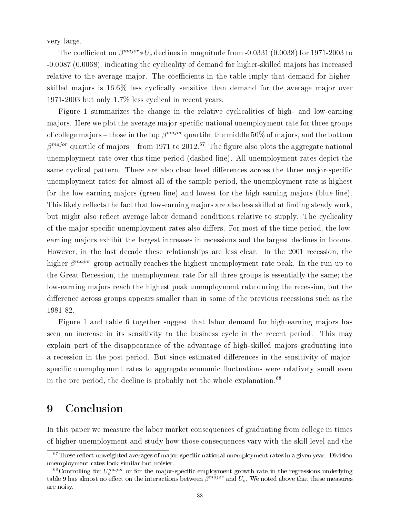very large.

The coefficient on  $\beta^{major} * U_c$  declines in magnitude from -0.0331 (0.0038) for 1971-2003 to -0.0087 (0.0068), indicating the cyclicality of demand for higher-skilled majors has increased relative to the average major. The coefficients in the table imply that demand for higherskilled majors is 16.6% less cyclically sensitive than demand for the average major over 1971-2003 but only 1.7% less cyclical in recent years.

Figure 1 summarizes the change in the relative cyclicalities of high- and low-earning majors. Here we plot the average major-specific national unemployment rate for three groups of college majors – those in the top  $\beta^{major}$  quartile, the middle 50% of majors, and the bottom  $\beta^{major}$  quartile of majors – from 1971 to 2012.<sup>67</sup> The figure also plots the aggregate national unemployment rate over this time period (dashed line). All unemployment rates depict the same cyclical pattern. There are also clear level differences across the three major-specific unemployment rates; for almost all of the sample period, the unemployment rate is highest for the low-earning majors (green line) and lowest for the high-earning majors (blue line). This likely reflects the fact that low-earning majors are also less skilled at finding steady work. but might also reflect average labor demand conditions relative to supply. The cyclicality of the major-specific unemployment rates also differs. For most of the time period, the lowearning majors exhibit the largest increases in recessions and the largest declines in booms. However, in the last decade these relationships are less clear. In the 2001 recession, the higher  $\beta^{major}$  group actually reaches the highest unemployment rate peak. In the run up to the Great Recession, the unemployment rate for all three groups is essentially the same; the low-earning majors reach the highest peak unemployment rate during the recession, but the difference across groups appears smaller than in some of the previous recessions such as the 1981-82.

Figure 1 and table 6 together suggest that labor demand for high-earning majors has seen an increase in its sensitivity to the business cycle in the recent period. This may explain part of the disappearance of the advantage of high-skilled majors graduating into a recession in the post period. But since estimated differences in the sensitivity of majorspecific unemployment rates to aggregate economic fluctuations were relatively small even in the pre period, the decline is probably not the whole explanation.<sup>68</sup>

## 9 Conclusion

In this paper we measure the labor market consequences of graduating from college in times of higher unemployment and study how those consequences vary with the skill level and the

 $67$ These reflect unweighted averages of major-specific national unemployment rates in a given year. Division unemployment rates look similar but noisier.

 ${}^{68}$ Controlling for  $U_c^{major}$  or for the major-specific employment growth rate in the regressions underlying table 9 has almost no effect on the interactions between  $\beta^{major}$  and  $U_c$ . We noted above that these measures are noisy.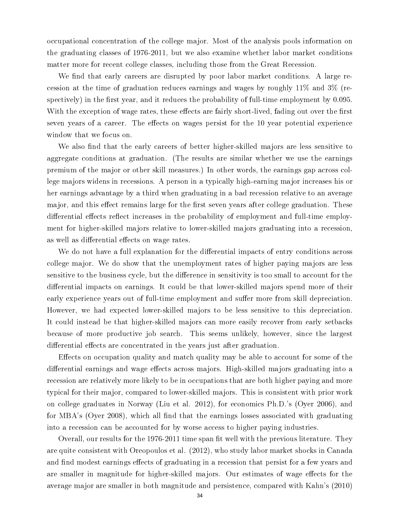occupational concentration of the college major. Most of the analysis pools information on the graduating classes of 1976-2011, but we also examine whether labor market conditions matter more for recent college classes, including those from the Great Recession.

We find that early careers are disrupted by poor labor market conditions. A large recession at the time of graduation reduces earnings and wages by roughly 11% and 3% (respectively) in the first year, and it reduces the probability of full-time employment by  $0.095$ . With the exception of wage rates, these effects are fairly short-lived, fading out over the first seven years of a career. The effects on wages persist for the 10 year potential experience window that we focus on.

We also find that the early careers of better higher-skilled majors are less sensitive to aggregate conditions at graduation. (The results are similar whether we use the earnings premium of the major or other skill measures.) In other words, the earnings gap across college majors widens in recessions. A person in a typically high-earning major increases his or her earnings advantage by a third when graduating in a bad recession relative to an average major, and this effect remains large for the first seven years after college graduation. These differential effects reflect increases in the probability of employment and full-time employment for higher-skilled majors relative to lower-skilled majors graduating into a recession, as well as differential effects on wage rates.

We do not have a full explanation for the differential impacts of entry conditions across college major. We do show that the unemployment rates of higher paying majors are less sensitive to the business cycle, but the difference in sensitivity is too small to account for the differential impacts on earnings. It could be that lower-skilled majors spend more of their early experience years out of full-time employment and suffer more from skill depreciation. However, we had expected lower-skilled majors to be less sensitive to this depreciation. It could instead be that higher-skilled majors can more easily recover from early setbacks because of more productive job search. This seems unlikely, however, since the largest differential effects are concentrated in the years just after graduation.

Effects on occupation quality and match quality may be able to account for some of the differential earnings and wage effects across majors. High-skilled majors graduating into a recession are relatively more likely to be in occupations that are both higher paying and more typical for their major, compared to lower-skilled majors. This is consistent with prior work on college graduates in Norway (Liu et al. 2012), for economics Ph.D.'s (Oyer 2006), and for MBA's (Oyer 2008), which all find that the earnings losses associated with graduating into a recession can be accounted for by worse access to higher paying industries.

Overall, our results for the 1976-2011 time span fit well with the previous literature. They are quite consistent with Oreopoulos et al. (2012), who study labor market shocks in Canada and find modest earnings effects of graduating in a recession that persist for a few years and are smaller in magnitude for higher-skilled majors. Our estimates of wage effects for the average major are smaller in both magnitude and persistence, compared with Kahn's (2010)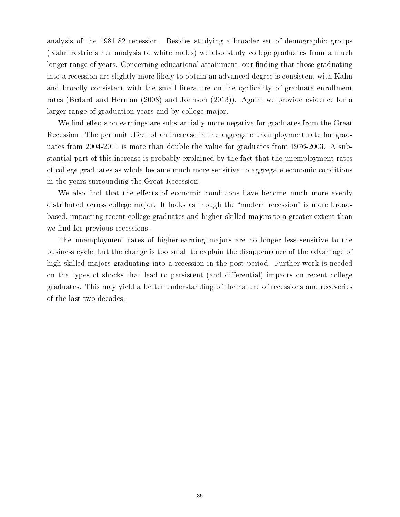analysis of the 1981-82 recession. Besides studying a broader set of demographic groups (Kahn restricts her analysis to white males) we also study college graduates from a much longer range of years. Concerning educational attainment, our finding that those graduating into a recession are slightly more likely to obtain an advanced degree is consistent with Kahn and broadly consistent with the small literature on the cyclicality of graduate enrollment rates (Bedard and Herman (2008) and Johnson (2013)). Again, we provide evidence for a larger range of graduation years and by college major.

We find effects on earnings are substantially more negative for graduates from the Great Recession. The per unit effect of an increase in the aggregate unemployment rate for graduates from 2004-2011 is more than double the value for graduates from 1976-2003. A substantial part of this increase is probably explained by the fact that the unemployment rates of college graduates as whole became much more sensitive to aggregate economic conditions in the years surrounding the Great Recession,

We also find that the effects of economic conditions have become much more evenly distributed across college major. It looks as though the "modern recession" is more broadbased, impacting recent college graduates and higher-skilled majors to a greater extent than we find for previous recessions.

The unemployment rates of higher-earning majors are no longer less sensitive to the business cycle, but the change is too small to explain the disappearance of the advantage of high-skilled majors graduating into a recession in the post period. Further work is needed on the types of shocks that lead to persistent (and differential) impacts on recent college graduates. This may yield a better understanding of the nature of recessions and recoveries of the last two decades.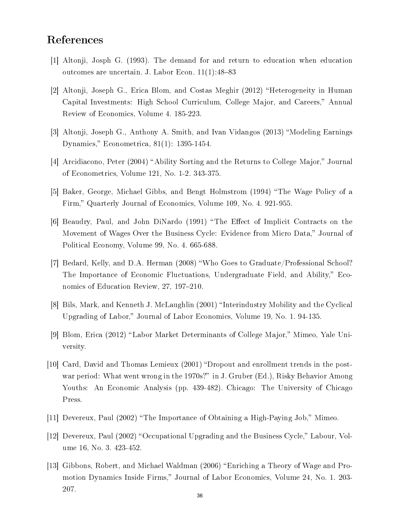## References

- [1] Altonji, Josph G. (1993). The demand for and return to education when education outcomes are uncertain. J. Labor Econ.  $11(1):48-83$
- [2] Altonji, Joseph G., Erica Blom, and Costas Meghir (2012) "Heterogeneity in Human Capital Investments: High School Curriculum, College Major, and Careers," Annual Review of Economics, Volume 4. 185-223.
- [3] Altonji, Joseph G., Anthony A. Smith, and Ivan Vidangos (2013) "Modeling Earnings Dynamics, Econometrica, 81(1): 1395-1454.
- $[4]$  Arcidiacono, Peter (2004) "Ability Sorting and the Returns to College Major," Journal of Econometrics, Volume 121, No. 1-2. 343-375.
- [5] Baker, George, Michael Gibbs, and Bengt Holmstrom (1994) "The Wage Policy of a Firm," Quarterly Journal of Economics, Volume 109, No. 4. 921-955.
- [6] Beaudry, Paul, and John DiNardo (1991) "The Effect of Implicit Contracts on the Movement of Wages Over the Business Cycle: Evidence from Micro Data," Journal of Political Economy, Volume 99, No. 4. 665-688.
- [7] Bedard, Kelly, and D.A. Herman (2008) Who Goes to Graduate/Professional School? The Importance of Economic Fluctuations, Undergraduate Field, and Ability," Economics of Education Review, 27, 197-210.
- [8] Bils, Mark, and Kenneth J. McLaughlin (2001) "Interindustry Mobility and the Cyclical Upgrading of Labor," Journal of Labor Economics, Volume 19, No. 1, 94-135.
- $[9]$  Blom, Erica  $(2012)$  "Labor Market Determinants of College Major," Mimeo, Yale University.
- [10] Card, David and Thomas Lemieux (2001) "Dropout and enrollment trends in the postwar period: What went wrong in the 1970s?" in J. Gruber (Ed.), Risky Behavior Among Youths: An Economic Analysis (pp. 439-482). Chicago: The University of Chicago Press.
- [11] Devereux, Paul  $(2002)$  "The Importance of Obtaining a High-Paying Job," Mimeo.
- [12] Devereux, Paul  $(2002)$  "Occupational Upgrading and the Business Cycle," Labour, Volume 16, No. 3. 423-452.
- [13] Gibbons, Robert, and Michael Waldman (2006) Enriching a Theory of Wage and Promotion Dynamics Inside Firms," Journal of Labor Economics, Volume 24, No. 1. 203-207.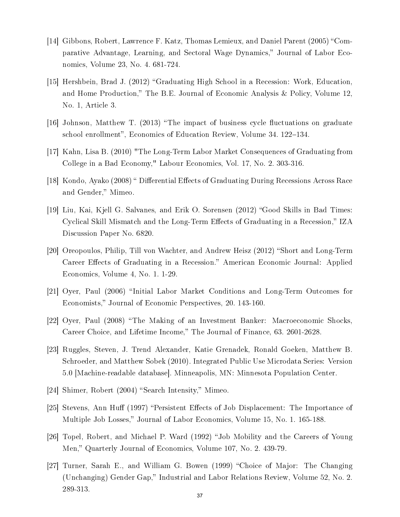- [14] Gibbons, Robert, Lawrence F. Katz, Thomas Lemieux, and Daniel Parent (2005) "Comparative Advantage, Learning, and Sectoral Wage Dynamics, Journal of Labor Economics, Volume 23, No. 4. 681-724.
- [15] Hershbein, Brad J. (2012) "Graduating High School in a Recession: Work, Education. and Home Production," The B.E. Journal of Economic Analysis & Policy, Volume 12. No. 1, Article 3.
- [16] Johnson, Matthew T. (2013) "The impact of business cycle fluctuations on graduate school enrollment", Economics of Education Review, Volume 34. 122–134.
- [17] Kahn, Lisa B. (2010) "The Long-Term Labor Market Consequences of Graduating from College in a Bad Economy," Labour Economics, Vol. 17, No. 2. 303-316.
- [18] Kondo, Ayako (2008) " Differential Effects of Graduating During Recessions Across Race and Gender," Mimeo.
- [19] Liu, Kai, Kjell G. Salvanes, and Erik O. Sorensen (2012) "Good Skills in Bad Times: Cyclical Skill Mismatch and the Long-Term Effects of Graduating in a Recession," IZA Discussion Paper No. 6820.
- [20] Oreopoulos, Philip, Till von Wachter, and Andrew Heisz  $(2012)$  "Short and Long-Term Career Effects of Graduating in a Recession." American Economic Journal: Applied Economics, Volume 4, No. 1. 1-29.
- [21] Oyer, Paul (2006) "Initial Labor Market Conditions and Long-Term Outcomes for Economists," Journal of Economic Perspectives, 20. 143-160.
- [22] Oyer, Paul (2008) The Making of an Investment Banker: Macroeconomic Shocks, Career Choice, and Lifetime Income," The Journal of Finance, 63. 2601-2628.
- [23] Ruggles, Steven, J. Trend Alexander, Katie Grenadek, Ronald Goeken, Matthew B. Schroeder, and Matthew Sobek (2010). Integrated Public Use Microdata Series: Version 5.0 [Machine-readable database]. Minneapolis, MN: Minnesota Population Center.
- [24] Shimer, Robert  $(2004)$  "Search Intensity," Mimeo.
- [25] Stevens, Ann Huff (1997) "Persistent Effects of Job Displacement: The Importance of Multiple Job Losses," Journal of Labor Economics, Volume 15, No. 1. 165-188.
- [26] Topel, Robert, and Michael P. Ward (1992) "Job Mobility and the Careers of Young Men," Quarterly Journal of Economics, Volume 107, No. 2. 439-79.
- $[27]$  Turner, Sarah E., and William G. Bowen (1999) "Choice of Major: The Changing (Unchanging) Gender Gap," Industrial and Labor Relations Review, Volume 52, No. 2. 289-313.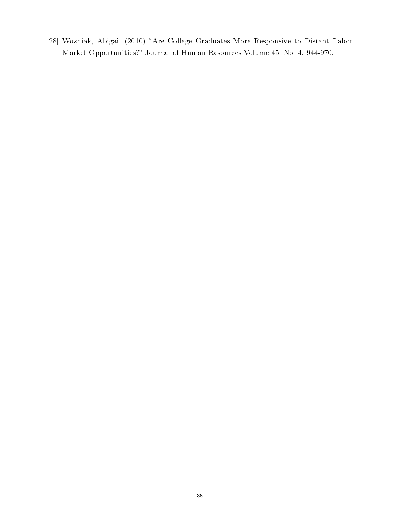[28] Wozniak, Abigail (2010) "Are College Graduates More Responsive to Distant Labor Market Opportunities?" Journal of Human Resources Volume 45, No. 4. 944-970.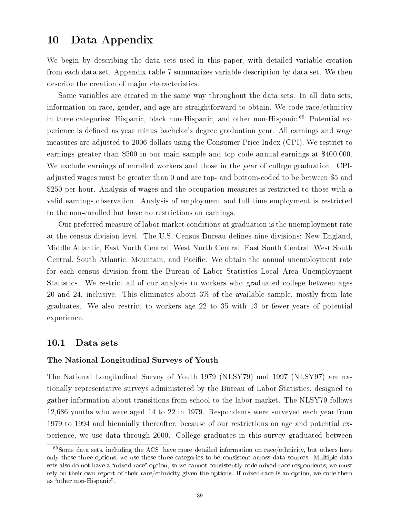# 10 Data Appendix

We begin by describing the data sets used in this paper, with detailed variable creation from each data set. Appendix table 7 summarizes variable description by data set. We then describe the creation of major characteristics.

Some variables are created in the same way throughout the data sets. In all data sets, information on race, gender, and age are straightforward to obtain. We code race/ethnicity in three categories: Hispanic, black non-Hispanic, and other non-Hispanic.<sup>69</sup> Potential experience is defined as year minus bachelor's degree graduation year. All earnings and wage measures are adjusted to 2006 dollars using the Consumer Price Index (CPI). We restrict to earnings greater than \$500 in our main sample and top code annual earnings at \$400,000. We exclude earnings of enrolled workers and those in the year of college graduation. CPIadjusted wages must be greater than 0 and are top- and bottom-coded to be between \$5 and \$250 per hour. Analysis of wages and the occupation measures is restricted to those with a valid earnings observation. Analysis of employment and full-time employment is restricted to the non-enrolled but have no restrictions on earnings.

Our preferred measure of labor market conditions at graduation is the unemployment rate at the census division level. The U.S. Census Bureau defines nine divisions: New England, Middle Atlantic, East North Central, West North Central, East South Central, West South Central, South Atlantic, Mountain, and Pacific. We obtain the annual unemployment rate for each census division from the Bureau of Labor Statistics Local Area Unemployment Statistics. We restrict all of our analysis to workers who graduated college between ages 20 and 24, inclusive. This eliminates about 3% of the available sample, mostly from late graduates. We also restrict to workers age 22 to 35 with 13 or fewer years of potential experience.

## 10.1 Data sets

#### The National Longitudinal Surveys of Youth

The National Longitudinal Survey of Youth 1979 (NLSY79) and 1997 (NLSY97) are nationally representative surveys administered by the Bureau of Labor Statistics, designed to gather information about transitions from school to the labor market. The NLSY79 follows 12,686 youths who were aged 14 to 22 in 1979. Respondents were surveyed each year from 1979 to 1994 and biennially thereafter; because of our restrictions on age and potential experience, we use data through 2000. College graduates in this survey graduated between

 $69$ Some data sets, including the ACS, have more detailed information on race/ethnicity, but others have only these three options; we use these three categories to be consistent across data sources. Multiple data sets also do not have a "mixed-race" option, so we cannot consistently code mixed-race respondents; we must rely on their own report of their race/ethnicity given the options. If mixed-race is an option, we code them as "other non-Hispanic".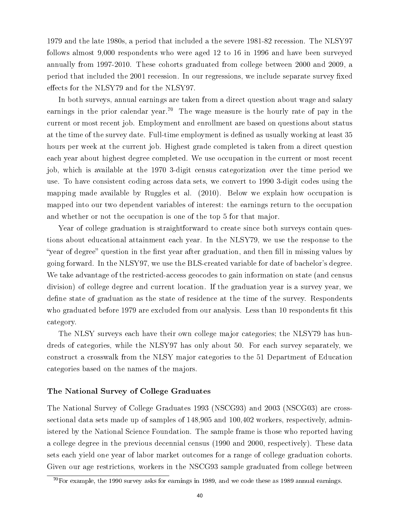1979 and the late 1980s, a period that included a the severe 1981-82 recession. The NLSY97 follows almost 9,000 respondents who were aged 12 to 16 in 1996 and have been surveyed annually from 1997-2010. These cohorts graduated from college between 2000 and 2009, a period that included the 2001 recession. In our regressions, we include separate survey fixed effects for the NLSY79 and for the NLSY97.

In both surveys, annual earnings are taken from a direct question about wage and salary earnings in the prior calendar year.<sup>70</sup> The wage measure is the hourly rate of pay in the current or most recent job. Employment and enrollment are based on questions about status at the time of the survey date. Full-time employment is defined as usually working at least 35 hours per week at the current job. Highest grade completed is taken from a direct question each year about highest degree completed. We use occupation in the current or most recent job, which is available at the 1970 3-digit census categorization over the time period we use. To have consistent coding across data sets, we convert to 1990 3-digit codes using the mapping made available by Ruggles et al. (2010). Below we explain how occupation is mapped into our two dependent variables of interest: the earnings return to the occupation and whether or not the occupation is one of the top 5 for that major.

Year of college graduation is straightforward to create since both surveys contain questions about educational attainment each year. In the NLSY79, we use the response to the "year of degree" question in the first year after graduation, and then fill in missing values by going forward. In the NLSY97, we use the BLS-created variable for date of bachelor's degree. We take advantage of the restricted-access geocodes to gain information on state (and census division) of college degree and current location. If the graduation year is a survey year, we define state of graduation as the state of residence at the time of the survey. Respondents who graduated before 1979 are excluded from our analysis. Less than 10 respondents fit this category.

The NLSY surveys each have their own college major categories; the NLSY79 has hundreds of categories, while the NLSY97 has only about 50. For each survey separately, we construct a crosswalk from the NLSY major categories to the 51 Department of Education categories based on the names of the majors.

# The National Survey of College Graduates

The National Survey of College Graduates 1993 (NSCG93) and 2003 (NSCG03) are crosssectional data sets made up of samples of 148,905 and 100,402 workers, respectively, administered by the National Science Foundation. The sample frame is those who reported having a college degree in the previous decennial census (1990 and 2000, respectively). These data sets each yield one year of labor market outcomes for a range of college graduation cohorts. Given our age restrictions, workers in the NSCG93 sample graduated from college between

 $^{70}$ For example, the 1990 survey asks for earnings in 1989, and we code these as 1989 annual earnings.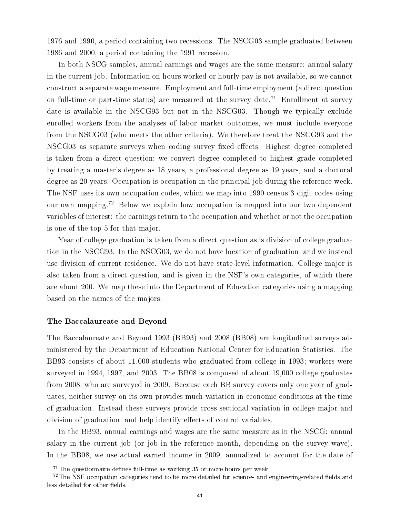1976 and 1990, a period containing two recessions. The NSCG03 sample graduated between 1986 and 2000, a period containing the 1991 recession.

In both NSCG samples, annual earnings and wages are the same measure: annual salary in the current job. Information on hours worked or hourly pay is not available, so we cannot construct a separate wage measure. Employment and full-time employment (a direct question on full-time or part-time status) are measured at the survey date.<sup>71</sup> Enrollment at survey date is available in the NSCG93 but not in the NSCG03. Though we typically exclude enrolled workers from the analyses of labor market outcomes, we must include everyone from the NSCG03 (who meets the other criteria). We therefore treat the NSCG93 and the NSCG03 as separate surveys when coding survey fixed effects. Highest degree completed is taken from a direct question; we convert degree completed to highest grade completed by treating a master's degree as 18 years, a professional degree as 19 years, and a doctoral degree as 20 years. Occupation is occupation in the principal job during the reference week. The NSF uses its own occupation codes, which we map into 1990 census 3-digit codes using our own mapping.<sup>72</sup> Below we explain how occupation is mapped into our two dependent variables of interest: the earnings return to the occupation and whether or not the occupation is one of the top 5 for that major.

Year of college graduation is taken from a direct question as is division of college graduation in the NSCG93. In the NSCG03, we do not have location of graduation, and we instead use division of current residence. We do not have state-level information. College major is also taken from a direct question, and is given in the NSF's own categories, of which there are about 200. We map these into the Department of Education categories using a mapping based on the names of the majors.

#### The Baccalaureate and Beyond

The Baccalaureate and Beyond 1993 (BB93) and 2008 (BB08) are longitudinal surveys administered by the Department of Education National Center for Education Statistics. The BB93 consists of about 11,000 students who graduated from college in 1993; workers were surveyed in 1994, 1997, and 2003. The BB08 is composed of about 19,000 college graduates from 2008, who are surveyed in 2009. Because each BB survey covers only one year of graduates, neither survey on its own provides much variation in economic conditions at the time of graduation. Instead these surveys provide cross-sectional variation in college major and division of graduation, and help identify effects of control variables.

In the BB93, annual earnings and wages are the same measure as in the NSCG: annual salary in the current job (or job in the reference month, depending on the survey wave). In the BB08, we use actual earned income in 2009, annualized to account for the date of

 $71$ The questionnaire defines full-time as working 35 or more hours per week.

 $72$ The NSF occupation categories tend to be more detailed for science- and engineering-related fields and less detailed for other fields.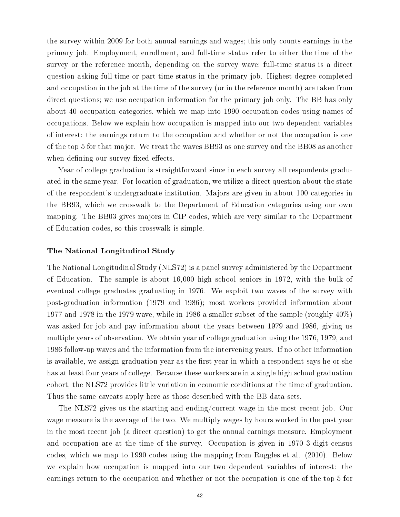the survey within 2009 for both annual earnings and wages; this only counts earnings in the primary job. Employment, enrollment, and full-time status refer to either the time of the survey or the reference month, depending on the survey wave; full-time status is a direct question asking full-time or part-time status in the primary job. Highest degree completed and occupation in the job at the time of the survey (or in the reference month) are taken from direct questions; we use occupation information for the primary job only. The BB has only about 40 occupation categories, which we map into 1990 occupation codes using names of occupations. Below we explain how occupation is mapped into our two dependent variables of interest: the earnings return to the occupation and whether or not the occupation is one of the top 5 for that major. We treat the waves BB93 as one survey and the BB08 as another when defining our survey fixed effects.

Year of college graduation is straightforward since in each survey all respondents graduated in the same year. For location of graduation, we utilize a direct question about the state of the respondent's undergraduate institution. Majors are given in about 100 categories in the BB93, which we crosswalk to the Department of Education categories using our own mapping. The BB03 gives majors in CIP codes, which are very similar to the Department of Education codes, so this crosswalk is simple.

#### The National Longitudinal Study

The National Longitudinal Study (NLS72) is a panel survey administered by the Department of Education. The sample is about 16,000 high school seniors in 1972, with the bulk of eventual college graduates graduating in 1976. We exploit two waves of the survey with post-graduation information (1979 and 1986); most workers provided information about 1977 and 1978 in the 1979 wave, while in 1986 a smaller subset of the sample (roughly 40%) was asked for job and pay information about the years between 1979 and 1986, giving us multiple years of observation. We obtain year of college graduation using the 1976, 1979, and 1986 follow-up waves and the information from the intervening years. If no other information is available, we assign graduation year as the first year in which a respondent says he or she has at least four years of college. Because these workers are in a single high school graduation cohort, the NLS72 provides little variation in economic conditions at the time of graduation. Thus the same caveats apply here as those described with the BB data sets.

The NLS72 gives us the starting and ending/current wage in the most recent job. Our wage measure is the average of the two. We multiply wages by hours worked in the past year in the most recent job (a direct question) to get the annual earnings measure. Employment and occupation are at the time of the survey. Occupation is given in 1970 3-digit census codes, which we map to 1990 codes using the mapping from Ruggles et al. (2010). Below we explain how occupation is mapped into our two dependent variables of interest: the earnings return to the occupation and whether or not the occupation is one of the top 5 for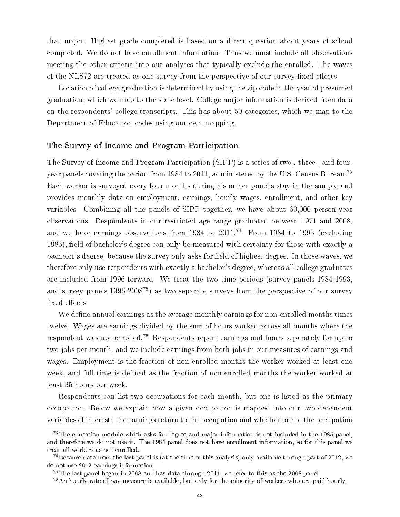that major. Highest grade completed is based on a direct question about years of school completed. We do not have enrollment information. Thus we must include all observations meeting the other criteria into our analyses that typically exclude the enrolled. The waves of the NLS72 are treated as one survey from the perspective of our survey fixed effects.

Location of college graduation is determined by using the zip code in the year of presumed graduation, which we map to the state level. College major information is derived from data on the respondents' college transcripts. This has about 50 categories, which we map to the Department of Education codes using our own mapping.

#### The Survey of Income and Program Participation

The Survey of Income and Program Participation (SIPP) is a series of two-, three-, and fouryear panels covering the period from 1984 to 2011, administered by the U.S. Census Bureau.<sup>73</sup> Each worker is surveyed every four months during his or her panel's stay in the sample and provides monthly data on employment, earnings, hourly wages, enrollment, and other key variables. Combining all the panels of SIPP together, we have about 60,000 person-year observations. Respondents in our restricted age range graduated between 1971 and 2008, and we have earnings observations from  $1984$  to  $2011<sup>74</sup>$  From 1984 to 1993 (excluding 1985), field of bachelor's degree can only be measured with certainty for those with exactly a bachelor's degree, because the survey only asks for field of highest degree. In those waves, we therefore only use respondents with exactly a bachelor's degree, whereas all college graduates are included from 1996 forward. We treat the two time periods (survey panels 1984-1993, and survey panels 1996-2008<sup>75</sup>) as two separate surveys from the perspective of our survey fixed effects.

We define annual earnings as the average monthly earnings for non-enrolled months times twelve. Wages are earnings divided by the sum of hours worked across all months where the respondent was not enrolled.<sup>76</sup> Respondents report earnings and hours separately for up to two jobs per month, and we include earnings from both jobs in our measures of earnings and wages. Employment is the fraction of non-enrolled months the worker worked at least one week, and full-time is defined as the fraction of non-enrolled months the worker worked at least 35 hours per week.

Respondents can list two occupations for each month, but one is listed as the primary occupation. Below we explain how a given occupation is mapped into our two dependent variables of interest: the earnings return to the occupation and whether or not the occupation

 $^{73}$ The education module which asks for degree and major information is not included in the 1985 panel, and therefore we do not use it. The 1984 panel does not have enrollment information, so for this panel we treat all workers as not enrolled.

 $^{74}$ Because data from the last panel is (at the time of this analysis) only available through part of 2012, we do not use 2012 earnings information.

 $^{75}$ The last panel began in 2008 and has data through 2011; we refer to this as the 2008 panel.

<sup>76</sup>An hourly rate of pay measure is available, but only for the minority of workers who are paid hourly.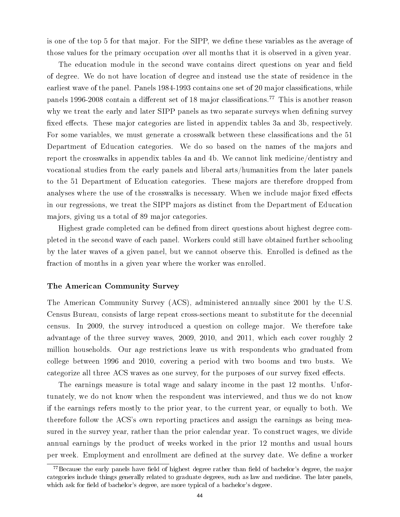is one of the top 5 for that major. For the SIPP, we define these variables as the average of those values for the primary occupation over all months that it is observed in a given year.

The education module in the second wave contains direct questions on year and field of degree. We do not have location of degree and instead use the state of residence in the earliest wave of the panel. Panels 1984-1993 contains one set of 20 major classifications, while panels 1996-2008 contain a different set of 18 major classifications.<sup>77</sup> This is another reason why we treat the early and later SIPP panels as two separate surveys when defining survey fixed effects. These major categories are listed in appendix tables 3a and 3b, respectively. For some variables, we must generate a crosswalk between these classifications and the 51 Department of Education categories. We do so based on the names of the majors and report the crosswalks in appendix tables 4a and 4b. We cannot link medicine/dentistry and vocational studies from the early panels and liberal arts/humanities from the later panels to the 51 Department of Education categories. These majors are therefore dropped from analyses where the use of the crosswalks is necessary. When we include major fixed effects in our regressions, we treat the SIPP majors as distinct from the Department of Education majors, giving us a total of 89 major categories.

Highest grade completed can be defined from direct questions about highest degree completed in the second wave of each panel. Workers could still have obtained further schooling by the later waves of a given panel, but we cannot observe this. Enrolled is defined as the fraction of months in a given year where the worker was enrolled.

#### The American Community Survey

The American Community Survey (ACS), administered annually since 2001 by the U.S. Census Bureau, consists of large repeat cross-sections meant to substitute for the decennial census. In 2009, the survey introduced a question on college major. We therefore take advantage of the three survey waves, 2009, 2010, and 2011, which each cover roughly 2 million households. Our age restrictions leave us with respondents who graduated from college between 1996 and 2010, covering a period with two booms and two busts. We categorize all three ACS waves as one survey, for the purposes of our survey fixed effects.

The earnings measure is total wage and salary income in the past 12 months. Unfortunately, we do not know when the respondent was interviewed, and thus we do not know if the earnings refers mostly to the prior year, to the current year, or equally to both. We therefore follow the ACS's own reporting practices and assign the earnings as being measured in the survey year, rather than the prior calendar year. To construct wages, we divide annual earnings by the product of weeks worked in the prior 12 months and usual hours per week. Employment and enrollment are defined at the survey date. We define a worker

 $^{77}$ Because the early panels have field of highest degree rather than field of bachelor's degree, the major categories include things generally related to graduate degrees, such as law and medicine. The later panels, which ask for field of bachelor's degree, are more typical of a bachelor's degree.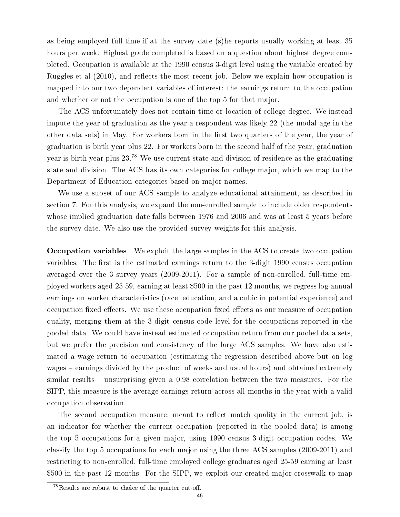as being employed full-time if at the survey date (s)he reports usually working at least 35 hours per week. Highest grade completed is based on a question about highest degree completed. Occupation is available at the 1990 census 3-digit level using the variable created by Ruggles et al  $(2010)$ , and reflects the most recent job. Below we explain how occupation is mapped into our two dependent variables of interest: the earnings return to the occupation and whether or not the occupation is one of the top 5 for that major.

The ACS unfortunately does not contain time or location of college degree. We instead impute the year of graduation as the year a respondent was likely 22 (the modal age in the other data sets) in May. For workers born in the first two quarters of the year, the year of graduation is birth year plus 22. For workers born in the second half of the year, graduation year is birth year plus 23.<sup>78</sup> We use current state and division of residence as the graduating state and division. The ACS has its own categories for college major, which we map to the Department of Education categories based on major names.

We use a subset of our ACS sample to analyze educational attainment, as described in section 7. For this analysis, we expand the non-enrolled sample to include older respondents whose implied graduation date falls between 1976 and 2006 and was at least 5 years before the survey date. We also use the provided survey weights for this analysis.

Occupation variables We exploit the large samples in the ACS to create two occupation variables. The first is the estimated earnings return to the 3-digit 1990 census occupation averaged over the 3 survey years (2009-2011). For a sample of non-enrolled, full-time employed workers aged 25-59, earning at least \$500 in the past 12 months, we regress log annual earnings on worker characteristics (race, education, and a cubic in potential experience) and occupation fixed effects. We use these occupation fixed effects as our measure of occupation quality, merging them at the 3-digit census code level for the occupations reported in the pooled data. We could have instead estimated occupation return from our pooled data sets, but we prefer the precision and consistency of the large ACS samples. We have also estimated a wage return to occupation (estimating the regression described above but on log wages – earnings divided by the product of weeks and usual hours) and obtained extremely similar results – unsurprising given a 0.98 correlation between the two measures. For the SIPP, this measure is the average earnings return across all months in the year with a valid occupation observation.

The second occupation measure, meant to reflect match quality in the current job, is an indicator for whether the current occupation (reported in the pooled data) is among the top 5 occupations for a given major, using 1990 census 3-digit occupation codes. We classify the top 5 occupations for each major using the three ACS samples (2009-2011) and restricting to non-enrolled, full-time employed college graduates aged 25-59 earning at least \$500 in the past 12 months. For the SIPP, we exploit our created major crosswalk to map

 $78$ Results are robust to choice of the quarter cut-off.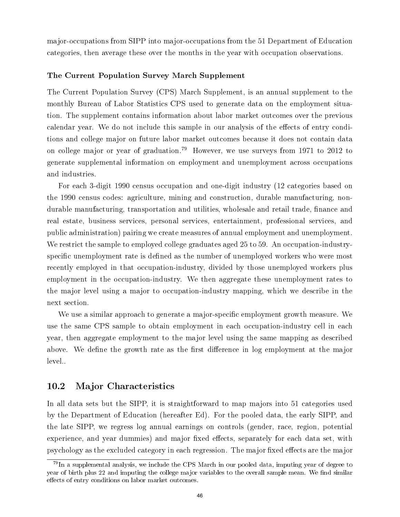major-occupations from SIPP into major-occupations from the 51 Department of Education categories, then average these over the months in the year with occupation observations.

#### The Current Population Survey March Supplement

The Current Population Survey (CPS) March Supplement, is an annual supplement to the monthly Bureau of Labor Statistics CPS used to generate data on the employment situation. The supplement contains information about labor market outcomes over the previous calendar year. We do not include this sample in our analysis of the effects of entry conditions and college major on future labor market outcomes because it does not contain data on college major or year of graduation.<sup>79</sup> However, we use surveys from 1971 to 2012 to generate supplemental information on employment and unemployment across occupations and industries.

For each 3-digit 1990 census occupation and one-digit industry (12 categories based on the 1990 census codes: agriculture, mining and construction, durable manufacturing, nondurable manufacturing, transportation and utilities, wholesale and retail trade, finance and real estate, business services, personal services, entertainment, professional services, and public administration) pairing we create measures of annual employment and unemployment. We restrict the sample to employed college graduates aged 25 to 59. An occupation-industryspecific unemployment rate is defined as the number of unemployed workers who were most recently employed in that occupation-industry, divided by those unemployed workers plus employment in the occupation-industry. We then aggregate these unemployment rates to the major level using a major to occupation-industry mapping, which we describe in the next section.

We use a similar approach to generate a major-specific employment growth measure. We use the same CPS sample to obtain employment in each occupation-industry cell in each year, then aggregate employment to the major level using the same mapping as described above. We define the growth rate as the first difference in log employment at the major level..

## 10.2 Major Characteristics

In all data sets but the SIPP, it is straightforward to map majors into 51 categories used by the Department of Education (hereafter Ed). For the pooled data, the early SIPP, and the late SIPP, we regress log annual earnings on controls (gender, race, region, potential experience, and year dummies) and major fixed effects, separately for each data set, with psychology as the excluded category in each regression. The major fixed effects are the major

 $79$ In a supplemental analysis, we include the CPS March in our pooled data, imputing year of degree to year of birth plus 22 and imputing the college major variables to the overall sample mean. We find similar effects of entry conditions on labor market outcomes.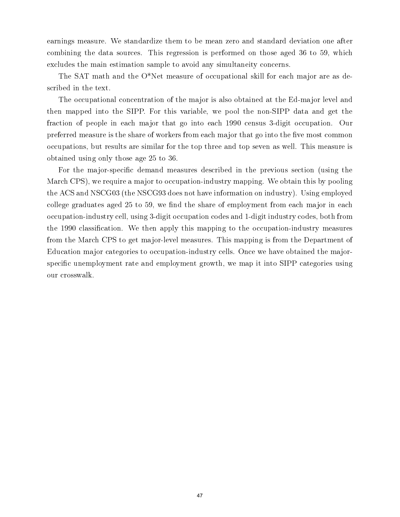earnings measure. We standardize them to be mean zero and standard deviation one after combining the data sources. This regression is performed on those aged 36 to 59, which excludes the main estimation sample to avoid any simultaneity concerns.

The SAT math and the O\*Net measure of occupational skill for each major are as described in the text.

The occupational concentration of the major is also obtained at the Ed-major level and then mapped into the SIPP. For this variable, we pool the non-SIPP data and get the fraction of people in each major that go into each 1990 census 3-digit occupation. Our preferred measure is the share of workers from each major that go into the five most common occupations, but results are similar for the top three and top seven as well. This measure is obtained using only those age 25 to 36.

For the major-specific demand measures described in the previous section (using the March CPS), we require a major to occupation-industry mapping. We obtain this by pooling the ACS and NSCG03 (the NSCG93 does not have information on industry). Using employed college graduates aged  $25$  to 59, we find the share of employment from each major in each occupation-industry cell, using 3-digit occupation codes and 1-digit industry codes, both from the 1990 classification. We then apply this mapping to the occupation-industry measures from the March CPS to get major-level measures. This mapping is from the Department of Education major categories to occupation-industry cells. Once we have obtained the majorspecific unemployment rate and employment growth, we map it into SIPP categories using our crosswalk.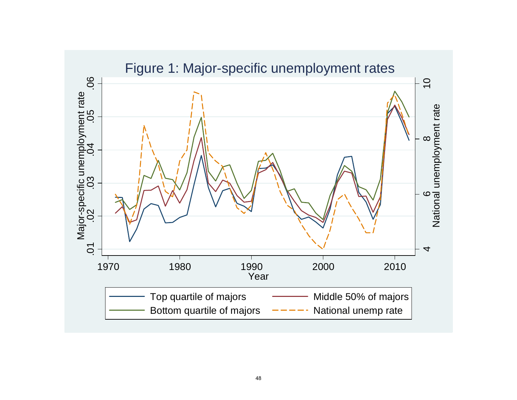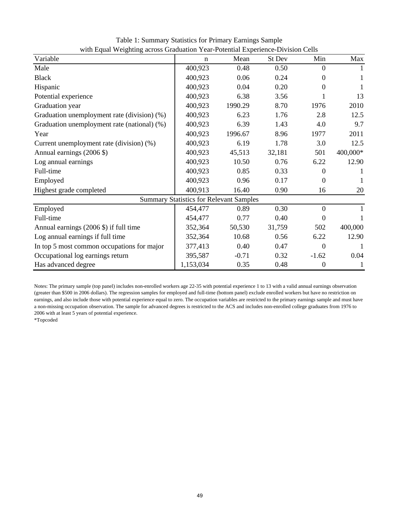| $\cdots$ $\cdots$ $\cdots$<br>Variable      | $\mathbf n$                                    | Mean    | St Dev | Min              | Max      |
|---------------------------------------------|------------------------------------------------|---------|--------|------------------|----------|
| Male                                        | 400,923                                        | 0.48    | 0.50   | $\Omega$         | 1        |
| <b>Black</b>                                | 400,923                                        | 0.06    | 0.24   | 0                |          |
| Hispanic                                    | 400,923                                        | 0.04    | 0.20   | $\Omega$         | 1        |
| Potential experience                        | 400,923                                        | 6.38    | 3.56   |                  | 13       |
| Graduation year                             | 400,923                                        | 1990.29 | 8.70   | 1976             | 2010     |
| Graduation unemployment rate (division) (%) | 400,923                                        | 6.23    | 1.76   | 2.8              | 12.5     |
| Graduation unemployment rate (national) (%) | 400,923                                        | 6.39    | 1.43   | 4.0              | 9.7      |
| Year                                        | 400,923                                        | 1996.67 | 8.96   | 1977             | 2011     |
| Current unemployment rate (division) (%)    | 400,923                                        | 6.19    | 1.78   | 3.0              | 12.5     |
| Annual earnings (2006 \$)                   | 400,923                                        | 45,513  | 32,181 | 501              | 400,000* |
| Log annual earnings                         | 400,923                                        | 10.50   | 0.76   | 6.22             | 12.90    |
| Full-time                                   | 400,923                                        | 0.85    | 0.33   | $\Omega$         |          |
| Employed                                    | 400,923                                        | 0.96    | 0.17   | $\theta$         | 1        |
| Highest grade completed                     | 400,913                                        | 16.40   | 0.90   | 16               | 20       |
|                                             | <b>Summary Statistics for Relevant Samples</b> |         |        |                  |          |
| Employed                                    | 454,477                                        | 0.89    | 0.30   | $\overline{0}$   |          |
| Full-time                                   | 454,477                                        | 0.77    | 0.40   | $\theta$         | 1        |
| Annual earnings (2006 \$) if full time      | 352,364                                        | 50,530  | 31,759 | 502              | 400,000  |
| Log annual earnings if full time            | 352,364                                        | 10.68   | 0.56   | 6.22             | 12.90    |
| In top 5 most common occupations for major  | 377,413                                        | 0.40    | 0.47   | $\theta$         |          |
| Occupational log earnings return            | 395,587                                        | $-0.71$ | 0.32   | $-1.62$          | 0.04     |
| Has advanced degree                         | 1,153,034                                      | 0.35    | 0.48   | $\boldsymbol{0}$ | 1        |

Table 1: Summary Statistics for Primary Earnings Sample with Equal Weighting across Graduation Year-Potential Experience-Division Cells

Notes: The primary sample (top panel) includes non-enrolled workers age 22-35 with potential experience 1 to 13 with a valid annual earnings observation (greater than \$500 in 2006 dollars). The regression samples for employed and full-time (bottom panel) exclude enrolled workers but have no restriction on earnings, and also include those with potential experience equal to zero. The occupation variables are restricted to the primary earnings sample and must have a non-missing occupation observation. The sample for advanced degrees is restricted to the ACS and includes non-enrolled college graduates from 1976 to 2006 with at least 5 years of potential experience.

\*Topcoded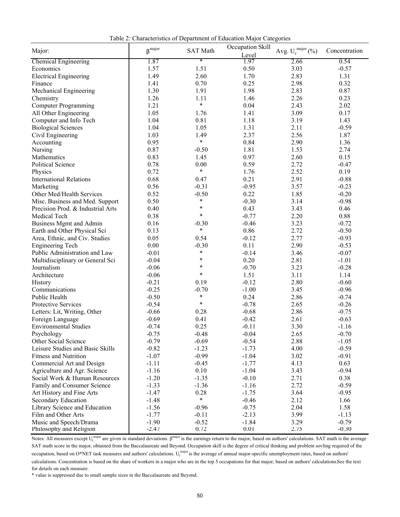Table 2: Characteristics of Department of Education Major Categories

|                                                | $\beta^{\rm major}$ | <b>SAT Math</b>   | Occupation Skill | Avg. $U_c^{major}$ (%) | Concentration |
|------------------------------------------------|---------------------|-------------------|------------------|------------------------|---------------|
| Major:                                         |                     |                   | Level            |                        |               |
| <b>Chemical Engineering</b>                    | 1.87                | $\ast$            | 1.97             | 2.66                   | 0.54          |
| Economics                                      | 1.57                | 1.51              | 0.50             | 3.03                   | $-0.57$       |
| <b>Electrical Engineering</b>                  | 1.49                | 2.60              | 1.70             | 2.83                   | 1.31          |
| Finance                                        | 1.41                | 0.70              | 0.25             | 2.98                   | 0.32          |
| Mechanical Engineering                         | 1.30                | 1.91              | 1.98             | 2.83                   | 0.87          |
| Chemistry                                      | 1.26                | 1.11              | 1.46             | 2.26                   | 0.23          |
| <b>Computer Programming</b>                    | 1.21                | $\ast$            | 0.04             | 2.43                   | 2.02          |
| All Other Engineering                          | 1.05                | 1.76              | 1.41             | 3.09                   | 0.17          |
| Computer and Info Tech                         | 1.04                | 0.81              | 1.18             | 3.19                   | 1.43          |
| <b>Biological Sciences</b>                     | 1.04                | 1.05              | 1.31             | 2.11                   | $-0.59$       |
| Civil Engineering                              | 1.03                | 1.49              | 2.37             | 2.56                   | 1.87          |
| Accounting                                     | 0.95                | $\ast$            | 0.84             | 2.90                   | 1.36          |
| Nursing                                        | 0.87                | $-0.50$           | 1.81             | 1.53                   | 2.74          |
| Mathematics                                    | 0.83                | 1.45              | 0.97             | 2.60                   | 0.15          |
| Political Science                              | 0.78                | 0.00              | 0.59             | 2.72                   | $-0.47$       |
| Physics                                        | 0.72                | $\ast$            | 1.76             | 2.52                   | 0.19          |
| <b>International Relations</b>                 | 0.68                | 0.47              | 0.21             | 2.91                   | $-0.88$       |
| Marketing                                      | 0.56                | $-0.31$           | $-0.95$          | 3.57                   | $-0.23$       |
| Other Med/Health Services                      | 0.52                | $-0.50$           | 0.22             | 1.85                   | $-0.20$       |
| Misc. Business and Med. Support                | 0.50                | $\ast$            | $-0.30$          | 3.14                   | $-0.98$       |
| Precision Prod. & Industrial Arts              | 0.40                | $\ast$            | 0.43             | 3.43                   | 0.46          |
| Medical Tech                                   | 0.38                | $\ast$            | $-0.77$          | 2.20                   | 0.88          |
| <b>Business Mgmt and Admin</b>                 | 0.16                | $-0.30$           | $-0.46$          | 3.23                   | $-0.72$       |
| Earth and Other Physical Sci                   | 0.13                | $\ast$            | 0.86             | 2.72                   | $-0.50$       |
| Area, Ethnic, and Civ. Studies                 | 0.05                | 0.54              | $-0.12$          | 2.77                   | $-0.93$       |
| <b>Engineering Tech</b>                        | $0.00\,$            | $-0.30$           | 0.11             | 2.90                   | $-0.53$       |
| Public Administration and Law                  | $-0.01$             | $\ast$            | $-0.14$          | 3.46                   | $-0.07$       |
|                                                | $-0.04$             | $\ast$            | 0.20             | 2.81                   | $-1.01$       |
| Multidisciplinary or General Sci<br>Journalism | $-0.06$             | $\ast$            | $-0.70$          | 3.23                   | $-0.28$       |
| Architecture                                   |                     | $\ast$            | 1.51             | 3.11                   | 1.14          |
|                                                | $-0.06$             |                   |                  |                        |               |
| History                                        | $-0.21$             | 0.19              | $-0.12$          | 2.80                   | $-0.60$       |
| Communications                                 | $-0.25$             | $-0.70$<br>$\ast$ | $-1.00$          | 3.45                   | $-0.96$       |
| Public Health                                  | $-0.50$             | $\ast$            | 0.24             | 2.86                   | $-0.74$       |
| Protective Services                            | $-0.54$             |                   | $-0.78$          | 2.65                   | $-0.26$       |
| Letters: Lit, Writing, Other                   | $-0.66$             | 0.28              | $-0.68$          | 2.86                   | $-0.75$       |
| Foreign Language                               | $-0.69$             | 0.41              | $-0.42$          | 2.61                   | $-0.63$       |
| <b>Environmental Studies</b>                   | $-0.74$             | 0.25              | $-0.11$          | 3.30                   | $-1.16$       |
| Psychology                                     | $-0.75$             | $-0.48$           | $-0.04$          | 2.65                   | $-0.70$       |
| Other Social Science                           | $-0.79$             | $-0.69$           | $-0.54$          | 2.88                   | $-1.05$       |
| Leisure Studies and Basic Skills               | $-0.82$             | $-1.23$           | $-1.73$          | 4.00                   | $-0.59$       |
| <b>Fitness and Nutrition</b>                   | $-1.07$             | $-0.99$           | $-1.04$          | 3.02                   | $-0.91$       |
| Commercial Art and Design                      | $-1.11$             | $-0.45$           | $-1.77$          | 4.13                   | 0.63          |
| Agriculture and Agr. Science                   | $-1.16$             | 0.10              | $-1.04$          | 3.43                   | $-0.94$       |
| Social Work & Human Resources                  | $-1.20$             | $-1.35$           | $-0.10$          | 2.71                   | 0.38          |
| Family and Consumer Science                    | $-1.33$             | $-1.36$           | $-1.16$          | 2.72                   | $-0.59$       |
| Art History and Fine Arts                      | $-1.47$             | 0.28              | $-1.75$          | 3.64                   | $-0.95$       |
| Secondary Education                            | $-1.48$             | $\ast$            | $-0.46$          | 2.12                   | 1.66          |
| Library Science and Education                  | $-1.56$             | $-0.96$           | $-0.75$          | 2.04                   | 1.58          |
| Film and Other Arts                            | $-1.77$             | $-0.11$           | $-2.13$          | 3.99                   | $-1.13$       |
| Music and Speech/Drama                         | $-1.90$             | $-0.52$           | $-1.84$          | 3.29                   | $-0.79$       |
| Philosophy and Religion                        | $-2.47$             | 0.72              | 0.01             | 2.75                   | $-0.30$       |

Notes: All measures except  $U_c^{major}$  are given in standard deviations.  $\beta^{major}$  is the earnings return to the major, based on authors' calculations. SAT math is the average SAT math score in the major, obtained from the Baccalaureate and Beyond. Occupation skill is the degree of critical thinking and problem sovling required of the occupation, based on O\*NET task measures and authors' calculations.  $U_c^{major}$  is the average of annual major-specific unemployment rates, based on authors' calculations. Concentration is based on the share of workers in a major who are in the top 5 occupations for that major, based on authors' calculations.See the text

for details on each measure.

\* value is suppressed due to small sample sizes in the Baccalaureate and Beyond.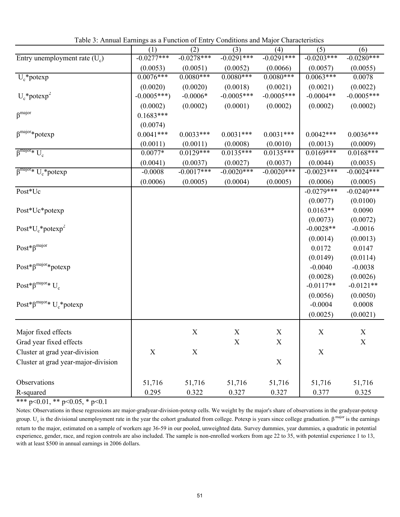Table 3: Annual Earnings as a Function of Entry Conditions and Major Characteristics

|                                            | (1)          | (2)          | (3)           | (4)          | (5)          | (6)          |
|--------------------------------------------|--------------|--------------|---------------|--------------|--------------|--------------|
| Entry unemployment rate $(U_c)$            | $-0.0277***$ | $-0.0278***$ | $-0.0291***$  | $-0.0291***$ | $-0.0203***$ | $-0.0280***$ |
|                                            | (0.0053)     | (0.0051)     | (0.0052)      | (0.0066)     | (0.0057)     | (0.0055)     |
| $U_c^*$ potexp                             | $0.0076***$  | $0.0080***$  | $0.0080***$   | $0.0080***$  | $0.0063***$  | 0.0078       |
|                                            | (0.0020)     | (0.0020)     | (0.0018)      | (0.0021)     | (0.0021)     | (0.0022)     |
| $U_c$ *potexp <sup>2</sup>                 | $-0.0005***$ | $-0.0006*$   | $-0.0005***$  | $-0.0005***$ | $-0.0004**$  | $-0.0005***$ |
|                                            | (0.0002)     | (0.0002)     | (0.0001)      | (0.0002)     | (0.0002)     | (0.0002)     |
| $\beta^{major}$                            | $0.1683***$  |              |               |              |              |              |
|                                            | (0.0074)     |              |               |              |              |              |
| $\beta^{\text{major}}* \text{potexp}$      | $0.0041***$  | $0.0033***$  | $0.0031***$   | $0.0031***$  | $0.0042***$  | $0.0036***$  |
|                                            | (0.0011)     | (0.0011)     | (0.0008)      | (0.0010)     | (0.0013)     | (0.0009)     |
| $\beta^{\text{major}}* U_c$                | $0.0077*$    | $0.0129***$  | $0.0135***$   | $0.0135***$  | $0.0169***$  | $0.0168***$  |
|                                            | (0.0041)     | (0.0037)     | (0.0027)      | (0.0037)     | (0.0044)     | (0.0035)     |
| $\beta^{\text{major}*} U_c^*$ potexp       | $-0.0008$    | $-0.0017***$ | $-0.0020$ *** | $-0.0020***$ | $-0.0023***$ | $-0.0024***$ |
|                                            | (0.0006)     | (0.0005)     | (0.0004)      | (0.0005)     | (0.0006)     | (0.0005)     |
| Post*Uc                                    |              |              |               |              | $-0.0279***$ | $-0.0240***$ |
|                                            |              |              |               |              | (0.0077)     | (0.0100)     |
| Post*Uc*potexp                             |              |              |               |              | $0.0163**$   | 0.0090       |
|                                            |              |              |               |              | (0.0073)     | (0.0072)     |
| $Post*U_c*potexp^2$                        |              |              |               |              | $-0.0028**$  | $-0.0016$    |
|                                            |              |              |               |              | (0.0014)     | (0.0013)     |
| $Post^*\beta^{major}$                      |              |              |               |              | 0.0172       | 0.0147       |
|                                            |              |              |               |              | (0.0149)     | (0.0114)     |
| $Post*\beta^{major}*potexp$                |              |              |               |              | $-0.0040$    | $-0.0038$    |
|                                            |              |              |               |              | (0.0028)     | (0.0026)     |
| Post* $\beta^{major*} U_c$                 |              |              |               |              | $-0.0117**$  | $-0.0121**$  |
|                                            |              |              |               |              | (0.0056)     | (0.0050)     |
| Post* $\beta^{\text{major}*} U_c^*$ potexp |              |              |               |              | $-0.0004$    | 0.0008       |
|                                            |              |              |               |              | (0.0025)     | (0.0021)     |
| Major fixed effects                        |              | X            | X             | X            | X            | X            |
| Grad year fixed effects                    |              |              | $\mathbf X$   | $\mathbf X$  |              | $\mathbf X$  |
| Cluster at grad year-division              | X            | $\mathbf X$  |               |              | X            |              |
| Cluster at grad year-major-division        |              |              |               | $\mathbf X$  |              |              |
|                                            |              |              |               |              |              |              |
| Observations                               | 51,716       | 51,716       | 51,716        | 51,716       | 51,716       | 51,716       |
| R-squared                                  | 0.295        | 0.322        | 0.327         | 0.327        | 0.377        | 0.325        |

Notes: Observations in these regressions are major-gradyear-division-potexp cells. We weight by the major's share of observations in the gradyear-potexp group.  $U_c$  is the divisional unemployment rate in the year the cohort graduated from college. Potexp is years since college graduation.  $\beta^{major}$  is the earnings return to the major, estimated on a sample of workers age 36-59 in our pooled, unweighted data. Survey dummies, year dummies, a quadratic in potential experience, gender, race, and region controls are also included. The sample is non-enrolled workers from age 22 to 35, with potential experience 1 to 13, with at least \$500 in annual earnings in 2006 dollars.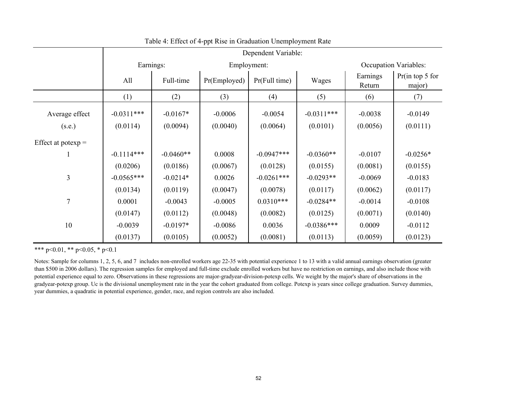|                      |              | Dependent Variable: |              |                  |              |                    |                              |  |  |  |  |
|----------------------|--------------|---------------------|--------------|------------------|--------------|--------------------|------------------------------|--|--|--|--|
|                      |              | Earnings:           |              | Employment:      |              |                    | <b>Occupation Variables:</b> |  |  |  |  |
|                      | All          | Full-time           | Pr(Employed) | $Pr$ (Full time) | Wages        | Earnings<br>Return | Pr(in top 5 for<br>major)    |  |  |  |  |
|                      | (1)          | (2)                 | (3)          | (4)              | (5)          | (6)                | (7)                          |  |  |  |  |
| Average effect       | $-0.0311***$ | $-0.0167*$          | $-0.0006$    | $-0.0054$        | $-0.0311***$ | $-0.0038$          | $-0.0149$                    |  |  |  |  |
| (s.e.)               | (0.0114)     | (0.0094)            | (0.0040)     | (0.0064)         | (0.0101)     | (0.0056)           | (0.0111)                     |  |  |  |  |
| Effect at potexp $=$ |              |                     |              |                  |              |                    |                              |  |  |  |  |
|                      | $-0.1114***$ | $-0.0460**$         | 0.0008       | $-0.0947***$     | $-0.0360**$  | $-0.0107$          | $-0.0256*$                   |  |  |  |  |
|                      | (0.0206)     | (0.0186)            | (0.0067)     | (0.0128)         | (0.0155)     | (0.0081)           | (0.0155)                     |  |  |  |  |
| $\overline{3}$       | $-0.0565***$ | $-0.0214*$          | 0.0026       | $-0.0261***$     | $-0.0293**$  | $-0.0069$          | $-0.0183$                    |  |  |  |  |
|                      | (0.0134)     | (0.0119)            | (0.0047)     | (0.0078)         | (0.0117)     | (0.0062)           | (0.0117)                     |  |  |  |  |
| $\overline{7}$       | 0.0001       | $-0.0043$           | $-0.0005$    | $0.0310***$      | $-0.0284**$  | $-0.0014$          | $-0.0108$                    |  |  |  |  |
|                      | (0.0147)     | (0.0112)            | (0.0048)     | (0.0082)         | (0.0125)     | (0.0071)           | (0.0140)                     |  |  |  |  |
| 10                   | $-0.0039$    | $-0.0197*$          | $-0.0086$    | 0.0036           | $-0.0386***$ | 0.0009             | $-0.0112$                    |  |  |  |  |
|                      | (0.0137)     | (0.0105)            | (0.0052)     | (0.0081)         | (0.0113)     | (0.0059)           | (0.0123)                     |  |  |  |  |

Table 4: Effect of 4-ppt Rise in Graduation Unemployment Rate

Notes: Sample for columns 1, 2, 5, 6, and 7 includes non-enrolled workers age 22-35 with potential experience 1 to 13 with a valid annual earnings observation (greater than \$500 in 2006 dollars). The regression samples for employed and full-time exclude enrolled workers but have no restriction on earnings, and also include those with potential experience equal to zero. Observations in these regressions are major-gradyear-division-potexp cells. We weight by the major's share of observations in the gradyear-potexp group. Uc is the divisional unemployment rate in the year the cohort graduated from college. Potexp is years since college graduation. Survey dummies, year dummies, a quadratic in potential experience, gender, race, and region controls are also included.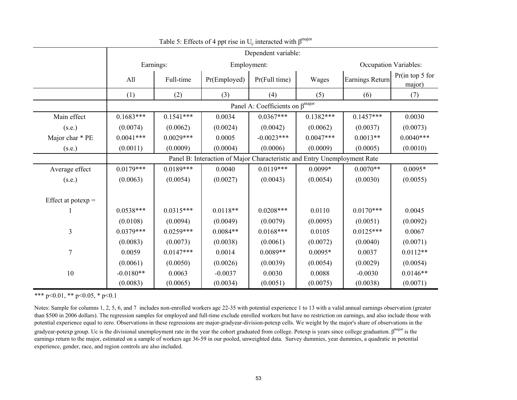|                      |             | Dependent variable: |                                                                          |               |             |                 |                              |  |  |
|----------------------|-------------|---------------------|--------------------------------------------------------------------------|---------------|-------------|-----------------|------------------------------|--|--|
|                      |             | Earnings:           |                                                                          | Employment:   |             |                 | <b>Occupation Variables:</b> |  |  |
|                      | All         | Full-time           | Pr(Employed)                                                             | Pr(Full time) | Wages       | Earnings Return | Pr(in top 5 for<br>major)    |  |  |
|                      | (1)         | (2)                 | (3)                                                                      | (4)           | (5)         | (6)             | (7)                          |  |  |
|                      |             |                     |                                                                          |               |             |                 |                              |  |  |
| Main effect          | $0.1683***$ | $0.1541***$         | 0.0034                                                                   | $0.0367***$   | $0.1382***$ | $0.1457***$     | 0.0030                       |  |  |
| (s.e.)               | (0.0074)    | (0.0062)            | (0.0024)                                                                 | (0.0042)      | (0.0062)    | (0.0037)        | (0.0073)                     |  |  |
| Major char * PE      | $0.0041***$ | $0.0029***$         | 0.0005                                                                   | $-0.0023***$  | $0.0047***$ | $0.0013**$      | $0.0040***$                  |  |  |
| (s.e.)               | (0.0011)    | (0.0009)            | (0.0004)                                                                 | (0.0006)      | (0.0009)    | (0.0005)        | (0.0010)                     |  |  |
|                      |             |                     | Panel B: Interaction of Major Characteristic and Entry Unemployment Rate |               |             |                 |                              |  |  |
| Average effect       | $0.0179***$ | $0.0189***$         | 0.0040                                                                   | $0.0119***$   | $0.0099*$   | $0.0070**$      | $0.0095*$                    |  |  |
| (s.e.)               | (0.0063)    | (0.0054)            | (0.0027)                                                                 | (0.0043)      | (0.0054)    | (0.0030)        | (0.0055)                     |  |  |
|                      |             |                     |                                                                          |               |             |                 |                              |  |  |
| Effect at potexp $=$ |             |                     |                                                                          |               |             |                 |                              |  |  |
|                      | $0.0538***$ | $0.0315***$         | $0.0118**$                                                               | $0.0208***$   | 0.0110      | $0.0170***$     | 0.0045                       |  |  |
|                      | (0.0108)    | (0.0094)            | (0.0049)                                                                 | (0.0079)      | (0.0095)    | (0.0051)        | (0.0092)                     |  |  |
| 3                    | $0.0379***$ | $0.0259***$         | $0.0084**$                                                               | $0.0168***$   | 0.0105      | $0.0125***$     | 0.0067                       |  |  |
|                      | (0.0083)    | (0.0073)            | (0.0038)                                                                 | (0.0061)      | (0.0072)    | (0.0040)        | (0.0071)                     |  |  |
| 7                    | 0.0059      | $0.0147***$         | 0.0014                                                                   | $0.0089**$    | $0.0095*$   | 0.0037          | $0.0112**$                   |  |  |
|                      | (0.0061)    | (0.0050)            | (0.0026)                                                                 | (0.0039)      | (0.0054)    | (0.0029)        | (0.0054)                     |  |  |
| 10                   | $-0.0180**$ | 0.0063              | $-0.0037$                                                                | 0.0030        | 0.0088      | $-0.0030$       | $0.0146**$                   |  |  |
|                      | (0.0083)    | (0.0065)            | (0.0034)                                                                 | (0.0051)      | (0.0075)    | (0.0038)        | (0.0071)                     |  |  |

Table 5: Effects of 4 ppt rise in  $U_c$  interacted with  $\beta^{major}$ 

Notes: Sample for columns 1, 2, 5, 6, and 7 includes non-enrolled workers age 22-35 with potential experience 1 to 13 with a valid annual earnings observation (greater than \$500 in 2006 dollars). The regression samples for employed and full-time exclude enrolled workers but have no restriction on earnings, and also include those with potential experience equal to zero. Observations in these regressions are major-gradyear-division-potexp cells. We weight by the major's share of observations in the gradyear-potexp group. Uc is the divisional unemployment rate in the year the cohort graduated from college. Potexp is years since college graduation. β<sup>major</sup> is the earnings return to the major, estimated on a sample of workers age 36-59 in our pooled, unweighted data. Survey dummies, year dummies, a quadratic in potential experience, gender, race, and region controls are also included.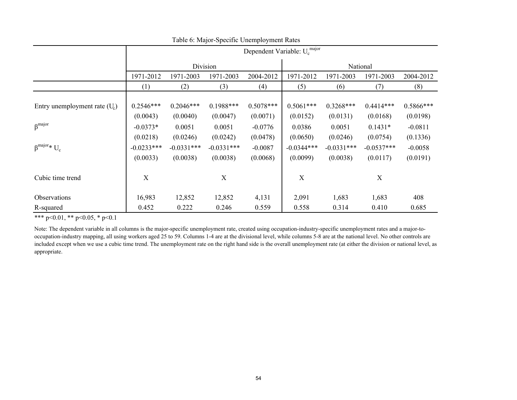|                                 |                          | Dependent Variable: U <sub>c</sub> <sup>major</sup> |                          |                         |                          |                          |                          |                       |  |  |  |
|---------------------------------|--------------------------|-----------------------------------------------------|--------------------------|-------------------------|--------------------------|--------------------------|--------------------------|-----------------------|--|--|--|
|                                 |                          |                                                     | Division                 |                         |                          | National                 |                          |                       |  |  |  |
|                                 | 1971-2012                | 1971-2003                                           | 1971-2003                | 2004-2012               | 1971-2012                | 1971-2003                | 1971-2003                | 2004-2012             |  |  |  |
|                                 | (1)                      | (2)                                                 | (3)                      | (4)                     | (5)                      | (6)                      | (7)                      | (8)                   |  |  |  |
| Entry unemployment rate $(U_c)$ | $0.2546***$<br>(0.0043)  | $0.2046***$<br>(0.0040)                             | $0.1988***$<br>(0.0047)  | $0.5078***$<br>(0.0071) | $0.5061***$<br>(0.0152)  | $0.3268***$<br>(0.0131)  | $0.4414***$<br>(0.0168)  | 0.5866***<br>(0.0198) |  |  |  |
| $\beta$ <sup>major</sup>        | $-0.0373*$<br>(0.0218)   | 0.0051<br>(0.0246)                                  | 0.0051<br>(0.0242)       | $-0.0776$<br>(0.0478)   | 0.0386<br>(0.0650)       | 0.0051<br>(0.0246)       | $0.1431*$<br>(0.0754)    | $-0.0811$<br>(0.1336) |  |  |  |
| $\beta^{\text{major}}* U_c$     | $-0.0233***$<br>(0.0033) | $-0.0331***$<br>(0.0038)                            | $-0.0331***$<br>(0.0038) | $-0.0087$<br>(0.0068)   | $-0.0344***$<br>(0.0099) | $-0.0331***$<br>(0.0038) | $-0.0537***$<br>(0.0117) | $-0.0058$<br>(0.0191) |  |  |  |
| Cubic time trend                | X                        |                                                     | X                        |                         | X                        |                          | X                        |                       |  |  |  |
| Observations                    | 16,983                   | 12,852                                              | 12,852                   | 4,131                   | 2,091                    | 1,683                    | 1,683                    | 408                   |  |  |  |
| R-squared                       | 0.452                    | 0.222                                               | 0.246                    | 0.559                   | 0.558                    | 0.314                    | 0.410                    | 0.685                 |  |  |  |

Table 6: Major-Specific Unemployment Rates

Note: The dependent variable in all columns is the major-specific unemployment rate, created using occupation-industry-specific unemployment rates and a major-tooccupation-industry mapping, all using workers aged 25 to 59. Columns 1-4 are at the divisional level, while columns 5-8 are at the national level. No other controls are included except when we use a cubic time trend. The unemployment rate on the right hand side is the overall unemployment rate (at either the division or national level, as appropriate.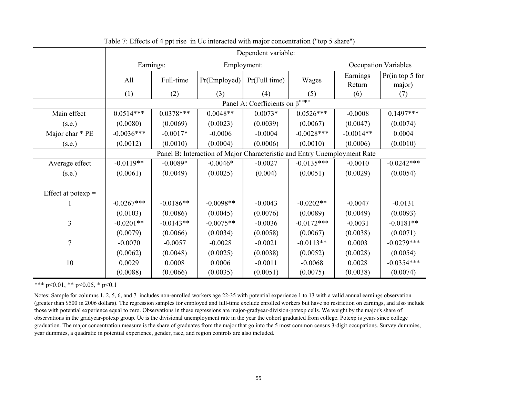|                      | Dependent variable: |             |                                                                          |                                                        |               |                    |                             |  |
|----------------------|---------------------|-------------|--------------------------------------------------------------------------|--------------------------------------------------------|---------------|--------------------|-----------------------------|--|
|                      |                     | Earnings:   |                                                                          | Employment:                                            |               |                    | <b>Occupation Variables</b> |  |
|                      | All                 | Full-time   | Pr(Emploved)                                                             | Pr(Full time)                                          | Wages         | Earnings<br>Return | Pr(in top 5 for<br>major)   |  |
|                      | (1)                 | (2)         | (3)                                                                      | (4)<br>Panel A: Coefficients on $\beta^{\text{major}}$ | (5)           | (6)                | (7)                         |  |
|                      |                     |             |                                                                          |                                                        |               |                    |                             |  |
| Main effect          | $0.0514***$         | $0.0378***$ | $0.0048**$                                                               | $0.0073*$                                              | $0.0526***$   | $-0.0008$          | $0.1497***$                 |  |
| (s.e.)               | (0.0080)            | (0.0069)    | (0.0023)                                                                 | (0.0039)                                               | (0.0067)      | (0.0047)           | (0.0074)                    |  |
| Major char * PE      | $-0.0036***$        | $-0.0017*$  | $-0.0006$                                                                | $-0.0004$                                              | $-0.0028$ *** | $-0.0014**$        | 0.0004                      |  |
| (s.e.)               | (0.0012)            | (0.0010)    | (0.0004)                                                                 | (0.0006)                                               | (0.0010)      | (0.0006)           | (0.0010)                    |  |
|                      |                     |             | Panel B: Interaction of Major Characteristic and Entry Unemployment Rate |                                                        |               |                    |                             |  |
| Average effect       | $-0.0119**$         | $-0.0089*$  | $-0.0046*$                                                               | $-0.0027$                                              | $-0.0135***$  | $-0.0010$          | $-0.0242***$                |  |
| (s.e.)               | (0.0061)            | (0.0049)    | (0.0025)                                                                 | (0.004)                                                | (0.0051)      | (0.0029)           | (0.0054)                    |  |
|                      |                     |             |                                                                          |                                                        |               |                    |                             |  |
| Effect at potexp $=$ |                     |             |                                                                          |                                                        |               |                    |                             |  |
|                      | $-0.0267***$        | $-0.0186**$ | $-0.0098**$                                                              | $-0.0043$                                              | $-0.0202**$   | $-0.0047$          | $-0.0131$                   |  |
|                      | (0.0103)            | (0.0086)    | (0.0045)                                                                 | (0.0076)                                               | (0.0089)      | (0.0049)           | (0.0093)                    |  |
| $\overline{3}$       | $-0.0201**$         | $-0.0143**$ | $-0.0075**$                                                              | $-0.0036$                                              | $-0.0172***$  | $-0.0031$          | $-0.0181**$                 |  |
|                      | (0.0079)            | (0.0066)    | (0.0034)                                                                 | (0.0058)                                               | (0.0067)      | (0.0038)           | (0.0071)                    |  |
| 7                    | $-0.0070$           | $-0.0057$   | $-0.0028$                                                                | $-0.0021$                                              | $-0.0113**$   | 0.0003             | $-0.0279***$                |  |
|                      | (0.0062)            | (0.0048)    | (0.0025)                                                                 | (0.0038)                                               | (0.0052)      | (0.0028)           | (0.0054)                    |  |
| 10                   | 0.0029              | 0.0008      | 0.0006                                                                   | $-0.0011$                                              | $-0.0068$     | 0.0028             | $-0.0354***$                |  |
|                      | (0.0088)            | (0.0066)    | (0.0035)                                                                 | (0.0051)                                               | (0.0075)      | (0.0038)           | (0.0074)                    |  |

Table 7: Effects of 4 ppt rise in Uc interacted with major concentration ("top 5 share")

Notes: Sample for columns 1, 2, 5, 6, and 7 includes non-enrolled workers age 22-35 with potential experience 1 to 13 with a valid annual earnings observation (greater than \$500 in 2006 dollars). The regression samples for employed and full-time exclude enrolled workers but have no restriction on earnings, and also include those with potential experience equal to zero. Observations in these regressions are major-gradyear-division-potexp cells. We weight by the major's share of observations in the gradyear-potexp group. Uc is the divisional unemployment rate in the year the cohort graduated from college. Potexp is years since college graduation. The major concentration measure is the share of graduates from the major that go into the 5 most common census 3-digit occupations. Survey dummies, year dummies, a quadratic in potential experience, gender, race, and region controls are also included.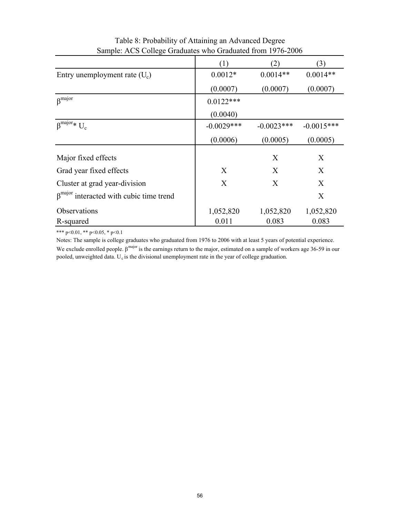|                                                           | (1)          | (2)          | (3)          |
|-----------------------------------------------------------|--------------|--------------|--------------|
| Entry unemployment rate $(U_c)$                           | $0.0012*$    | $0.0014**$   | $0.0014**$   |
|                                                           | (0.0007)     | (0.0007)     | (0.0007)     |
| $\beta$ <sup>major</sup>                                  | $0.0122***$  |              |              |
|                                                           | (0.0040)     |              |              |
| $\beta^{\text{major}}* U_c$                               | $-0.0029***$ | $-0.0023***$ | $-0.0015***$ |
|                                                           | (0.0006)     | (0.0005)     | (0.0005)     |
| Major fixed effects                                       |              | $\mathbf{X}$ | X            |
| Grad year fixed effects                                   | X            | X            | X            |
| Cluster at grad year-division                             | X            | X            | $\mathbf{X}$ |
| $\beta$ <sup>major</sup> interacted with cubic time trend |              |              | X            |
| Observations                                              | 1,052,820    | 1,052,820    | 1,052,820    |
| R-squared                                                 | 0.011        | 0.083        | 0.083        |

Table 8: Probability of Attaining an Advanced Degree Sample: ACS College Graduates who Graduated from 1976-2006

Notes: The sample is college graduates who graduated from 1976 to 2006 with at least 5 years of potential experience. We exclude enrolled people.  $\beta^{major}$  is the earnings return to the major, estimated on a sample of workers age 36-59 in our pooled, unweighted data.  $U_c$  is the divisional unemployment rate in the year of college graduation.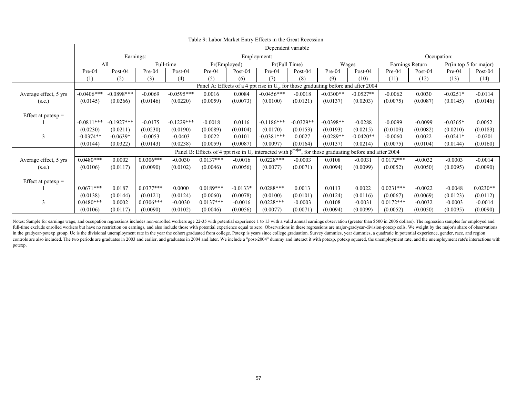|                       |              | Dependent variable                                                                     |             |              |             |                               |                                                                                                                      |             |             |             |                 |           |                        |            |
|-----------------------|--------------|----------------------------------------------------------------------------------------|-------------|--------------|-------------|-------------------------------|----------------------------------------------------------------------------------------------------------------------|-------------|-------------|-------------|-----------------|-----------|------------------------|------------|
|                       |              | Earnings:                                                                              |             |              |             |                               | Employment:                                                                                                          |             |             |             |                 |           | Occupation:            |            |
|                       | All          |                                                                                        |             | Full-time    |             | Pr(Full Time)<br>Pr(Emploved) |                                                                                                                      | Wages       |             |             | Earnings Return |           | Pr(in top 5 for major) |            |
|                       | $Pre-04$     | Post- $04$                                                                             | $Pre-04$    | Post-04      | Pre-04      | $Post-04$                     | Pre-04                                                                                                               | Post-04     | $Pre-04$    | Post-04     | Pre-04          | Post-04   | Pre-04                 | Post- $04$ |
|                       | (1)          | (2)                                                                                    | (3)         | (4)          | (5)         | (6)                           | (7)                                                                                                                  | (8)         | (9)         | (10)        | (11)            | (12)      | (13)                   | (14)       |
|                       |              | Panel A: Effects of a 4 ppt rise in $U_c$ , for those graduating before and after 2004 |             |              |             |                               |                                                                                                                      |             |             |             |                 |           |                        |            |
| Average effect, 5 yrs | $-0.0406***$ | $-0.0898***$                                                                           | $-0.0069$   | $-0.0595***$ | 0.0016      | 0.0084                        | $-0.0456***$                                                                                                         | $-0.0018$   | $-0.0300**$ | $-0.0527**$ | $-0.0062$       | 0.0030    | $-0.0251*$             | $-0.0114$  |
| (s.e.)                | (0.0145)     | (0.0266)                                                                               | (0.0146)    | (0.0220)     | (0.0059)    | (0.0073)                      | (0.0100)                                                                                                             | (0.0121)    | (0.0137)    | (0.0203)    | (0.0075)        | (0.0087)  | (0.0145)               | (0.0146)   |
|                       |              |                                                                                        |             |              |             |                               |                                                                                                                      |             |             |             |                 |           |                        |            |
| Effect at potexp $=$  |              |                                                                                        |             |              |             |                               |                                                                                                                      |             |             |             |                 |           |                        |            |
|                       | $-0.0811***$ | $-0.1927***$                                                                           | $-0.0175$   | $-0.1229***$ | $-0.0018$   | 0.0116                        | $-0.1186***$                                                                                                         | $-0.0329**$ | $-0.0398**$ | $-0.0288$   | $-0.0099$       | $-0.0099$ | $-0.0365*$             | 0.0052     |
|                       | (0.0230)     | (0.0211)                                                                               | (0.0230)    | (0.0190)     | (0.0089)    | (0.0104)                      | (0.0170)                                                                                                             | (0.0153)    | (0.0193)    | (0.0215)    | (0.0109)        | (0.0082)  | (0.0210)               | (0.0183)   |
| 3                     | $-0.0374**$  | $-0.0639*$                                                                             | $-0.0053$   | $-0.0403$    | 0.0022      | 0.0101                        | $-0.0381***$                                                                                                         | 0.0027      | $-0.0289**$ | $-0.0420**$ | $-0.0060$       | 0.0022    | $-0.0241*$             | $-0.0201$  |
|                       | (0.0144)     | (0.0322)                                                                               | (0.0143)    | (0.0238)     | (0.0059)    | (0.0087)                      | (0.0097)                                                                                                             | (0.0164)    | (0.0137)    | (0.0214)    | (0.0075)        | (0.0104)  | (0.0144)               | (0.0160)   |
|                       |              |                                                                                        |             |              |             |                               | Panel B: Effects of 4 ppt rise in $U_c$ interacted with $\beta^{major}$ , for those graduating before and after 2004 |             |             |             |                 |           |                        |            |
| Average effect, 5 yrs | $0.0480***$  | 0.0002                                                                                 | $0.0306***$ | $-0.0030$    | $0.0137***$ | $-0.0016$                     | $0.0228***$                                                                                                          | $-0.0003$   | 0.0108      | $-0.0031$   | $0.0172***$     | $-0.0032$ | $-0.0003$              | $-0.0014$  |
| (s.e.)                | (0.0106)     | (0.0117)                                                                               | (0.0090)    | (0.0102)     | (0.0046)    | (0.0056)                      | (0.0077)                                                                                                             | (0.0071)    | (0.0094)    | (0.0099)    | (0.0052)        | (0.0050)  | (0.0095)               | (0.0090)   |
|                       |              |                                                                                        |             |              |             |                               |                                                                                                                      |             |             |             |                 |           |                        |            |
| Effect at potexp $=$  |              |                                                                                        |             |              |             |                               |                                                                                                                      |             |             |             |                 |           |                        |            |
|                       | $0.0671***$  | 0.0187                                                                                 | $0.0377***$ | 0.0000       | $0.0189***$ | $-0.0133*$                    | $0.0288***$                                                                                                          | 0.0013      | 0.0113      | 0.0022      | $0.0231***$     | $-0.0022$ | $-0.0048$              | $0.0230**$ |
|                       | (0.0138)     | (0.0144)                                                                               | (0.0121)    | (0.0124)     | (0.0060)    | (0.0078)                      | (0.0100)                                                                                                             | (0.0101)    | (0.0124)    | (0.0116)    | (0.0067)        | (0.0069)  | (0.0123)               | (0.0112)   |
| 3                     | $0.0480***$  | 0.0002                                                                                 | $0.0306***$ | $-0.0030$    | $0.0137***$ | $-0.0016$                     | $0.0228***$                                                                                                          | $-0.0003$   | 0.0108      | $-0.0031$   | $0.0172***$     | $-0.0032$ | $-0.0003$              | $-0.0014$  |
|                       | (0.0106)     | (0.0117)                                                                               | (0.0090)    | (0.0102)     | (0.0046)    | (0.0056)                      | (0.0077)                                                                                                             | (0.0071)    | (0.0094)    | (0.0099)    | (0.0052)        | (0.0050)  | (0.0095)               | (0.0090)   |

Notes: Sample for earnings wage, and occupation regressions includes non-enrolled workers age 22-35 with potential experience 1 to 13 with a valid annual earnings observation (greater than \$500 in 2006 dollars). The regres full-time exclude enrolled workers but have no restriction on earnings, and also include those with potential experience equal to zero. Observations in these regressions are major-gradyear-division-potexp cells. We weight in the gradvear-potexp group. Uc is the divisional unemployment rate in the year the cohort graduated from college. Potexp is years since college graduation. Survey dummies, year dummies, a quadratic in potential experienc controls are also included. The two periods are graduates in 2003 and earlier, and graduates in 2004 and later. We include a "post-2004" dummy and interact it with potexp, potexp squared, the unemployment rate, and the une potexp.

|  |  |  |  |  |  | Table 9: Labor Market Entry Effects in the Great Recession |  |  |  |  |  |  |
|--|--|--|--|--|--|------------------------------------------------------------|--|--|--|--|--|--|
|--|--|--|--|--|--|------------------------------------------------------------|--|--|--|--|--|--|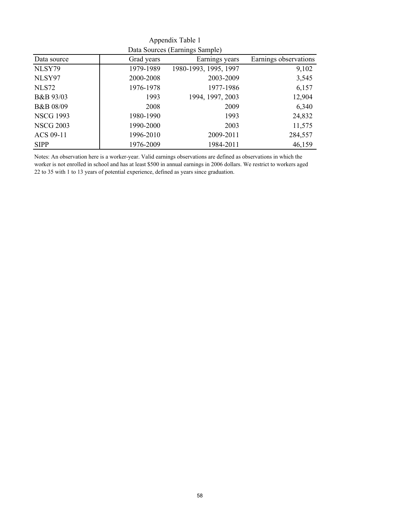|                  |            | $Data$ bources (Earnings bample) |                       |
|------------------|------------|----------------------------------|-----------------------|
| Data source      | Grad years | Earnings years                   | Earnings observations |
| NLSY79           | 1979-1989  | 1980-1993, 1995, 1997            | 9,102                 |
| NLSY97           | 2000-2008  | 2003-2009                        | 3,545                 |
| <b>NLS72</b>     | 1976-1978  | 1977-1986                        | 6,157                 |
| B&B 93/03        | 1993       | 1994, 1997, 2003                 | 12,904                |
| B&B 08/09        | 2008       | 2009                             | 6,340                 |
| <b>NSCG 1993</b> | 1980-1990  | 1993                             | 24,832                |
| <b>NSCG 2003</b> | 1990-2000  | 2003                             | 11,575                |
| ACS 09-11        | 1996-2010  | 2009-2011                        | 284,557               |
| <b>SIPP</b>      | 1976-2009  | 1984-2011                        | 46,159                |

Appendix Table 1 Data Sources (Earnings Sample)

Notes: An observation here is a worker-year. Valid earnings observations are defined as observations in which the worker is not enrolled in school and has at least \$500 in annual earnings in 2006 dollars. We restrict to workers aged 22 to 35 with 1 to 13 years of potential experience, defined as years since graduation.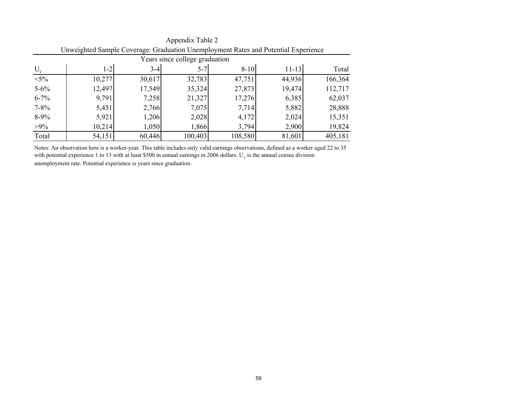|                                | Unweighted Sample Coverage. Graduation Unemployment Nates and Folemial Experience |        |         |          |           |         |  |  |  |  |  |
|--------------------------------|-----------------------------------------------------------------------------------|--------|---------|----------|-----------|---------|--|--|--|--|--|
| Years since college graduation |                                                                                   |        |         |          |           |         |  |  |  |  |  |
| $U_{c}$                        | $1 - 2$                                                                           | $3-4$  | $5 - 7$ | $8 - 10$ | $11 - 13$ | Total   |  |  |  |  |  |
| $< 5\%$                        | 10,277                                                                            | 30,617 | 32,783  | 47,751   | 44,936    | 166,364 |  |  |  |  |  |
| $5 - 6\%$                      | 12,497                                                                            | 17,549 | 35,324  | 27,873   | 19,474    | 112,717 |  |  |  |  |  |
| $6 - 7\%$                      | 9,791                                                                             | 7,258  | 21,327  | 17,276   | 6,385     | 62,037  |  |  |  |  |  |
| $7 - 8\%$                      | 5,451                                                                             | 2,766  | 7,075   | 7,714    | 5,882     | 28,888  |  |  |  |  |  |
| $8-9%$                         | 5,921                                                                             | 1,206  | 2,028   | 4,172    | 2,024     | 15,351  |  |  |  |  |  |
| $>9\%$                         | 10,214                                                                            | 1,050  | 1,866   | 3,794    | 2,900     | 19,824  |  |  |  |  |  |
| Total                          | 54,151                                                                            | 60,446 | 100,403 | 108,580  | 81,601    | 405,181 |  |  |  |  |  |

Appendix Table 2 Unweighted Sample Coverage: Graduation Unemployment Rates and Potential Experience

Notes: An observation here is a worker-year. This table includes only valid earnings observations, defined as a worker aged 22 to 35 with potential experience 1 to 13 with at least \$500 in annual earnings in 2006 dollars.  $U_c$  is the annual census division unemployment rate. Potential experience is years since graduation.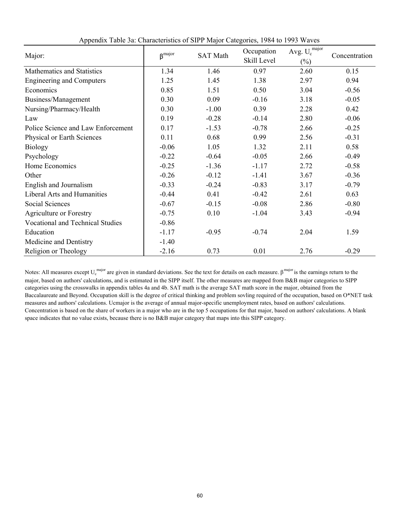| Major:                                  | $\beta$ <sup>major</sup> | <b>SAT Math</b> | Occupation<br>Skill Level | Avg. $U_c^{\ \mathrm{major}}$<br>$(\%)$ | Concentration |
|-----------------------------------------|--------------------------|-----------------|---------------------------|-----------------------------------------|---------------|
| Mathematics and Statistics              | 1.34                     | 1.46            | 0.97                      | 2.60                                    | 0.15          |
| <b>Engineering and Computers</b>        | 1.25                     | 1.45            | 1.38                      | 2.97                                    | 0.94          |
| Economics                               | 0.85                     | 1.51            | 0.50                      | 3.04                                    | $-0.56$       |
| Business/Management                     | 0.30                     | 0.09            | $-0.16$                   | 3.18                                    | $-0.05$       |
| Nursing/Pharmacy/Health                 | 0.30                     | $-1.00$         | 0.39                      | 2.28                                    | 0.42          |
| Law                                     | 0.19                     | $-0.28$         | $-0.14$                   | 2.80                                    | $-0.06$       |
| Police Science and Law Enforcement      | 0.17                     | $-1.53$         | $-0.78$                   | 2.66                                    | $-0.25$       |
| Physical or Earth Sciences              | 0.11                     | 0.68            | 0.99                      | 2.56                                    | $-0.31$       |
| <b>Biology</b>                          | $-0.06$                  | 1.05            | 1.32                      | 2.11                                    | 0.58          |
| Psychology                              | $-0.22$                  | $-0.64$         | $-0.05$                   | 2.66                                    | $-0.49$       |
| Home Economics                          | $-0.25$                  | $-1.36$         | $-1.17$                   | 2.72                                    | $-0.58$       |
| Other                                   | $-0.26$                  | $-0.12$         | $-1.41$                   | 3.67                                    | $-0.36$       |
| English and Journalism                  | $-0.33$                  | $-0.24$         | $-0.83$                   | 3.17                                    | $-0.79$       |
| Liberal Arts and Humanities             | $-0.44$                  | 0.41            | $-0.42$                   | 2.61                                    | 0.63          |
| Social Sciences                         | $-0.67$                  | $-0.15$         | $-0.08$                   | 2.86                                    | $-0.80$       |
| <b>Agriculture or Forestry</b>          | $-0.75$                  | 0.10            | $-1.04$                   | 3.43                                    | $-0.94$       |
| <b>Vocational and Technical Studies</b> | $-0.86$                  |                 |                           |                                         |               |
| Education                               | $-1.17$                  | $-0.95$         | $-0.74$                   | 2.04                                    | 1.59          |
| Medicine and Dentistry                  | $-1.40$                  |                 |                           |                                         |               |
| Religion or Theology                    | $-2.16$                  | 0.73            | 0.01                      | 2.76                                    | $-0.29$       |

Appendix Table 3a: Characteristics of SIPP Major Categories, 1984 to 1993 Waves

Notes: All measures except  $U_c^{major}$  are given in standard deviations. See the text for details on each measure.  $\beta^{major}$  is the earnings return to the major, based on authors' calculations, and is estimated in the SIPP itself. The other measures are mapped from B&B major categories to SIPP categories using the crosswalks in appendix tables 4a and 4b. SAT math is the average SAT math score in the major, obtained from the Baccalaureate and Beyond. Occupation skill is the degree of critical thinking and problem sovling required of the occupation, based on O\*NET task measures and authors' calculations. Ucmajor is the average of annual major-specific unemployment rates, based on authors' calculations. Concentration is based on the share of workers in a major who are in the top 5 occupations for that major, based on authors' calculations. A blank space indicates that no value exists, because there is no B&B major category that maps into this SIPP category.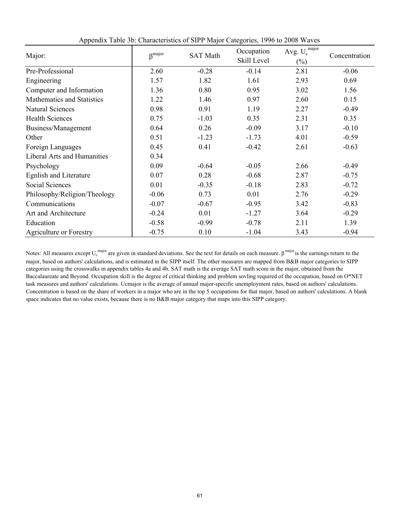| Major:                             | $\beta^{\text{major}}$ | <b>SAT Math</b> | Occupation<br>Skill Level | Avg. $U_c^{\text{major}}$<br>$(\%)$ | Concentration |
|------------------------------------|------------------------|-----------------|---------------------------|-------------------------------------|---------------|
| Pre-Professional                   | 2.60                   | $-0.28$         | $-0.14$                   | 2.81                                | $-0.06$       |
| Engineering                        | 1.57                   | 1.82            | 1.61                      | 2.93                                | 0.69          |
| Computer and Information           | 1.36                   | 0.80            | 0.95                      | 3.02                                | 1.56          |
| Mathematics and Statistics         | 1.22                   | 1.46            | 0.97                      | 2.60                                | 0.15          |
| <b>Natural Sciences</b>            | 0.98                   | 0.91            | 1.19                      | 2.27                                | $-0.49$       |
| <b>Health Sciences</b>             | 0.75                   | $-1.03$         | 0.35                      | 2.31                                | 0.35          |
| Business/Management                | 0.64                   | 0.26            | $-0.09$                   | 3.17                                | $-0.10$       |
| Other                              | 0.51                   | $-1.23$         | $-1.73$                   | 4.01                                | $-0.59$       |
| Foreign Languages                  | 0.45                   | 0.41            | $-0.42$                   | 2.61                                | $-0.63$       |
| <b>Liberal Arts and Humanities</b> | 0.34                   |                 |                           |                                     |               |
| Psychology                         | 0.09                   | $-0.64$         | $-0.05$                   | 2.66                                | $-0.49$       |
| <b>Egnlish and Literature</b>      | 0.07                   | 0.28            | $-0.68$                   | 2.87                                | $-0.75$       |
| <b>Social Sciences</b>             | 0.01                   | $-0.35$         | $-0.18$                   | 2.83                                | $-0.72$       |
| Philosophy/Religion/Theology       | $-0.06$                | 0.73            | 0.01                      | 2.76                                | $-0.29$       |
| Communications                     | $-0.07$                | $-0.67$         | $-0.95$                   | 3.42                                | $-0.83$       |
| Art and Architecture               | $-0.24$                | 0.01            | $-1.27$                   | 3.64                                | $-0.29$       |
| Education                          | $-0.58$                | $-0.99$         | $-0.78$                   | 2.11                                | 1.39          |
| <b>Agriculture or Forestry</b>     | $-0.75$                | 0.10            | $-1.04$                   | 3.43                                | $-0.94$       |

Appendix Table 3b: Characteristics of SIPP Major Categories, 1996 to 2008 Waves

Notes: All measures except  $U_c^{major}$  are given in standard deviations. See the text for details on each measure.  $\beta^{major}$  is the earnings return to the major, based on authors' calculations, and is estimated in the SIPP itself. The other measures are mapped from B&B major categories to SIPP categories using the crosswalks in appendix tables 4a and 4b. SAT math is the average SAT math score in the major, obtained from the Baccalaureate and Beyond. Occupation skill is the degree of critical thinking and problem sovling required of the occupation, based on O\*NET task measures and authors' calculations. Ucmajor is the average of annual major-specific unemployment rates, based on authors' calculations. Concentration is based on the share of workers in a major who are in the top 5 occupations for that major, based on authors' calculations. A blank space indicates that no value exists, because there is no B&B major category that maps into this SIPP category.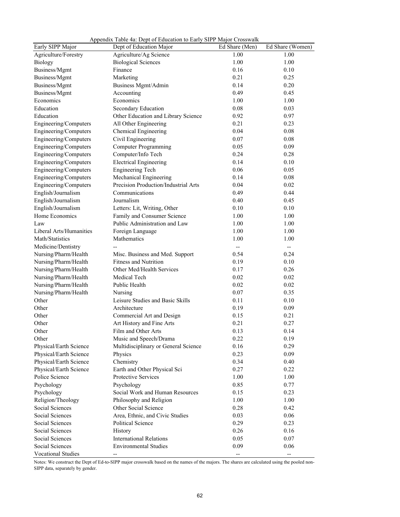| Early SIPP Major        | Dept of Education Major              | Ed Share (Men) | Ed Share (Women) |
|-------------------------|--------------------------------------|----------------|------------------|
| Agriculture/Forestry    | Agriculture/Ag Science               | 1.00           | 1.00             |
| <b>Biology</b>          | <b>Biological Sciences</b>           | 1.00           | 1.00             |
| Business/Mgmt           | Finance                              | 0.16           | 0.10             |
| Business/Mgmt           | Marketing                            | 0.21           | 0.25             |
| Business/Mgmt           | Business Mgmt/Admin                  | 0.14           | 0.20             |
| Business/Mgmt           | Accounting                           | 0.49           | 0.45             |
| Economics               | Economics                            | 1.00           | 1.00             |
| Education               | Secondary Education                  | 0.08           | 0.03             |
| Education               | Other Education and Library Science  | 0.92           | 0.97             |
| Engineering/Computers   | All Other Engineering                | 0.21           | 0.23             |
| Engineering/Computers   | Chemical Engineering                 | 0.04           | 0.08             |
| Engineering/Computers   | Civil Engineering                    | 0.07           | 0.08             |
| Engineering/Computers   | <b>Computer Programming</b>          | 0.05           | 0.09             |
| Engineering/Computers   | Computer/Info Tech                   | 0.24           | 0.28             |
| Engineering/Computers   | <b>Electrical Engineering</b>        | 0.14           | 0.10             |
| Engineering/Computers   | <b>Engineering Tech</b>              | 0.06           | 0.05             |
| Engineering/Computers   | Mechanical Engineering               | 0.14           | 0.08             |
| Engineering/Computers   | Precision Production/Industrial Arts | 0.04           | 0.02             |
| English/Journalism      | Communications                       | 0.49           | 0.44             |
| English/Journalism      | Journalism                           | 0.40           | 0.45             |
| English/Journalism      | Letters: Lit, Writing, Other         | 0.10           | 0.10             |
| Home Economics          | Family and Consumer Science          | 1.00           | 1.00             |
| Law                     | Public Administration and Law        | 1.00           | 1.00             |
| Liberal Arts/Humanities | Foreign Language                     | 1.00           | 1.00             |
| Math/Statistics         | Mathematics                          | 1.00           | 1.00             |
| Medicine/Dentistry      |                                      |                | --               |
| Nursing/Pharm/Health    | Misc. Business and Med. Support      | 0.54           | 0.24             |
| Nursing/Pharm/Health    | <b>Fitness and Nutrition</b>         | 0.19           | 0.10             |
| Nursing/Pharm/Health    | Other Med/Health Services            | 0.17           | 0.26             |
| Nursing/Pharm/Health    | Medical Tech                         | 0.02           | 0.02             |
| Nursing/Pharm/Health    | Public Health                        | 0.02           | 0.02             |
| Nursing/Pharm/Health    | Nursing                              | 0.07           | 0.35             |
| Other                   | Leisure Studies and Basic Skills     | 0.11           | 0.10             |
| Other                   | Architecture                         | 0.19           | 0.09             |
| Other                   | Commercial Art and Design            | 0.15           | 0.21             |
| Other                   | Art History and Fine Arts            | 0.21           | 0.27             |
| Other                   | Film and Other Arts                  | 0.13           | 0.14             |
| Other                   | Music and Speech/Drama               | 0.22           | 0.19             |
| Physical/Earth Science  | Multidisciplinary or General Science | 0.16           | 0.29             |
| Physical/Earth Science  | Physics                              | 0.23           | 0.09             |
| Physical/Earth Science  | Chemistry                            | 0.34           | 0.40             |
| Physical/Earth Science  | Earth and Other Physical Sci         | 0.27           | 0.22             |
| Police Science          | Protective Services                  | 1.00           | 1.00             |
| Psychology              | Psychology                           | 0.85           | 0.77             |
| Psychology              | Social Work and Human Resources      | 0.15           | 0.23             |
| Religion/Theology       | Philosophy and Religion              | 1.00           | 1.00             |
| Social Sciences         | Other Social Science                 | 0.28           | 0.42             |
| Social Sciences         | Area, Ethnic, and Civic Studies      | 0.03           | 0.06             |
| Social Sciences         | Political Science                    | 0.29           | 0.23             |
| Social Sciences         | History                              | 0.26           | 0.16             |
| Social Sciences         | <b>International Relations</b>       | 0.05           | 0.07             |
| Social Sciences         | <b>Environmental Studies</b>         | 0.09           | 0.06             |
| Vocational Studies      | --                                   | --             | --               |

Appendix Table 4a: Dept of Education to Early SIPP Major Crosswalk

Notes: We construct the Dept of Ed-to-SIPP major crosswalk based on the names of the majors. The shares are calculated using the pooled non-SIPP data, separately by gender.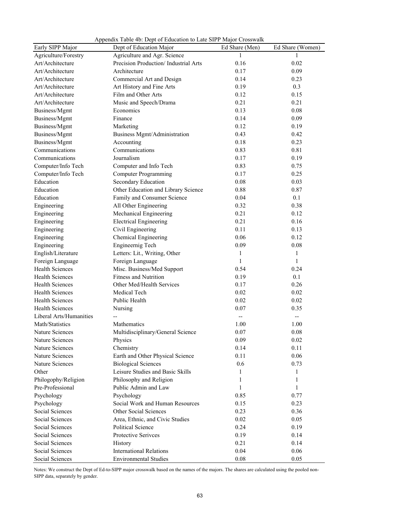|                                          | $\mu$ reported to the local concentration to Euro SITT mujor Crosswally<br>Dept of Education Major |                     | Ed Share (Women) |
|------------------------------------------|----------------------------------------------------------------------------------------------------|---------------------|------------------|
| Early SIPP Major<br>Agriculture/Forestry | Agriculture and Agr. Science                                                                       | Ed Share (Men)<br>1 | 1                |
| Art/Architecture                         | Precision Production/ Industrial Arts                                                              | 0.16                | 0.02             |
| Art/Architecture                         | Architecture                                                                                       | 0.17                | 0.09             |
| Art/Architecture                         | Commercial Art and Design                                                                          | 0.14                | 0.23             |
| Art/Architecture                         | Art History and Fine Arts                                                                          | 0.19                | 0.3              |
| Art/Architecture                         | Film and Other Arts                                                                                | 0.12                | 0.15             |
| Art/Architecture                         |                                                                                                    | 0.21                | 0.21             |
| Business/Mgmt                            | Music and Speech/Drama<br>Economics                                                                | 0.13                | 0.08             |
|                                          | Finance                                                                                            |                     |                  |
| Business/Mgmt                            |                                                                                                    | 0.14                | 0.09             |
| Business/Mgmt                            | Marketing                                                                                          | 0.12<br>0.43        | 0.19<br>0.42     |
| Business/Mgmt                            | Business Mgmt/Administration                                                                       |                     |                  |
| Business/Mgmt                            | Accounting<br>Communications                                                                       | 0.18                | 0.23             |
| Communications                           |                                                                                                    | 0.83                | 0.81             |
| Communications                           | Journalism                                                                                         | 0.17                | 0.19             |
| Computer/Info Tech                       | Computer and Info Tech                                                                             | 0.83                | 0.75             |
| Computer/Info Tech                       | <b>Computer Programming</b>                                                                        | 0.17                | 0.25             |
| Education                                | Secondary Education                                                                                | 0.08                | 0.03             |
| Education                                | Other Education and Library Science                                                                | 0.88                | 0.87             |
| Education                                | Family and Consumer Science                                                                        | 0.04                | 0.1              |
| Engineering                              | All Other Engineering                                                                              | 0.32                | 0.38             |
| Engineering                              | Mechanical Engineering                                                                             | 0.21                | 0.12             |
| Engineering                              | <b>Electrical Engineering</b>                                                                      | 0.21                | 0.16             |
| Engineering                              | Civil Engineering                                                                                  | 0.11                | 0.13             |
| Engineering                              | Chemical Engineering                                                                               | 0.06                | 0.12             |
| Engineering                              | Engineernig Tech                                                                                   | 0.09                | 0.08             |
| English/Literature                       | Letters: Lit., Writing, Other                                                                      | 1                   | 1                |
| Foreign Language                         | Foreign Language                                                                                   | 1                   | $\mathbf{1}$     |
| <b>Health Sciences</b>                   | Misc. Business/Med Support                                                                         | 0.54                | 0.24             |
| <b>Health Sciences</b>                   | <b>Fitness and Nutrition</b>                                                                       | 0.19                | 0.1              |
| <b>Health Sciences</b>                   | Other Med/Health Services                                                                          | 0.17                | 0.26             |
| <b>Health Sciences</b>                   | Medical Tech                                                                                       | 0.02                | 0.02             |
| <b>Health Sciences</b>                   | Public Health                                                                                      | 0.02                | 0.02             |
| <b>Health Sciences</b>                   | Nursing                                                                                            | 0.07                | 0.35             |
| Liberal Arts/Humanities                  |                                                                                                    |                     | --               |
| Math/Statistics                          | Mathematics                                                                                        | 1.00                | 1.00             |
| Nature Sciences                          | Multidisciplinary/General Science                                                                  | 0.07                | 0.08             |
| Nature Sciences                          | Physics                                                                                            | 0.09                | 0.02             |
| Nature Sciences                          | Chemistry                                                                                          | 0.14                | 0.11             |
| Nature Sciences                          | Earth and Other Physical Science                                                                   | 0.11                | 0.06             |
| Nature Sciences                          | <b>Biological Sciences</b>                                                                         | 0.6                 | 0.73             |
| Other                                    | Leisure Studies and Basic Skills                                                                   | 1                   | 1                |
| Philogophy/Religion                      | Philosophy and Religion                                                                            | 1                   | 1                |
| Pre-Professional                         | Public Admin and Law                                                                               | 1                   | 1                |
| Psychology                               | Psychology                                                                                         | 0.85                | 0.77             |
| Psychology                               | Social Work and Human Resources                                                                    | 0.15                | 0.23             |
| Social Sciences                          | Other Social Sciences                                                                              | 0.23                | 0.36             |
| Social Sciences                          | Area, Ethnic, and Civic Studies                                                                    | 0.02                | 0.05             |
| Social Sciences                          | Political Science                                                                                  | 0.24                | 0.19             |
| Social Sciences                          | Protective Serivces                                                                                | 0.19                | 0.14             |
| Social Sciences                          | History                                                                                            | 0.21                | 0.14             |
| Social Sciences                          | <b>International Relations</b>                                                                     | 0.04                | 0.06             |
| Social Sciences                          | <b>Environmental Studies</b>                                                                       | 0.08                | 0.05             |

Appendix Table 4b: Dept of Education to Late SIPP Major Crosswalk

Notes: We construct the Dept of Ed-to-SIPP major crosswalk based on the names of the majors. The shares are calculated using the pooled non-SIPP data, separately by gender.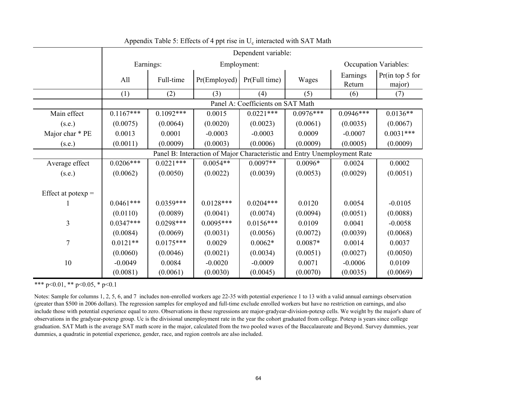|                      | Dependent variable: |             |                                                                          |                                   |             |                    |                              |
|----------------------|---------------------|-------------|--------------------------------------------------------------------------|-----------------------------------|-------------|--------------------|------------------------------|
|                      |                     | Earnings:   |                                                                          | Employment:                       |             |                    | <b>Occupation Variables:</b> |
|                      | All                 | Full-time   | Pr(Employd)                                                              | Pr(Full time)                     | Wages       | Earnings<br>Return | Pr(in top 5 for<br>major)    |
|                      | (1)                 | (2)         | (3)                                                                      | (4)                               | (5)         | (6)                | (7)                          |
|                      |                     |             |                                                                          | Panel A: Coefficients on SAT Math |             |                    |                              |
| Main effect          | $0.1167***$         | $0.1092***$ | 0.0015                                                                   | $0.0221***$                       | $0.0976***$ | $0.0946***$        | $0.0136**$                   |
| (s.e.)               | (0.0075)            | (0.0064)    | (0.0020)                                                                 | (0.0023)                          | (0.0061)    | (0.0035)           | (0.0067)                     |
| Major char * PE      | 0.0013              | 0.0001      | $-0.0003$                                                                | $-0.0003$                         | 0.0009      | $-0.0007$          | $0.0031***$                  |
| (s.e.)               | (0.0011)            | (0.0009)    | (0.0003)                                                                 | (0.0006)                          | (0.0009)    | (0.0005)           | (0.0009)                     |
|                      |                     |             | Panel B: Interaction of Major Characteristic and Entry Unemployment Rate |                                   |             |                    |                              |
| Average effect       | $0.0206***$         | $0.0221***$ | $0.0054**$                                                               | $0.0097**$                        | $0.0096*$   | 0.0024             | 0.0002                       |
| (s.e.)               | (0.0062)            | (0.0050)    | (0.0022)                                                                 | (0.0039)                          | (0.0053)    | (0.0029)           | (0.0051)                     |
| Effect at potexp $=$ |                     |             |                                                                          |                                   |             |                    |                              |
|                      | $0.0461***$         | $0.0359***$ | $0.0128***$                                                              | $0.0204***$                       | 0.0120      | 0.0054             | $-0.0105$                    |
|                      | (0.0110)            | (0.0089)    | (0.0041)                                                                 | (0.0074)                          | (0.0094)    | (0.0051)           | (0.0088)                     |
| $\overline{3}$       | $0.0347***$         | $0.0298***$ | $0.0095***$                                                              | $0.0156***$                       | 0.0109      | 0.0041             | $-0.0058$                    |
|                      | (0.0084)            | (0.0069)    | (0.0031)                                                                 | (0.0056)                          | (0.0072)    | (0.0039)           | (0.0068)                     |
| $\overline{7}$       | $0.0121**$          | $0.0175***$ | 0.0029                                                                   | $0.0062*$                         | $0.0087*$   | 0.0014             | 0.0037                       |
|                      | (0.0060)            | (0.0046)    | (0.0021)                                                                 | (0.0034)                          | (0.0051)    | (0.0027)           | (0.0050)                     |
| 10                   | $-0.0049$           | 0.0084      | $-0.0020$                                                                | $-0.0009$                         | 0.0071      | $-0.0006$          | 0.0109                       |
|                      | (0.0081)            | (0.0061)    | (0.0030)                                                                 | (0.0045)                          | (0.0070)    | (0.0035)           | (0.0069)                     |

Appendix Table 5: Effects of 4 ppt rise in  $U_c$  interacted with SAT Math

Notes: Sample for columns 1, 2, 5, 6, and 7 includes non-enrolled workers age 22-35 with potential experience 1 to 13 with a valid annual earnings observation (greater than \$500 in 2006 dollars). The regression samples for employed and full-time exclude enrolled workers but have no restriction on earnings, and also include those with potential experience equal to zero. Observations in these regressions are major-gradyear-division-potexp cells. We weight by the major's share of observations in the gradyear-potexp group. Uc is the divisional unemployment rate in the year the cohort graduated from college. Potexp is years since college graduation. SAT Math is the average SAT math score in the major, calculated from the two pooled waves of the Baccalaureate and Beyond. Survey dummies, year dummies, a quadratic in potential experience, gender, race, and region controls are also included.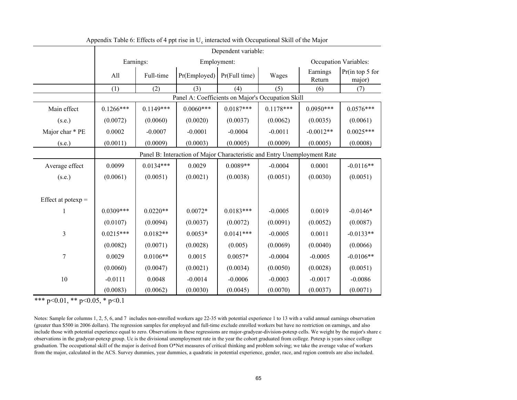|                      | Dependent variable: |             |                                                                          |                               |             |                    |                           |
|----------------------|---------------------|-------------|--------------------------------------------------------------------------|-------------------------------|-------------|--------------------|---------------------------|
|                      |                     | Earnings:   |                                                                          | Employment:                   |             |                    | Occupation Variables:     |
|                      | All                 | Full-time   |                                                                          | $Pr(Employd)$ $Pr(Full time)$ | Wages       | Earnings<br>Return | Pr(in top 5 for<br>major) |
|                      | (1)                 | (2)         | (3)                                                                      | (4)                           | (5)         | (6)                | (7)                       |
|                      |                     |             | Panel A: Coefficients on Major's Occupation Skill                        |                               |             |                    |                           |
| Main effect          | $0.1266***$         | $0.1149***$ | $0.0060***$                                                              | $0.0187***$                   | $0.1178***$ | $0.0950***$        | $0.0576***$               |
| (s.e.)               | (0.0072)            | (0.0060)    | (0.0020)                                                                 | (0.0037)                      | (0.0062)    | (0.0035)           | (0.0061)                  |
| Major char * PE      | 0.0002              | $-0.0007$   | $-0.0001$                                                                | $-0.0004$                     | $-0.0011$   | $-0.0012**$        | $0.0025***$               |
| (s.e.)               | (0.0011)            | (0.0009)    | (0.0003)                                                                 | (0.0005)                      | (0.0009)    | (0.0005)           | (0.0008)                  |
|                      |                     |             | Panel B: Interaction of Major Characteristic and Entry Unemployment Rate |                               |             |                    |                           |
| Average effect       | 0.0099              | $0.0134***$ | 0.0029                                                                   | $0.0089**$                    | $-0.0004$   | 0.0001             | $-0.0116**$               |
| (s.e.)               | (0.0061)            | (0.0051)    | (0.0021)                                                                 | (0.0038)                      | (0.0051)    | (0.0030)           | (0.0051)                  |
|                      |                     |             |                                                                          |                               |             |                    |                           |
| Effect at potexp $=$ |                     |             |                                                                          |                               |             |                    |                           |
| 1                    | $0.0309***$         | $0.0220**$  | $0.0072*$                                                                | $0.0183***$                   | $-0.0005$   | 0.0019             | $-0.0146*$                |
|                      | (0.0107)            | (0.0094)    | (0.0037)                                                                 | (0.0072)                      | (0.0091)    | (0.0052)           | (0.0087)                  |
| 3                    | $0.0215***$         | $0.0182**$  | $0.0053*$                                                                | $0.0141***$                   | $-0.0005$   | 0.0011             | $-0.0133**$               |
|                      | (0.0082)            | (0.0071)    | (0.0028)                                                                 | (0.005)                       | (0.0069)    | (0.0040)           | (0.0066)                  |
| $\overline{7}$       | 0.0029              | $0.0106**$  | 0.0015                                                                   | $0.0057*$                     | $-0.0004$   | $-0.0005$          | $-0.0106**$               |
|                      | (0.0060)            | (0.0047)    | (0.0021)                                                                 | (0.0034)                      | (0.0050)    | (0.0028)           | (0.0051)                  |
| 10                   | $-0.0111$           | 0.0048      | $-0.0014$                                                                | $-0.0006$                     | $-0.0003$   | $-0.0017$          | $-0.0086$                 |
|                      | (0.0083)            | (0.0062)    | (0.0030)                                                                 | (0.0045)                      | (0.0070)    | (0.0037)           | (0.0071)                  |

Appendix Table 6: Effects of 4 ppt rise in  $U_c$  interacted with Occupational Skill of the Major

Notes: Sample for columns 1, 2, 5, 6, and 7 includes non-enrolled workers age 22-35 with potential experience 1 to 13 with a valid annual earnings observation (greater than \$500 in 2006 dollars). The regression samples for employed and full-time exclude enrolled workers but have no restriction on earnings, and also include those with potential experience equal to zero. Observations in these regressions are major-gradyear-division-potexp cells. We weight by the major's share c observations in the gradyear-potexp group. Uc is the divisional unemployment rate in the year the cohort graduated from college. Potexp is years since college graduation. The occupational skill of the major is derived from O\*Net measures of critical thinking and problem solving; we take the average value of workers from the major, calculated in the ACS. Survey dummies, year dummies, a quadratic in potential experience, gender, race, and region controls are also included.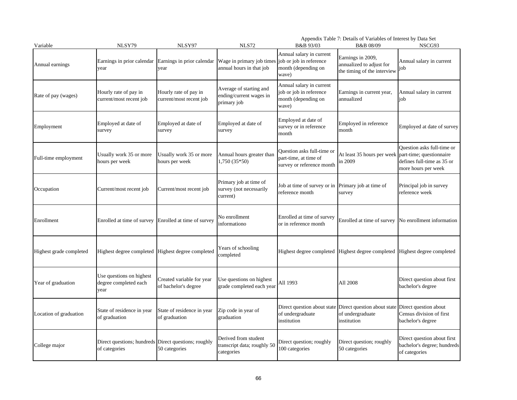| Variable                | NLSY79                                                                | NLSY97                                            | <b>NLS72</b>                                                      | B&B 93/03                                                                                  | Appendix Table 7: Details of Variables of Interest by Data Set<br>B&B 08/09  | NSCG93                                                                          |
|-------------------------|-----------------------------------------------------------------------|---------------------------------------------------|-------------------------------------------------------------------|--------------------------------------------------------------------------------------------|------------------------------------------------------------------------------|---------------------------------------------------------------------------------|
| Annual earnings         | Earnings in prior calendar<br>vear                                    | Earnings in prior calendar<br>year                | Wage in primary job times<br>annual hours in that job             | Annual salary in current<br>job or job in reference<br>month (depending on<br>wave)        | Earnings in 2009,<br>annualized to adjust for<br>the timing of the interview | Annual salary in current<br>job                                                 |
| Rate of pay (wages)     | Hourly rate of pay in<br>current/most recent job                      | Hourly rate of pay in<br>current/most recent job  | Average of starting and<br>ending/current wages in<br>primary job | Annual salary in current<br>job or job in reference<br>month (depending on<br>wave)        | Earnings in current year,<br>annualized                                      | Annual salary in current<br>job                                                 |
| Employment              | Employed at date of<br>survey                                         | Employed at date of<br>survey                     | Employed at date of<br>survey                                     | Employed at date of<br>survey or in reference<br>month                                     | Employed in reference<br>month                                               | Employed at date of survey                                                      |
| Full-time employment    | Usually work 35 or more<br>hours per week                             | Usually work 35 or more<br>hours per week         | Annual hours greater than<br>$1,750(35*50)$                       | Question asks full-time or<br>part-time, at time of<br>survey or reference month           | At least 35 hours per week part-time; questionnaire<br>in 2009               | Question asks full-time or<br>defines full-time as 35 or<br>more hours per week |
| Occupation              | Current/most recent job                                               | Current/most recent job                           | Primary job at time of<br>survey (not necessarily<br>current)     | Job at time of survey or in Primary job at time of<br>reference month                      | survey                                                                       | Principal job in survey<br>reference week                                       |
| Enrollment              | Enrolled at time of survey                                            | Enrolled at time of survey                        | No enrollment<br>informationo                                     | Enrolled at time of survey<br>or in reference month                                        | Enrolled at time of survey                                                   | No enrollment information                                                       |
| Highest grade completed | Highest degree completed                                              | Highest degree completed                          | Years of schooling<br>completed                                   | Highest degree completed Highest degree completed                                          |                                                                              | Highest degree completed                                                        |
| Year of graduation      | Use questions on highest<br>degree completed each<br>year             | Created variable for year<br>of bachelor's degree | Use questions on highest<br>grade completed each year             | All 1993                                                                                   | All 2008                                                                     | Direct question about first<br>bachelor's degree                                |
| Location of graduation  | State of residence in year<br>of graduation                           | State of residence in year<br>of graduation       | Zip code in year of<br>graduation                                 | Direct question about state Direct question about state<br>of undergraduate<br>institution | of undergraduate<br>institution                                              | Direct question about<br>Census division of first<br>bachelor's degree          |
| College major           | Direct questions; hundreds Direct questions; roughly<br>of categories | 50 categories                                     | Derived from student<br>transcript data; roughly 50<br>categories | Direct question; roughly<br>100 categories                                                 | Direct question; roughly<br>50 categories                                    | Direct question about first<br>bachelor's degree; hundreds<br>of categories     |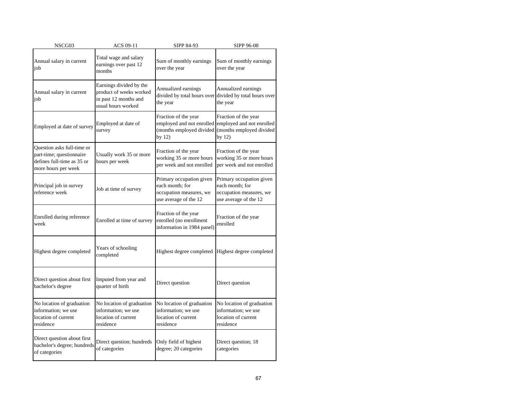| NSCG03                                                                                                      | ACS 09-11                                                                                         | SIPP 84-93                                                                                      | SIPP 96-08                                                                                      |
|-------------------------------------------------------------------------------------------------------------|---------------------------------------------------------------------------------------------------|-------------------------------------------------------------------------------------------------|-------------------------------------------------------------------------------------------------|
| Annual salary in current<br>job                                                                             | Total wage and salary<br>earnings over past 12<br>months                                          | Sum of monthly earnings<br>over the year                                                        | Sum of monthly earnings<br>over the year                                                        |
| Annual salary in current<br>job                                                                             | Earnings divided by the<br>product of weeks worked<br>in past 12 months and<br>usual hours worked | Annualized earnings<br>divided by total hours over<br>the year                                  | Annualized earnings<br>divided by total hours over<br>the year                                  |
| Employed at date of survey                                                                                  | Employed at date of<br>survey                                                                     | Fraction of the year<br>employed and not enrolled<br>(months employed divided<br>by $12)$       | Fraction of the year<br>employed and not enrolled<br>(months employed divided<br>by 12)         |
| Question asks full-time or<br>part-time; questionnaire<br>defines full-time as 35 or<br>more hours per week | Usually work 35 or more<br>hours per week                                                         | Fraction of the year<br>working 35 or more hours<br>per week and not enrolled                   | Fraction of the year<br>working 35 or more hours<br>per week and not enrolled                   |
| Principal job in survey<br>reference week                                                                   | Job at time of survey                                                                             | Primary occupation given<br>each month; for<br>occupation measures, we<br>use average of the 12 | Primary occupation given<br>each month; for<br>occupation measures, we<br>use average of the 12 |
| Enrolled during reference<br>week                                                                           | Enrolled at time of survey                                                                        | Fraction of the year<br>enrolled (no enrollment<br>information in 1984 panel)                   | Fraction of the year<br>enrolled                                                                |
| Highest degree completed                                                                                    | Years of schooling<br>completed                                                                   | Highest degree completed                                                                        | Highest degree completed                                                                        |
| Direct question about first<br>bachelor's degree                                                            | Imputed from year and<br>quarter of birth                                                         | Direct question                                                                                 | Direct question                                                                                 |
| No location of graduation<br>information; we use<br>location of current<br>residence                        | No location of graduation<br>information; we use<br>location of current<br>residence              | No location of graduation<br>information; we use<br>location of current<br>residence            | No location of graduation<br>information; we use<br>location of current<br>residence            |
| Direct question about first<br>bachelor's degree; hundreds<br>of categories                                 | Direct question; hundreds<br>of categories                                                        | Only field of highest<br>degree; 20 categories                                                  | Direct question; 18<br>categories                                                               |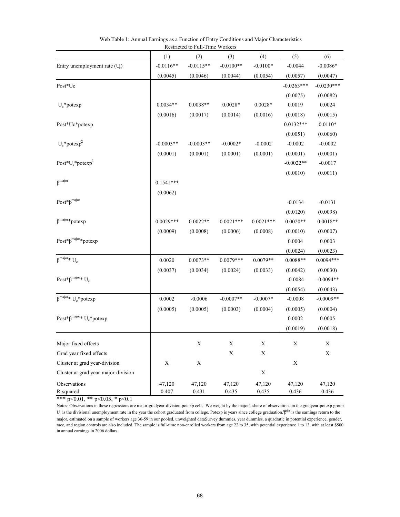|                                       | (1)         | (2)         | (3)         | (4)         | (5)          | (6)          |
|---------------------------------------|-------------|-------------|-------------|-------------|--------------|--------------|
| Entry unemployment rate $(U_c)$       | $-0.0116**$ | $-0.0115**$ | $-0.0100**$ | $-0.0100*$  | $-0.0044$    | $-0.0086*$   |
|                                       | (0.0045)    | (0.0046)    | (0.0044)    | (0.0054)    | (0.0057)     | (0.0047)     |
| Post*Uc                               |             |             |             |             | $-0.0263***$ | $-0.0230***$ |
|                                       |             |             |             |             | (0.0075)     | (0.0082)     |
| $U_c$ *potexp                         | $0.0034**$  | $0.0038**$  | $0.0028*$   | $0.0028*$   | 0.0019       | 0.0024       |
|                                       | (0.0016)    | (0.0017)    | (0.0014)    | (0.0016)    | (0.0018)     | (0.0015)     |
| Post*Uc*potexp                        |             |             |             |             | $0.0132***$  | $0.0110*$    |
|                                       |             |             |             |             | (0.0051)     | (0.0060)     |
| $U_c^*$ potexp <sup>2</sup>           | $-0.0003**$ | $-0.0003**$ | $-0.0002*$  | $-0.0002$   | $-0.0002$    | $-0.0002$    |
|                                       | (0.0001)    | (0.0001)    | (0.0001)    | (0.0001)    | (0.0001)     | (0.0001)     |
| Post* $U_c$ *potexp <sup>2</sup>      |             |             |             |             | $-0.0022**$  | $-0.0017$    |
|                                       |             |             |             |             | (0.0010)     | (0.0011)     |
| $\beta$ <sup>major</sup>              | $0.1541***$ |             |             |             |              |              |
|                                       | (0.0062)    |             |             |             |              |              |
| $Post^*\beta^{major}$                 |             |             |             |             | $-0.0134$    | $-0.0131$    |
|                                       |             |             |             |             | (0.0120)     | (0.0098)     |
| $\beta^{\text{major}}* \text{potexp}$ | $0.0029***$ | $0.0022**$  | $0.0021***$ | $0.0021***$ | $0.0020**$   | $0.0018**$   |
|                                       | (0.0009)    | (0.0008)    | (0.0006)    | (0.0008)    | (0.0010)     | (0.0007)     |
| $Post*\beta^{major}*potexp$           |             |             |             |             | 0.0004       | 0.0003       |
|                                       |             |             |             |             | (0.0024)     | (0.0023)     |
| $\beta^{\text{major}}* U_c$           | 0.0020      | $0.0073**$  | $0.0079***$ | $0.0079**$  | $0.0088**$   | $0.0094***$  |
|                                       | (0.0037)    | (0.0034)    | (0.0024)    | (0.0033)    | (0.0042)     | (0.0030)     |
| Post* $\beta^{major*} U_c$            |             |             |             |             | $-0.0084$    | $-0.0094**$  |
|                                       |             |             |             |             | (0.0054)     | (0.0043)     |
| $\beta^{\text{major}*} U_c^*$ potexp  | 0.0002      | $-0.0006$   | $-0.0007**$ | $-0.0007*$  | $-0.0008$    | $-0.0009**$  |
|                                       | (0.0005)    | (0.0005)    | (0.0003)    | (0.0004)    | (0.0005)     | (0.0004)     |
| Post* $\beta^{major*} U_c^*$ potexp   |             |             |             |             | 0.0002       | 0.0005       |
|                                       |             |             |             |             | (0.0019)     | (0.0018)     |
| Major fixed effects                   |             | X           | X           | X           | X            | X            |
| Grad year fixed effects               |             |             | X           | X           |              | X            |
| Cluster at grad year-division         | $\mathbf X$ | $\mathbf X$ |             |             | X            |              |
| Cluster at grad year-major-division   |             |             |             | X           |              |              |
| Observations                          | 47,120      | 47,120      | 47,120      | 47,120      | 47,120       | 47,120       |
| R-squared                             | 0.407       | 0.431       | 0.435       | 0.435       | 0.436        | 0.436        |

Web Table 1: Annual Earnings as a Function of Entry Conditions and Major Characteristics Restricted to Full-Time Workers

Notes: Observations in these regressions are major-gradyear-division-potexp cells. We weight by the major's share of observations in the gradyear-potexp group.  $U_c$  is the divisional unemployment rate in the year the cohort graduated from college. Potexp is years since college graduation.  ${}^{\text{IBjlor}}$  is the earnings return to the

major, estimated on a sample of workers age 36-59 in our pooled, unweighted dataSurvey dummies, year dummies, a quadratic in potential experience, gender, race, and region controls are also included. The sample is full-time non-enrolled workers from age 22 to 35, with potential experience 1 to 13, with at least \$500 in annual earnings in 2006 dollars.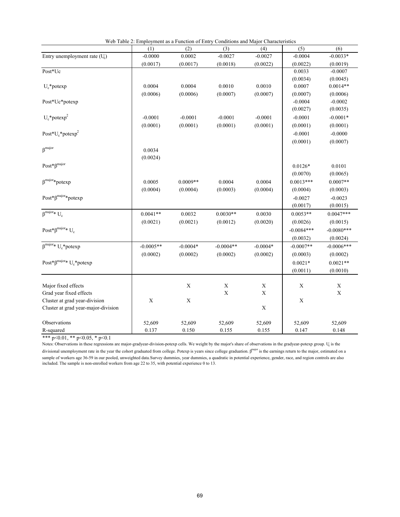| (5)<br>(1)<br>(2)<br>(3)<br>(4)<br>(6)<br>0.0002<br>$-0.0033*$<br>Entry unemployment rate (U)<br>$-0.0000$<br>$-0.0027$<br>$-0.0027$<br>$-0.0004$<br>(0.0017)<br>(0.0017)<br>(0.0018)<br>(0.0022)<br>(0.0022)<br>(0.0019)<br>Post*Uc<br>0.0033<br>$-0.0007$<br>(0.0034)<br>(0.0045)<br>$0.0014**$<br>0.0004<br>0.0004<br>0.0010<br>0.0010<br>0.0007<br>$U_c$ *potexp<br>(0.0006)<br>(0.0007)<br>(0.0006)<br>(0.0007)<br>(0.0007)<br>(0.0006)<br>$-0.0004$<br>$-0.0002$<br>Post*Uc*potexp<br>(0.0027)<br>(0.0035)<br>$U_c$ *potexp <sup>2</sup><br>$-0.0001$<br>$-0.0001$<br>$-0.0001$<br>$-0.0001$<br>$-0.0001$<br>$-0.0001*$<br>(0.0001)<br>(0.0001)<br>(0.0001)<br>(0.0001)<br>(0.0001)<br>(0.0001)<br>Post* $U_c$ *potexp <sup>2</sup><br>$-0.0001$<br>$-0.0000$<br>(0.0001)<br>(0.0007)<br>$\beta$ <sup>major</sup><br>0.0034<br>(0.0024)<br>$Post^*\beta^{major}$<br>0.0101<br>$0.0126*$<br>(0.0070)<br>(0.0065)<br>$\beta^{\text{major}*}$ potexp<br>0.0005<br>$0.0009**$<br>0.0004<br>0.0004<br>$0.0013***$<br>$0.0007**$<br>(0.0004)<br>(0.0003)<br>(0.0004)<br>(0.0004)<br>(0.0004)<br>(0.0003)<br>$Post*\beta^{major}*potexp$<br>$-0.0027$<br>$-0.0023$<br>(0.0017)<br>(0.0015)<br>$\beta^{\text{major}*} U_c$<br>$0.0053**$<br>$0.0047***$<br>$0.0041**$<br>0.0032<br>$0.0030**$<br>0.0030<br>(0.0021)<br>(0.0021)<br>(0.0012)<br>(0.0020)<br>(0.0026)<br>(0.0015)<br>Post* $\beta^{major*} U_c$<br>$-0.0084***$<br>$-0.0080***$<br>(0.0032)<br>(0.0024)<br>$\beta^{\text{major}*} U_c^*$ potexp<br>$-0.0006***$<br>$-0.0005**$<br>$-0.0004*$<br>$-0.0004**$<br>$-0.0004*$<br>$-0.0007**$<br>(0.0002)<br>(0.0002)<br>(0.0002)<br>(0.0002)<br>(0.0003)<br>(0.0002)<br>Post* $\beta^{\text{major}*} U_c^*$ potexp<br>$0.0021*$<br>$0.0021**$<br>(0.0011)<br>(0.0010)<br>Major fixed effects<br>X<br>X<br>$\mathbf X$<br>X<br>$\mathbf X$<br>$\mathbf X$<br>$\mathbf X$<br>$\mathbf X$<br>Grad year fixed effects<br>$\mathbf X$<br>$\mathbf X$<br>Cluster at grad year-division<br>$\mathbf X$<br>$\mathbf X$<br>Cluster at grad year-major-division<br>Observations<br>52,609<br>52,609<br>52,609<br>52,609<br>52,609<br>52,609 | Web Table 2: Employment as a Function of Entry Conditions and Major Characteristics |  |  |  |
|-------------------------------------------------------------------------------------------------------------------------------------------------------------------------------------------------------------------------------------------------------------------------------------------------------------------------------------------------------------------------------------------------------------------------------------------------------------------------------------------------------------------------------------------------------------------------------------------------------------------------------------------------------------------------------------------------------------------------------------------------------------------------------------------------------------------------------------------------------------------------------------------------------------------------------------------------------------------------------------------------------------------------------------------------------------------------------------------------------------------------------------------------------------------------------------------------------------------------------------------------------------------------------------------------------------------------------------------------------------------------------------------------------------------------------------------------------------------------------------------------------------------------------------------------------------------------------------------------------------------------------------------------------------------------------------------------------------------------------------------------------------------------------------------------------------------------------------------------------------------------------------------------------------------------------------------------------------------------------------------------------------------------------------------------------------------------------------------------------------------------------------------|-------------------------------------------------------------------------------------|--|--|--|
|                                                                                                                                                                                                                                                                                                                                                                                                                                                                                                                                                                                                                                                                                                                                                                                                                                                                                                                                                                                                                                                                                                                                                                                                                                                                                                                                                                                                                                                                                                                                                                                                                                                                                                                                                                                                                                                                                                                                                                                                                                                                                                                                           |                                                                                     |  |  |  |
|                                                                                                                                                                                                                                                                                                                                                                                                                                                                                                                                                                                                                                                                                                                                                                                                                                                                                                                                                                                                                                                                                                                                                                                                                                                                                                                                                                                                                                                                                                                                                                                                                                                                                                                                                                                                                                                                                                                                                                                                                                                                                                                                           |                                                                                     |  |  |  |
|                                                                                                                                                                                                                                                                                                                                                                                                                                                                                                                                                                                                                                                                                                                                                                                                                                                                                                                                                                                                                                                                                                                                                                                                                                                                                                                                                                                                                                                                                                                                                                                                                                                                                                                                                                                                                                                                                                                                                                                                                                                                                                                                           |                                                                                     |  |  |  |
|                                                                                                                                                                                                                                                                                                                                                                                                                                                                                                                                                                                                                                                                                                                                                                                                                                                                                                                                                                                                                                                                                                                                                                                                                                                                                                                                                                                                                                                                                                                                                                                                                                                                                                                                                                                                                                                                                                                                                                                                                                                                                                                                           |                                                                                     |  |  |  |
|                                                                                                                                                                                                                                                                                                                                                                                                                                                                                                                                                                                                                                                                                                                                                                                                                                                                                                                                                                                                                                                                                                                                                                                                                                                                                                                                                                                                                                                                                                                                                                                                                                                                                                                                                                                                                                                                                                                                                                                                                                                                                                                                           |                                                                                     |  |  |  |
|                                                                                                                                                                                                                                                                                                                                                                                                                                                                                                                                                                                                                                                                                                                                                                                                                                                                                                                                                                                                                                                                                                                                                                                                                                                                                                                                                                                                                                                                                                                                                                                                                                                                                                                                                                                                                                                                                                                                                                                                                                                                                                                                           |                                                                                     |  |  |  |
|                                                                                                                                                                                                                                                                                                                                                                                                                                                                                                                                                                                                                                                                                                                                                                                                                                                                                                                                                                                                                                                                                                                                                                                                                                                                                                                                                                                                                                                                                                                                                                                                                                                                                                                                                                                                                                                                                                                                                                                                                                                                                                                                           |                                                                                     |  |  |  |
|                                                                                                                                                                                                                                                                                                                                                                                                                                                                                                                                                                                                                                                                                                                                                                                                                                                                                                                                                                                                                                                                                                                                                                                                                                                                                                                                                                                                                                                                                                                                                                                                                                                                                                                                                                                                                                                                                                                                                                                                                                                                                                                                           |                                                                                     |  |  |  |
|                                                                                                                                                                                                                                                                                                                                                                                                                                                                                                                                                                                                                                                                                                                                                                                                                                                                                                                                                                                                                                                                                                                                                                                                                                                                                                                                                                                                                                                                                                                                                                                                                                                                                                                                                                                                                                                                                                                                                                                                                                                                                                                                           |                                                                                     |  |  |  |
|                                                                                                                                                                                                                                                                                                                                                                                                                                                                                                                                                                                                                                                                                                                                                                                                                                                                                                                                                                                                                                                                                                                                                                                                                                                                                                                                                                                                                                                                                                                                                                                                                                                                                                                                                                                                                                                                                                                                                                                                                                                                                                                                           |                                                                                     |  |  |  |
|                                                                                                                                                                                                                                                                                                                                                                                                                                                                                                                                                                                                                                                                                                                                                                                                                                                                                                                                                                                                                                                                                                                                                                                                                                                                                                                                                                                                                                                                                                                                                                                                                                                                                                                                                                                                                                                                                                                                                                                                                                                                                                                                           |                                                                                     |  |  |  |
|                                                                                                                                                                                                                                                                                                                                                                                                                                                                                                                                                                                                                                                                                                                                                                                                                                                                                                                                                                                                                                                                                                                                                                                                                                                                                                                                                                                                                                                                                                                                                                                                                                                                                                                                                                                                                                                                                                                                                                                                                                                                                                                                           |                                                                                     |  |  |  |
|                                                                                                                                                                                                                                                                                                                                                                                                                                                                                                                                                                                                                                                                                                                                                                                                                                                                                                                                                                                                                                                                                                                                                                                                                                                                                                                                                                                                                                                                                                                                                                                                                                                                                                                                                                                                                                                                                                                                                                                                                                                                                                                                           |                                                                                     |  |  |  |
|                                                                                                                                                                                                                                                                                                                                                                                                                                                                                                                                                                                                                                                                                                                                                                                                                                                                                                                                                                                                                                                                                                                                                                                                                                                                                                                                                                                                                                                                                                                                                                                                                                                                                                                                                                                                                                                                                                                                                                                                                                                                                                                                           |                                                                                     |  |  |  |
|                                                                                                                                                                                                                                                                                                                                                                                                                                                                                                                                                                                                                                                                                                                                                                                                                                                                                                                                                                                                                                                                                                                                                                                                                                                                                                                                                                                                                                                                                                                                                                                                                                                                                                                                                                                                                                                                                                                                                                                                                                                                                                                                           |                                                                                     |  |  |  |
|                                                                                                                                                                                                                                                                                                                                                                                                                                                                                                                                                                                                                                                                                                                                                                                                                                                                                                                                                                                                                                                                                                                                                                                                                                                                                                                                                                                                                                                                                                                                                                                                                                                                                                                                                                                                                                                                                                                                                                                                                                                                                                                                           |                                                                                     |  |  |  |
|                                                                                                                                                                                                                                                                                                                                                                                                                                                                                                                                                                                                                                                                                                                                                                                                                                                                                                                                                                                                                                                                                                                                                                                                                                                                                                                                                                                                                                                                                                                                                                                                                                                                                                                                                                                                                                                                                                                                                                                                                                                                                                                                           |                                                                                     |  |  |  |
|                                                                                                                                                                                                                                                                                                                                                                                                                                                                                                                                                                                                                                                                                                                                                                                                                                                                                                                                                                                                                                                                                                                                                                                                                                                                                                                                                                                                                                                                                                                                                                                                                                                                                                                                                                                                                                                                                                                                                                                                                                                                                                                                           |                                                                                     |  |  |  |
|                                                                                                                                                                                                                                                                                                                                                                                                                                                                                                                                                                                                                                                                                                                                                                                                                                                                                                                                                                                                                                                                                                                                                                                                                                                                                                                                                                                                                                                                                                                                                                                                                                                                                                                                                                                                                                                                                                                                                                                                                                                                                                                                           |                                                                                     |  |  |  |
|                                                                                                                                                                                                                                                                                                                                                                                                                                                                                                                                                                                                                                                                                                                                                                                                                                                                                                                                                                                                                                                                                                                                                                                                                                                                                                                                                                                                                                                                                                                                                                                                                                                                                                                                                                                                                                                                                                                                                                                                                                                                                                                                           |                                                                                     |  |  |  |
|                                                                                                                                                                                                                                                                                                                                                                                                                                                                                                                                                                                                                                                                                                                                                                                                                                                                                                                                                                                                                                                                                                                                                                                                                                                                                                                                                                                                                                                                                                                                                                                                                                                                                                                                                                                                                                                                                                                                                                                                                                                                                                                                           |                                                                                     |  |  |  |
|                                                                                                                                                                                                                                                                                                                                                                                                                                                                                                                                                                                                                                                                                                                                                                                                                                                                                                                                                                                                                                                                                                                                                                                                                                                                                                                                                                                                                                                                                                                                                                                                                                                                                                                                                                                                                                                                                                                                                                                                                                                                                                                                           |                                                                                     |  |  |  |
|                                                                                                                                                                                                                                                                                                                                                                                                                                                                                                                                                                                                                                                                                                                                                                                                                                                                                                                                                                                                                                                                                                                                                                                                                                                                                                                                                                                                                                                                                                                                                                                                                                                                                                                                                                                                                                                                                                                                                                                                                                                                                                                                           |                                                                                     |  |  |  |
|                                                                                                                                                                                                                                                                                                                                                                                                                                                                                                                                                                                                                                                                                                                                                                                                                                                                                                                                                                                                                                                                                                                                                                                                                                                                                                                                                                                                                                                                                                                                                                                                                                                                                                                                                                                                                                                                                                                                                                                                                                                                                                                                           |                                                                                     |  |  |  |
|                                                                                                                                                                                                                                                                                                                                                                                                                                                                                                                                                                                                                                                                                                                                                                                                                                                                                                                                                                                                                                                                                                                                                                                                                                                                                                                                                                                                                                                                                                                                                                                                                                                                                                                                                                                                                                                                                                                                                                                                                                                                                                                                           |                                                                                     |  |  |  |
|                                                                                                                                                                                                                                                                                                                                                                                                                                                                                                                                                                                                                                                                                                                                                                                                                                                                                                                                                                                                                                                                                                                                                                                                                                                                                                                                                                                                                                                                                                                                                                                                                                                                                                                                                                                                                                                                                                                                                                                                                                                                                                                                           |                                                                                     |  |  |  |
|                                                                                                                                                                                                                                                                                                                                                                                                                                                                                                                                                                                                                                                                                                                                                                                                                                                                                                                                                                                                                                                                                                                                                                                                                                                                                                                                                                                                                                                                                                                                                                                                                                                                                                                                                                                                                                                                                                                                                                                                                                                                                                                                           |                                                                                     |  |  |  |
|                                                                                                                                                                                                                                                                                                                                                                                                                                                                                                                                                                                                                                                                                                                                                                                                                                                                                                                                                                                                                                                                                                                                                                                                                                                                                                                                                                                                                                                                                                                                                                                                                                                                                                                                                                                                                                                                                                                                                                                                                                                                                                                                           |                                                                                     |  |  |  |
|                                                                                                                                                                                                                                                                                                                                                                                                                                                                                                                                                                                                                                                                                                                                                                                                                                                                                                                                                                                                                                                                                                                                                                                                                                                                                                                                                                                                                                                                                                                                                                                                                                                                                                                                                                                                                                                                                                                                                                                                                                                                                                                                           |                                                                                     |  |  |  |
|                                                                                                                                                                                                                                                                                                                                                                                                                                                                                                                                                                                                                                                                                                                                                                                                                                                                                                                                                                                                                                                                                                                                                                                                                                                                                                                                                                                                                                                                                                                                                                                                                                                                                                                                                                                                                                                                                                                                                                                                                                                                                                                                           |                                                                                     |  |  |  |
|                                                                                                                                                                                                                                                                                                                                                                                                                                                                                                                                                                                                                                                                                                                                                                                                                                                                                                                                                                                                                                                                                                                                                                                                                                                                                                                                                                                                                                                                                                                                                                                                                                                                                                                                                                                                                                                                                                                                                                                                                                                                                                                                           |                                                                                     |  |  |  |
|                                                                                                                                                                                                                                                                                                                                                                                                                                                                                                                                                                                                                                                                                                                                                                                                                                                                                                                                                                                                                                                                                                                                                                                                                                                                                                                                                                                                                                                                                                                                                                                                                                                                                                                                                                                                                                                                                                                                                                                                                                                                                                                                           |                                                                                     |  |  |  |
|                                                                                                                                                                                                                                                                                                                                                                                                                                                                                                                                                                                                                                                                                                                                                                                                                                                                                                                                                                                                                                                                                                                                                                                                                                                                                                                                                                                                                                                                                                                                                                                                                                                                                                                                                                                                                                                                                                                                                                                                                                                                                                                                           |                                                                                     |  |  |  |
|                                                                                                                                                                                                                                                                                                                                                                                                                                                                                                                                                                                                                                                                                                                                                                                                                                                                                                                                                                                                                                                                                                                                                                                                                                                                                                                                                                                                                                                                                                                                                                                                                                                                                                                                                                                                                                                                                                                                                                                                                                                                                                                                           |                                                                                     |  |  |  |
|                                                                                                                                                                                                                                                                                                                                                                                                                                                                                                                                                                                                                                                                                                                                                                                                                                                                                                                                                                                                                                                                                                                                                                                                                                                                                                                                                                                                                                                                                                                                                                                                                                                                                                                                                                                                                                                                                                                                                                                                                                                                                                                                           |                                                                                     |  |  |  |
|                                                                                                                                                                                                                                                                                                                                                                                                                                                                                                                                                                                                                                                                                                                                                                                                                                                                                                                                                                                                                                                                                                                                                                                                                                                                                                                                                                                                                                                                                                                                                                                                                                                                                                                                                                                                                                                                                                                                                                                                                                                                                                                                           |                                                                                     |  |  |  |
| R-squared<br>0.137<br>0.150<br>0.155<br>0.155<br>0.147<br>0.148                                                                                                                                                                                                                                                                                                                                                                                                                                                                                                                                                                                                                                                                                                                                                                                                                                                                                                                                                                                                                                                                                                                                                                                                                                                                                                                                                                                                                                                                                                                                                                                                                                                                                                                                                                                                                                                                                                                                                                                                                                                                           |                                                                                     |  |  |  |

| Web Table 2: Employment as a Function of Entry Conditions and Major Characteristics |  |  |
|-------------------------------------------------------------------------------------|--|--|
|                                                                                     |  |  |

Notes: Observations in these regressions are major-gradyear-division-potexp cells. We weight by the major's share of observations in the gradyear-potexp group. U is the divisional unemployment rate in the year the cohort graduated from college. Potexp is years since college graduation. β<sup>major</sup> is the earnings return to the major, estimated on a sample of workers age 36-59 in our pooled, unweighted data.Survey dummies, year dummies, a quadratic in potential experience, gender, race, and region controls are also included. The sample is non-enrolled workers from age 22 to 35, with potential experience 0 to 13.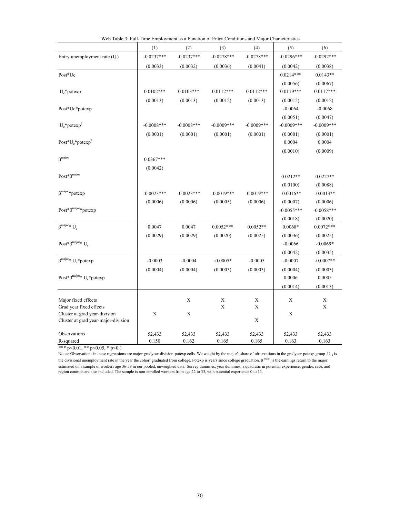|                                                                      | web Table 5. Fun-Thile Employment as a Function of Entry Conditions and Major Characteristics |               |               |               |              |              |
|----------------------------------------------------------------------|-----------------------------------------------------------------------------------------------|---------------|---------------|---------------|--------------|--------------|
|                                                                      | (1)                                                                                           | (2)           | (3)           | (4)           | (5)          | (6)          |
| Entry unemployment rate $(U_c)$                                      | $-0.0237***$                                                                                  | $-0.0237***$  | $-0.0278***$  | $-0.0278***$  | $-0.0296***$ | $-0.0292***$ |
|                                                                      | (0.0033)                                                                                      | (0.0032)      | (0.0036)      | (0.0041)      | (0.0042)     | (0.0038)     |
| Post*Uc                                                              |                                                                                               |               |               |               | $0.0214***$  | $0.0143**$   |
|                                                                      |                                                                                               |               |               |               | (0.0056)     | (0.0067)     |
| $U_c$ *potexp                                                        | $0.0102***$                                                                                   | $0.0103***$   | $0.0112***$   | $0.0112***$   | $0.0119***$  | $0.0117***$  |
|                                                                      | (0.0013)                                                                                      | (0.0013)      | (0.0012)      | (0.0013)      | (0.0015)     | (0.0012)     |
| Post*Uc*potexp                                                       |                                                                                               |               |               |               | $-0.0064$    | $-0.0068$    |
|                                                                      |                                                                                               |               |               |               | (0.0051)     | (0.0047)     |
| $U_c$ *potexp <sup>2</sup>                                           | $-0.0008$ ***                                                                                 | $-0.0008$ *** | $-0.0009$ *** | $-0.0009$ *** | $-0.0009***$ | $-0.0009***$ |
|                                                                      | (0.0001)                                                                                      | (0.0001)      | (0.0001)      | (0.0001)      | (0.0001)     | (0.0001)     |
| Post* $U_c$ *potexp <sup>2</sup>                                     |                                                                                               |               |               |               | 0.0004       | 0.0004       |
|                                                                      |                                                                                               |               |               |               | (0.0010)     | (0.0009)     |
| $\beta^{\rm major}$                                                  | $0.0367***$                                                                                   |               |               |               |              |              |
|                                                                      | (0.0042)                                                                                      |               |               |               |              |              |
| $Post^*\beta^{major}$                                                |                                                                                               |               |               |               | $0.0212**$   | $0.0227**$   |
|                                                                      |                                                                                               |               |               |               | (0.0100)     | (0.0088)     |
| $\beta^{\text{major}*}potexp$                                        | $-0.0023***$                                                                                  | $-0.0023***$  | $-0.0019***$  | $-0.0019***$  | $-0.0016**$  | $-0.0013**$  |
|                                                                      | (0.0006)                                                                                      | (0.0006)      | (0.0005)      | (0.0006)      | (0.0007)     | (0.0006)     |
| $Post*\beta^{major}*potexp$                                          |                                                                                               |               |               |               | $-0.0055***$ | $-0.0058***$ |
|                                                                      |                                                                                               |               |               |               | (0.0018)     | (0.0020)     |
| $\beta^{\text{major}_{\textstyle *} }$ U <sub>c</sub>                | 0.0047                                                                                        | 0.0047        | $0.0052***$   | $0.0052**$    | $0.0068*$    | $0.0072***$  |
|                                                                      | (0.0029)                                                                                      | (0.0029)      | (0.0020)      | (0.0025)      | (0.0036)     | (0.0025)     |
| Post* $\beta^{major*} U_c$                                           |                                                                                               |               |               |               | $-0.0066$    | $-0.0069*$   |
|                                                                      |                                                                                               |               |               |               | (0.0042)     | (0.0035)     |
| $\beta^{\text{major}*} U_c^* \text{potexp}$                          | $-0.0003$                                                                                     | $-0.0004$     | $-0.0005*$    | $-0.0005$     | $-0.0007$    | $-0.0007**$  |
|                                                                      | (0.0004)                                                                                      | (0.0004)      | (0.0003)      | (0.0003)      | (0.0004)     | (0.0003)     |
| Post* $\beta^{major*} U_c^*$ potexp                                  |                                                                                               |               |               |               | 0.0006       | 0.0005       |
|                                                                      |                                                                                               |               |               |               | (0.0014)     | (0.0013)     |
|                                                                      |                                                                                               |               |               |               |              |              |
| Major fixed effects                                                  |                                                                                               | X             | $\mathbf X$   | X             | $\mathbf X$  | Х            |
| Grad year fixed effects                                              |                                                                                               |               | $\mathbf X$   | $\mathbf X$   |              | $\mathbf X$  |
| Cluster at grad year-division<br>Cluster at grad year-major-division | $\mathbf X$                                                                                   | $\mathbf X$   |               | $\mathbf X$   | $\mathbf X$  |              |
|                                                                      |                                                                                               |               |               |               |              |              |
| Observations                                                         | 52,433                                                                                        | 52,433        | 52,433        | 52,433        | 52,433       | 52,433       |
| R-squared                                                            | 0.150                                                                                         | 0.162         | 0.165         | 0.165         | 0.163        | 0.163        |

| Web Table 3: Full-Time Employment as a Function of Entry Conditions and Major Characteristics |  |  |
|-----------------------------------------------------------------------------------------------|--|--|
|                                                                                               |  |  |

Notes: Observations in these regressions are major-gradyear-division-potexp cells. We weight by the major's share of observations in the gradyear-potexp group. U  $_c$  is the divisional unemployment rate in the year the cohort graduated from college. Potexp is years since college graduation. β major is the earnings return to the major, estimated on a sample of workers age 36-59 in our pooled, unweighted data. Survey dummies, year dummies, a quadratic in potential experience, gender, race, and region controls are also included. The sample is non-enrolled workers from age 22 to 35, with potential experience 0 to 13.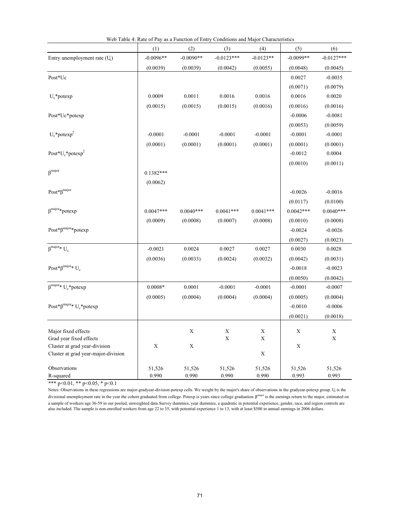|                                                    | (1)         | (2)         | (3)              | (4)              | (5)         | (6)              |
|----------------------------------------------------|-------------|-------------|------------------|------------------|-------------|------------------|
| Entry unemployment rate (U)                        | $-0.0096**$ | $-0.0090**$ | $-0.0123***$     | $-0.0123**$      | $-0.0099**$ | $-0.0127***$     |
|                                                    | (0.0039)    | (0.0039)    | (0.0042)         | (0.0055)         | (0.0048)    | (0.0045)         |
| Post*Uc                                            |             |             |                  |                  | 0.0027      | $-0.0035$        |
|                                                    |             |             |                  |                  | (0.0071)    | (0.0079)         |
| $U_c$ *potexp                                      | 0.0009      | 0.0011      | 0.0016           | 0.0016           | 0.0016      | 0.0020           |
|                                                    | (0.0015)    | (0.0015)    | (0.0015)         | (0.0016)         | (0.0016)    | (0.0016)         |
| Post*Uc*potexp                                     |             |             |                  |                  | $-0.0006$   | $-0.0081$        |
|                                                    |             |             |                  |                  | (0.0053)    | (0.0059)         |
| $U_c$ *potexp <sup>2</sup>                         | $-0.0001$   | $-0.0001$   | $-0.0001$        | $-0.0001$        | $-0.0001$   | $-0.0001$        |
|                                                    | (0.0001)    | (0.0001)    | (0.0001)         | (0.0001)         | (0.0001)    | (0.0001)         |
| Post* $U_c$ *potexp <sup>2</sup>                   |             |             |                  |                  | $-0.0012$   | 0.0004           |
|                                                    |             |             |                  |                  | (0.0010)    | (0.0011)         |
| $\beta$ <sup>major</sup>                           | $0.1382***$ |             |                  |                  |             |                  |
|                                                    | (0.0062)    |             |                  |                  |             |                  |
| $\mathbf{Post}^*\boldsymbol{\beta}^{\text{major}}$ |             |             |                  |                  | $-0.0026$   | $-0.0016$        |
|                                                    |             |             |                  |                  | (0.0117)    | (0.0100)         |
| $\beta^{\text{major}*}$ potexp                     | $0.0047***$ | $0.0040***$ | $0.0041***$      | $0.0041***$      | $0.0042***$ | $0.0040***$      |
|                                                    | (0.0009)    | (0.0008)    | (0.0007)         | (0.0008)         | (0.0010)    | (0.0008)         |
| $Post*\beta^{major}*potexp$                        |             |             |                  |                  | $-0.0024$   | $-0.0026$        |
|                                                    |             |             |                  |                  | (0.0027)    | (0.0023)         |
| $\beta^{\text{major}*} U_c$                        | $-0.0021$   | 0.0024      | 0.0027           | 0.0027           | 0.0030      | 0.0028           |
|                                                    | (0.0036)    | (0.0033)    | (0.0024)         | (0.0032)         | (0.0042)    | (0.0031)         |
| Post* $\beta^{major*} U_c$                         |             |             |                  |                  | $-0.0018$   | $-0.0023$        |
|                                                    |             |             |                  |                  | (0.0050)    | (0.0042)         |
| $\beta^{\text{major}*}$ $U_c{}^*{\text{potexp}}$   | $0.0008*$   | 0.0001      | $-0.0001$        | $-0.0001$        | $-0.0001$   | $-0.0007$        |
|                                                    | (0.0005)    | (0.0004)    | (0.0004)         | (0.0004)         | (0.0005)    | (0.0004)         |
| Post* $\beta^{major*} U_c^*$ potexp                |             |             |                  |                  | $-0.0010$   | $-0.0006$        |
|                                                    |             |             |                  |                  | (0.0021)    | (0.0018)         |
|                                                    |             |             |                  |                  |             |                  |
| Major fixed effects<br>Grad year fixed effects     |             | X           | X<br>$\mathbf X$ | X<br>$\mathbf X$ | X           | X<br>$\mathbf X$ |
| Cluster at grad year-division                      | $\mathbf X$ | $\mathbf X$ |                  |                  | $\mathbf X$ |                  |
| Cluster at grad year-major-division                |             |             |                  | X                |             |                  |
| Observations                                       | 51,526      | 51,526      | 51,526           | 51,526           | 51,526      | 51,526           |
| R-squared                                          | 0.990       | 0.990       | 0.990            | 0.990            | 0.993       | 0.993            |

Web Table 4: Rate of Pay as a Function of Entry Conditions and Major Characteristics

Notes: Observations in these regressions are major-gradyear-division-potexp cells. We weight by the major's share of observations in the gradyear-potexp group. U is the divisional unemployment rate in the year the cohort graduated from college. Potexp is years since college graduation. β<sup>major</sup> is the earnings return to the major, estimated on a sample of workers age 36-59 in our pooled, unweighted data.Survey dummies, year dummies, a quadratic in potential experience, gender, race, and region controls are also included. The sample is non-enrolled workers from age 22 to 35, with potential experience 1 to 13, with at least \$500 in annual earnings in 2006 dollars.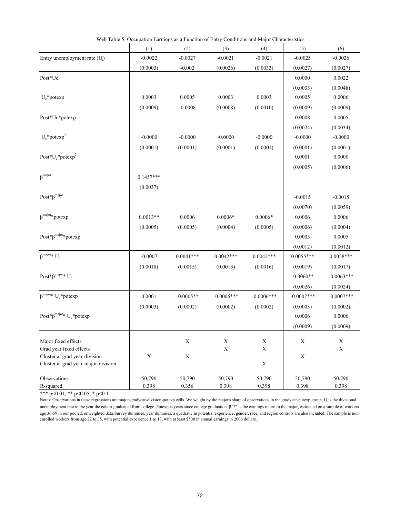|                                                | Web Table 5: Occupation Earnings as a Function of Entry Conditions and Major Characteristics |             |                  |                  |              |                  |
|------------------------------------------------|----------------------------------------------------------------------------------------------|-------------|------------------|------------------|--------------|------------------|
|                                                | (1)                                                                                          | (2)         | (3)              | (4)              | (5)          | (6)              |
| Entry unemployment rate (U <sub>c</sub> )      | $-0.0022$                                                                                    | $-0.0027$   | $-0.0021$        | $-0.0021$        | $-0.0025$    | $-0.0026$        |
|                                                | (0.0003)                                                                                     | $-0.002$    | (0.0026)         | (0.0033)         | (0.0027)     | (0.0027)         |
| Post*Uc                                        |                                                                                              |             |                  |                  | 0.0000       | 0.0022           |
|                                                |                                                                                              |             |                  |                  | (0.0033)     | (0.0048)         |
| $U_c$ *potexp                                  | 0.0003                                                                                       | 0.0005      | 0.0003           | 0.0003           | 0.0005       | 0.0006           |
|                                                | (0.0009)                                                                                     | $-0.0008$   | (0.0008)         | (0.0010)         | (0.0009)     | (0.0009)         |
| Post*Uc*potexp                                 |                                                                                              |             |                  |                  | 0.0008       | 0.0005           |
|                                                |                                                                                              |             |                  |                  | (0.0024)     | (0.0034)         |
| $U_c$ *potexp <sup>2</sup>                     | $-0.0000$                                                                                    | $-0.0000$   | $-0.0000$        | $-0.0000$        | $-0.0000$    | $-0.0000$        |
|                                                | (0.0001)                                                                                     | (0.0001)    | (0.0001)         | (0.0001)         | (0.0001)     | (0.0001)         |
| Post* $U_c$ *potexp <sup>2</sup>               |                                                                                              |             |                  |                  | 0.0001       | 0.0000           |
|                                                |                                                                                              |             |                  |                  | (0.0005)     | (0.0006)         |
| $\beta^{\rm major}$                            | $0.1457***$                                                                                  |             |                  |                  |              |                  |
|                                                | (0.0037)                                                                                     |             |                  |                  |              |                  |
| $Post*\beta^{major}$                           |                                                                                              |             |                  |                  | $-0.0015$    | $-0.0015$        |
|                                                |                                                                                              |             |                  |                  |              |                  |
| $\beta^{\text{major}*}$ potexp                 |                                                                                              |             |                  |                  | (0.0070)     | (0.0059)         |
|                                                | $0.0013**$                                                                                   | 0.0006      | $0.0006*$        | $0.0006*$        | 0.0006       | 0.0006           |
|                                                | (0.0005)                                                                                     | (0.0005)    | (0.0004)         | (0.0005)         | (0.0006)     | (0.0004)         |
| $Post*\beta^{major}* potexp$                   |                                                                                              |             |                  |                  | 0.0005       | 0.0005           |
|                                                |                                                                                              |             |                  |                  | (0.0012)     | (0.0012)         |
| $\beta^{\text{major}*} U_c$                    | $-0.0007$                                                                                    | $0.0041***$ | $0.0042***$      | $0.0042***$      | $0.0055***$  | $0.0058***$      |
|                                                | (0.0018)                                                                                     | (0.0015)    | (0.0013)         | (0.0016)         | (0.0019)     | (0.0017)         |
| Post* $\beta^{major*} U_c$                     |                                                                                              |             |                  |                  | $-0.0060**$  | $-0.0063***$     |
|                                                |                                                                                              |             |                  |                  | (0.0026)     | (0.0024)         |
| $\beta^{major*}$ $U_c^*{\mbox{potexp}}$        | 0.0001                                                                                       | $-0.0005**$ | $-0.0006***$     | $-0.0006***$     | $-0.0007***$ | $-0.0007***$     |
|                                                | (0.0003)                                                                                     | (0.0002)    | (0.0002)         | (0.0002)         | (0.0003)     | (0.0002)         |
| Post* $\beta^{major*} U_c^*$ potexp            |                                                                                              |             |                  |                  | 0.0006       | 0.0006           |
|                                                |                                                                                              |             |                  |                  | (0.0009)     | (0.0009)         |
|                                                |                                                                                              |             |                  |                  |              |                  |
| Major fixed effects<br>Grad year fixed effects |                                                                                              | X           | X<br>$\mathbf X$ | X<br>$\mathbf X$ | X            | X<br>$\mathbf X$ |
| Cluster at grad year-division                  | X                                                                                            | $\mathbf X$ |                  |                  | $\mathbf X$  |                  |
| Cluster at grad year-major-division            |                                                                                              |             |                  | $\mathbf X$      |              |                  |
|                                                |                                                                                              |             |                  |                  |              |                  |
| Observations                                   | 50,790                                                                                       | 50,790      | 50,790           | 50,790           | 50,790       | 50,790           |
| R-squared                                      | 0.398                                                                                        | 0.356       | 0.398            | 0.398            | 0.398        | 0.398            |

Web Table 5: Occupation Earnings as a Function of Entry Conditions and Major Characteristics

Notes: Observations in these regressions are major-gradyear-division-potexp cells. We weight by the major's share of observations in the gradyear-potexp group. U is the divisional unemployment rate in the year the cohort graduated from college. Potexp is years since college graduation.  $\beta^{\text{major}}$  is the earnings return to the major, estimated on a sample of workers age 36-59 in our pooled, unweighted data.Survey dummies, year dummies, a quadratic in potential experience, gender, race, and region controls are also included. The sample is nonenrolled workers from age 22 to 35, with potential experience 1 to 13, with at least \$500 in annual earnings in 2006 dollars.